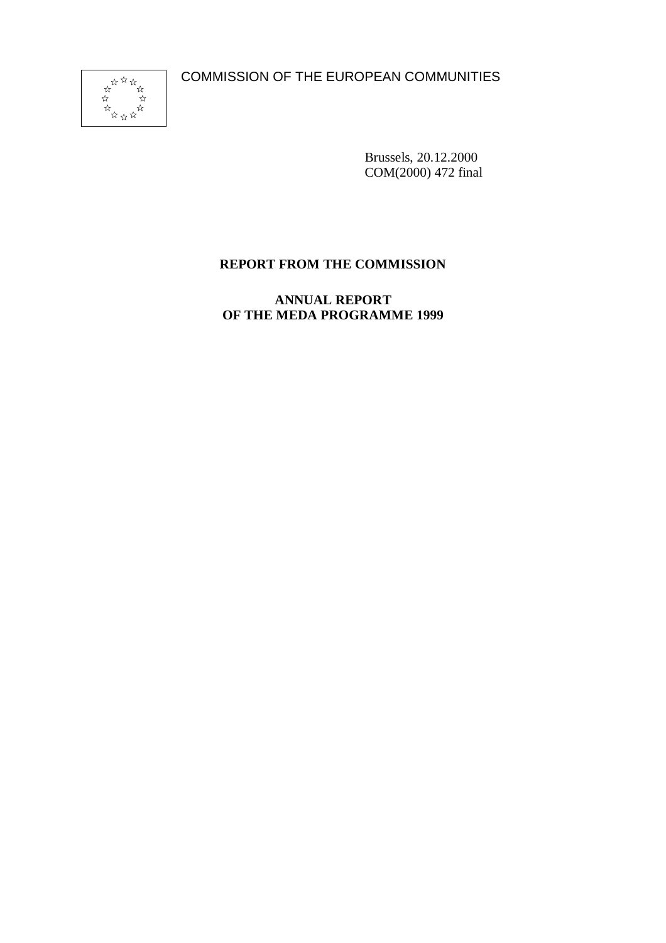COMMISSION OF THE EUROPEAN COMMUNITIES



Brussels, 20.12.2000 COM(2000) 472 final

# **REPORT FROM THE COMMISSION**

**ANNUAL REPORT OF THE MEDA PROGRAMME 1999**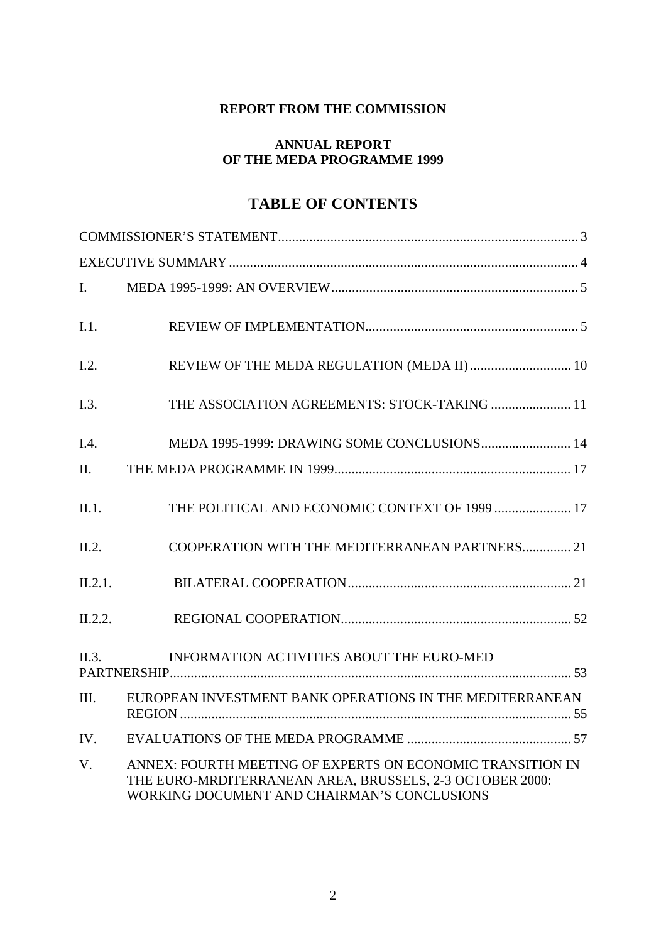## **REPORT FROM THE COMMISSION**

### **ANNUAL REPORT OF THE MEDA PROGRAMME 1999**

# **TABLE OF CONTENTS**

| $\mathbf{I}$ . |                                                                                                                                                                       |
|----------------|-----------------------------------------------------------------------------------------------------------------------------------------------------------------------|
| I.1.           |                                                                                                                                                                       |
| I.2.           |                                                                                                                                                                       |
| I.3.           | THE ASSOCIATION AGREEMENTS: STOCK-TAKING  11                                                                                                                          |
| I.4.           | MEDA 1995-1999: DRAWING SOME CONCLUSIONS 14                                                                                                                           |
| II.            |                                                                                                                                                                       |
| II.1.          | THE POLITICAL AND ECONOMIC CONTEXT OF 1999  17                                                                                                                        |
| II.2.          | COOPERATION WITH THE MEDITERRANEAN PARTNERS 21                                                                                                                        |
| II.2.1.        |                                                                                                                                                                       |
| II.2.2.        |                                                                                                                                                                       |
| II.3.          | INFORMATION ACTIVITIES ABOUT THE EURO-MED                                                                                                                             |
| III.           | EUROPEAN INVESTMENT BANK OPERATIONS IN THE MEDITERRANEAN                                                                                                              |
| IV.            |                                                                                                                                                                       |
| $V_{\cdot}$    | ANNEX: FOURTH MEETING OF EXPERTS ON ECONOMIC TRANSITION IN<br>THE EURO-MRDITERRANEAN AREA, BRUSSELS, 2-3 OCTOBER 2000:<br>WORKING DOCUMENT AND CHAIRMAN'S CONCLUSIONS |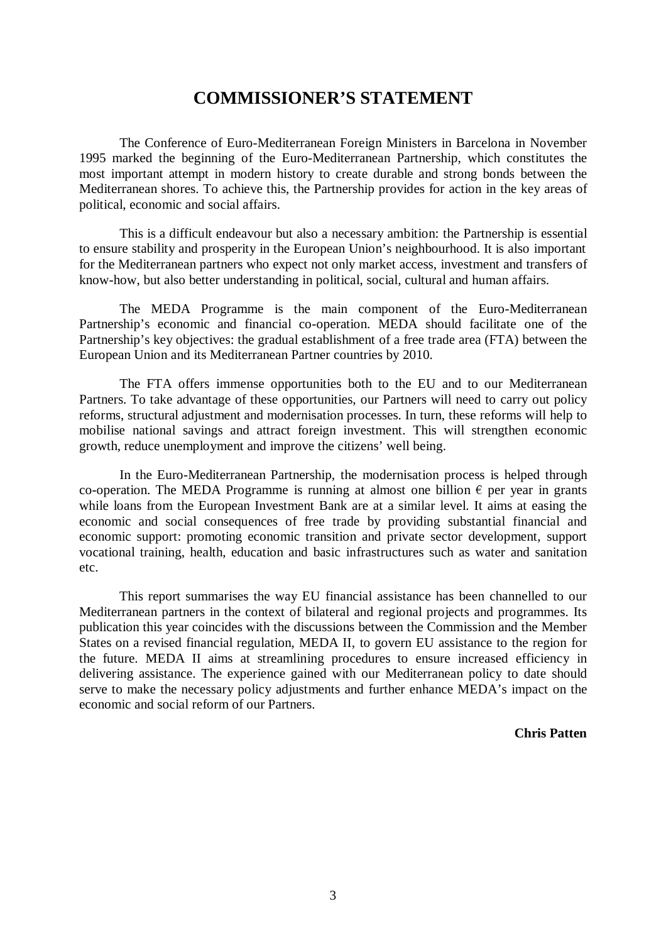# **COMMISSIONER'S STATEMENT**

The Conference of Euro-Mediterranean Foreign Ministers in Barcelona in November 1995 marked the beginning of the Euro-Mediterranean Partnership, which constitutes the most important attempt in modern history to create durable and strong bonds between the Mediterranean shores. To achieve this, the Partnership provides for action in the key areas of political, economic and social affairs.

This is a difficult endeavour but also a necessary ambition: the Partnership is essential to ensure stability and prosperity in the European Union's neighbourhood. It is also important for the Mediterranean partners who expect not only market access, investment and transfers of know-how, but also better understanding in political, social, cultural and human affairs.

The MEDA Programme is the main component of the Euro-Mediterranean Partnership's economic and financial co-operation. MEDA should facilitate one of the Partnership's key objectives: the gradual establishment of a free trade area (FTA) between the European Union and its Mediterranean Partner countries by 2010.

The FTA offers immense opportunities both to the EU and to our Mediterranean Partners. To take advantage of these opportunities, our Partners will need to carry out policy reforms, structural adjustment and modernisation processes. In turn, these reforms will help to mobilise national savings and attract foreign investment. This will strengthen economic growth, reduce unemployment and improve the citizens' well being.

In the Euro-Mediterranean Partnership, the modernisation process is helped through co-operation. The MEDA Programme is running at almost one billion  $\epsilon$  per year in grants while loans from the European Investment Bank are at a similar level. It aims at easing the economic and social consequences of free trade by providing substantial financial and economic support: promoting economic transition and private sector development, support vocational training, health, education and basic infrastructures such as water and sanitation etc.

This report summarises the way EU financial assistance has been channelled to our Mediterranean partners in the context of bilateral and regional projects and programmes. Its publication this year coincides with the discussions between the Commission and the Member States on a revised financial regulation, MEDA II, to govern EU assistance to the region for the future. MEDA II aims at streamlining procedures to ensure increased efficiency in delivering assistance. The experience gained with our Mediterranean policy to date should serve to make the necessary policy adjustments and further enhance MEDA's impact on the economic and social reform of our Partners.

**Chris Patten**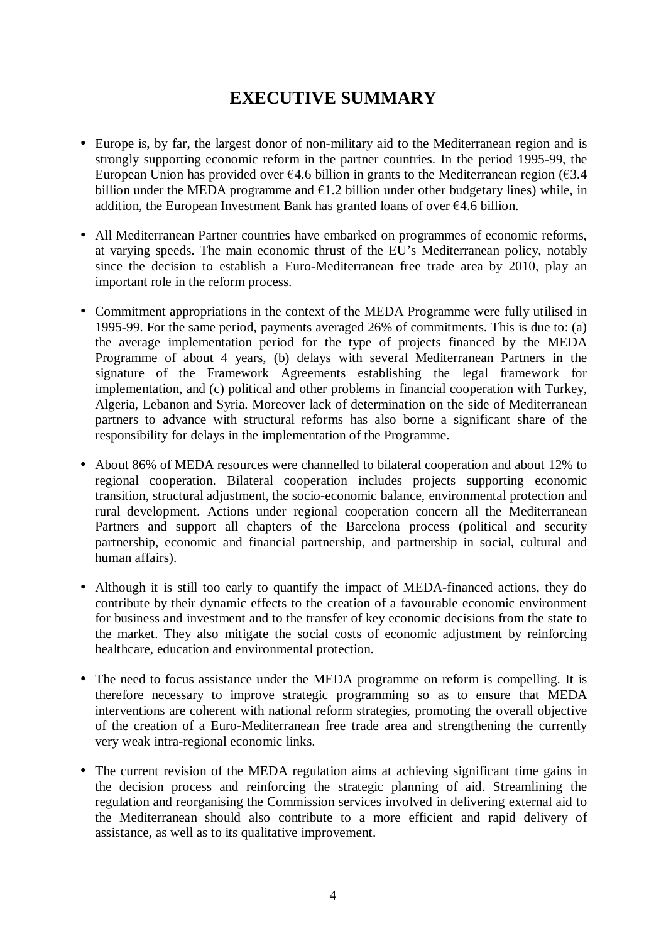# **EXECUTIVE SUMMARY**

- Europe is, by far, the largest donor of non-military aid to the Mediterranean region and is strongly supporting economic reform in the partner countries. In the period 1995-99, the European Union has provided over  $\epsilon$ 4.6 billion in grants to the Mediterranean region ( $\epsilon$ 3.4) billion under the MEDA programme and  $\epsilon$ 1.2 billion under other budgetary lines) while, in addition, the European Investment Bank has granted loans of over  $\epsilon$ 4.6 billion.
- All Mediterranean Partner countries have embarked on programmes of economic reforms, at varying speeds. The main economic thrust of the EU's Mediterranean policy, notably since the decision to establish a Euro-Mediterranean free trade area by 2010, play an important role in the reform process.
- Commitment appropriations in the context of the MEDA Programme were fully utilised in 1995-99. For the same period, payments averaged 26% of commitments. This is due to: (a) the average implementation period for the type of projects financed by the MEDA Programme of about 4 years, (b) delays with several Mediterranean Partners in the signature of the Framework Agreements establishing the legal framework for implementation, and (c) political and other problems in financial cooperation with Turkey, Algeria, Lebanon and Syria. Moreover lack of determination on the side of Mediterranean partners to advance with structural reforms has also borne a significant share of the responsibility for delays in the implementation of the Programme.
- About 86% of MEDA resources were channelled to bilateral cooperation and about 12% to regional cooperation. Bilateral cooperation includes projects supporting economic transition, structural adjustment, the socio-economic balance, environmental protection and rural development. Actions under regional cooperation concern all the Mediterranean Partners and support all chapters of the Barcelona process (political and security partnership, economic and financial partnership, and partnership in social, cultural and human affairs).
- Although it is still too early to quantify the impact of MEDA-financed actions, they do contribute by their dynamic effects to the creation of a favourable economic environment for business and investment and to the transfer of key economic decisions from the state to the market. They also mitigate the social costs of economic adjustment by reinforcing healthcare, education and environmental protection.
- The need to focus assistance under the MEDA programme on reform is compelling. It is therefore necessary to improve strategic programming so as to ensure that MEDA interventions are coherent with national reform strategies, promoting the overall objective of the creation of a Euro-Mediterranean free trade area and strengthening the currently very weak intra-regional economic links.
- The current revision of the MEDA regulation aims at achieving significant time gains in the decision process and reinforcing the strategic planning of aid. Streamlining the regulation and reorganising the Commission services involved in delivering external aid to the Mediterranean should also contribute to a more efficient and rapid delivery of assistance, as well as to its qualitative improvement.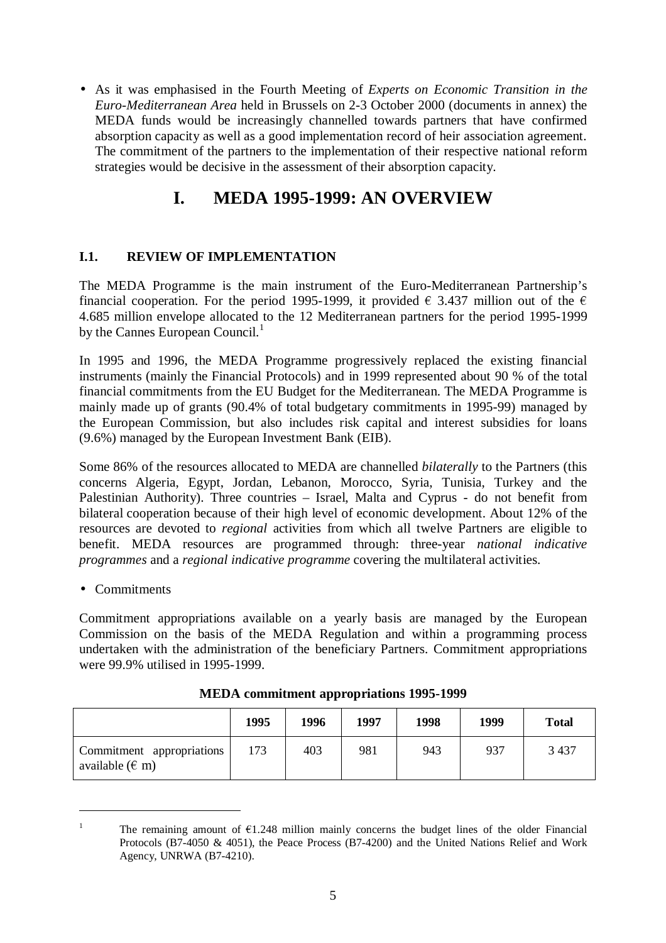• As it was emphasised in the Fourth Meeting of *Experts on Economic Transition in the Euro-Mediterranean Area* held in Brussels on 2-3 October 2000 (documents in annex) the MEDA funds would be increasingly channelled towards partners that have confirmed absorption capacity as well as a good implementation record of heir association agreement. The commitment of the partners to the implementation of their respective national reform strategies would be decisive in the assessment of their absorption capacity.

# **I. MEDA 1995-1999: AN OVERVIEW**

## **I.1. REVIEW OF IMPLEMENTATION**

The MEDA Programme is the main instrument of the Euro-Mediterranean Partnership's financial cooperation. For the period 1995-1999, it provided  $\epsilon$  3.437 million out of the  $\epsilon$ 4.685 million envelope allocated to the 12 Mediterranean partners for the period 1995-1999 by the Cannes European Council.<sup>1</sup>

In 1995 and 1996, the MEDA Programme progressively replaced the existing financial instruments (mainly the Financial Protocols) and in 1999 represented about 90 % of the total financial commitments from the EU Budget for the Mediterranean. The MEDA Programme is mainly made up of grants (90.4% of total budgetary commitments in 1995-99) managed by the European Commission, but also includes risk capital and interest subsidies for loans (9.6%) managed by the European Investment Bank (EIB).

Some 86% of the resources allocated to MEDA are channelled *bilaterally* to the Partners (this concerns Algeria, Egypt, Jordan, Lebanon, Morocco, Syria, Tunisia, Turkey and the Palestinian Authority). Three countries – Israel, Malta and Cyprus - do not benefit from bilateral cooperation because of their high level of economic development. About 12% of the resources are devoted to *regional* activities from which all twelve Partners are eligible to benefit. MEDA resources are programmed through: three-year *national indicative programmes* and a *regional indicative programme* covering the multilateral activities.

• Commitments

Commitment appropriations available on a yearly basis are managed by the European Commission on the basis of the MEDA Regulation and within a programming process undertaken with the administration of the beneficiary Partners. Commitment appropriations were 99.9% utilised in 1995-1999.

|                                                   | 1995 | 1996 | 1997 | 1998 | 1999 | <b>Total</b> |
|---------------------------------------------------|------|------|------|------|------|--------------|
| Commitment appropriations<br>available ( $\in$ m) | 173  | 403  | 981  | 943  | 937  | 3 4 3 7      |

| <b>MEDA commitment appropriations 1995-1999</b> |  |
|-------------------------------------------------|--|
|-------------------------------------------------|--|

<sup>&</sup>lt;sup>1</sup> The remaining amount of  $\epsilon$ 1.248 million mainly concerns the budget lines of the older Financial Protocols (B7-4050 & 4051), the Peace Process (B7-4200) and the United Nations Relief and Work Agency, UNRWA (B7-4210).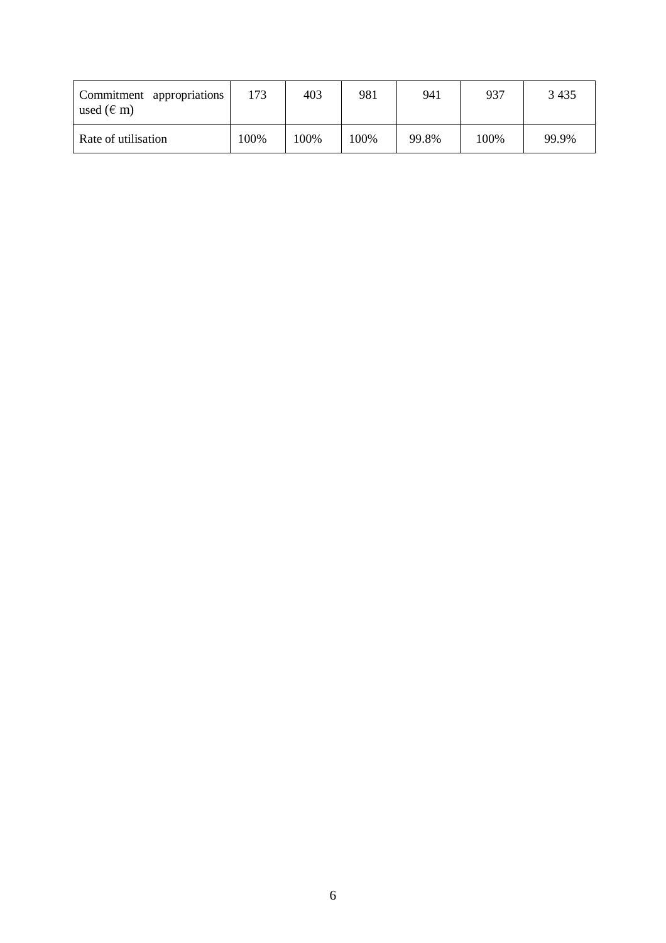| Commitment appropriations<br>used $(\epsilon$ m) | 173  | 403  | 981  | 941   | 937  | 3 4 3 5 |
|--------------------------------------------------|------|------|------|-------|------|---------|
| Rate of utilisation                              | 100% | 100% | 100% | 99.8% | 100% | 99.9%   |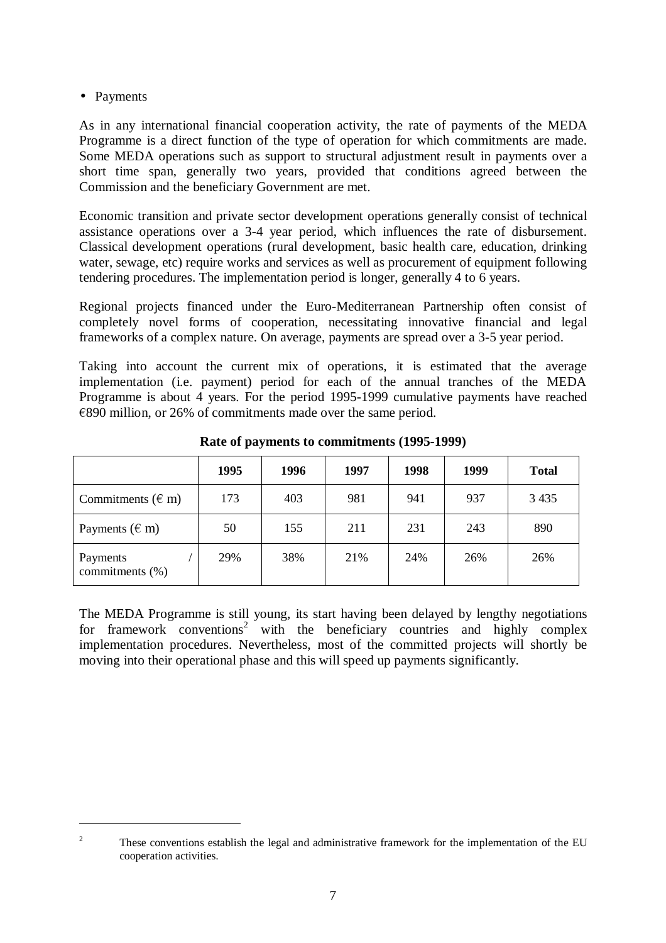• Payments

As in any international financial cooperation activity, the rate of payments of the MEDA Programme is a direct function of the type of operation for which commitments are made. Some MEDA operations such as support to structural adjustment result in payments over a short time span, generally two years, provided that conditions agreed between the Commission and the beneficiary Government are met.

Economic transition and private sector development operations generally consist of technical assistance operations over a 3-4 year period, which influences the rate of disbursement. Classical development operations (rural development, basic health care, education, drinking water, sewage, etc) require works and services as well as procurement of equipment following tendering procedures. The implementation period is longer, generally 4 to 6 years.

Regional projects financed under the Euro-Mediterranean Partnership often consist of completely novel forms of cooperation, necessitating innovative financial and legal frameworks of a complex nature. On average, payments are spread over a 3-5 year period.

Taking into account the current mix of operations, it is estimated that the average implementation (i.e. payment) period for each of the annual tranches of the MEDA Programme is about 4 years. For the period 1995-1999 cumulative payments have reached  $\epsilon$ 890 million, or 26% of commitments made over the same period.

|                             | 1995 | 1996 | 1997 | 1998 | 1999 | <b>Total</b> |
|-----------------------------|------|------|------|------|------|--------------|
| Commitments $(\epsilon m)$  | 173  | 403  | 981  | 941  | 937  | 3 4 3 5      |
| Payments ( $\in$ m)         | 50   | 155  | 211  | 231  | 243  | 890          |
| Payments<br>commitments (%) | 29%  | 38%  | 21\% | 24%  | 26%  | 26%          |

**Rate of payments to commitments (1995-1999)**

The MEDA Programme is still young, its start having been delayed by lengthy negotiations for framework conventions<sup>2</sup> with the beneficiary countries and highly complex implementation procedures. Nevertheless, most of the committed projects will shortly be moving into their operational phase and this will speed up payments significantly.

<sup>&</sup>lt;sup>2</sup> These conventions establish the legal and administrative framework for the implementation of the EU cooperation activities.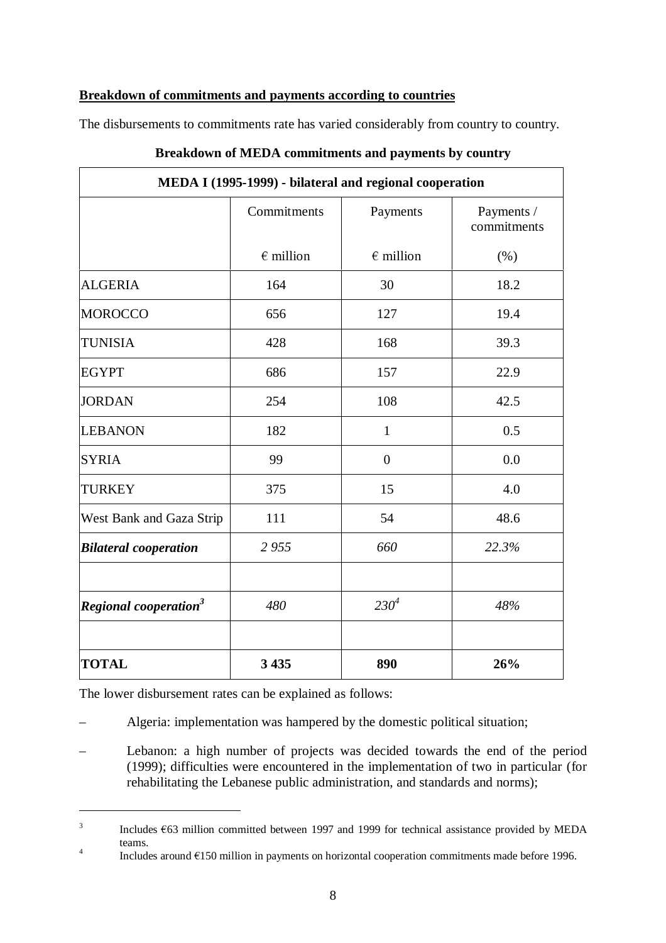### **Breakdown of commitments and payments according to countries**

 $\Gamma$ 

The disbursements to commitments rate has varied considerably from country to country.

| MEDA I (1995-1999) - bilateral and regional cooperation |                    |                    |                           |  |  |  |  |
|---------------------------------------------------------|--------------------|--------------------|---------------------------|--|--|--|--|
|                                                         | Commitments        | Payments           | Payments /<br>commitments |  |  |  |  |
|                                                         | $\epsilon$ million | $\epsilon$ million | (% )                      |  |  |  |  |
| <b>ALGERIA</b>                                          | 164                | 30                 | 18.2                      |  |  |  |  |
| <b>MOROCCO</b>                                          | 656                | 127                | 19.4                      |  |  |  |  |
| <b>TUNISIA</b>                                          | 428                | 168                | 39.3                      |  |  |  |  |
| <b>EGYPT</b>                                            | 686                | 157                | 22.9                      |  |  |  |  |
| <b>JORDAN</b>                                           | 254                | 108                | 42.5                      |  |  |  |  |
| <b>LEBANON</b>                                          | 182                | $\mathbf{1}$       | 0.5                       |  |  |  |  |
| <b>SYRIA</b>                                            | 99                 | $\overline{0}$     | 0.0                       |  |  |  |  |
| <b>TURKEY</b>                                           | 375                | 15                 | 4.0                       |  |  |  |  |
| West Bank and Gaza Strip                                | 111                | 54                 | 48.6                      |  |  |  |  |
| <b>Bilateral cooperation</b>                            | 2955               | 660                | 22.3%                     |  |  |  |  |
| Regional cooperation <sup>3</sup>                       | 480                | 230 <sup>4</sup>   | 48%                       |  |  |  |  |
| <b>TOTAL</b>                                            | 3 4 3 5            | 890                | 26%                       |  |  |  |  |

## **Breakdown of MEDA commitments and payments by country**

The lower disbursement rates can be explained as follows:

- Algeria: implementation was hampered by the domestic political situation;
- Lebanon: a high number of projects was decided towards the end of the period (1999); difficulties were encountered in the implementation of two in particular (for rehabilitating the Lebanese public administration, and standards and norms);

 $3$  Includes  $\epsilon$ 63 million committed between 1997 and 1999 for technical assistance provided by MEDA teams.

 $t^4$  Includes around  $\epsilon$ 150 million in payments on horizontal cooperation commitments made before 1996.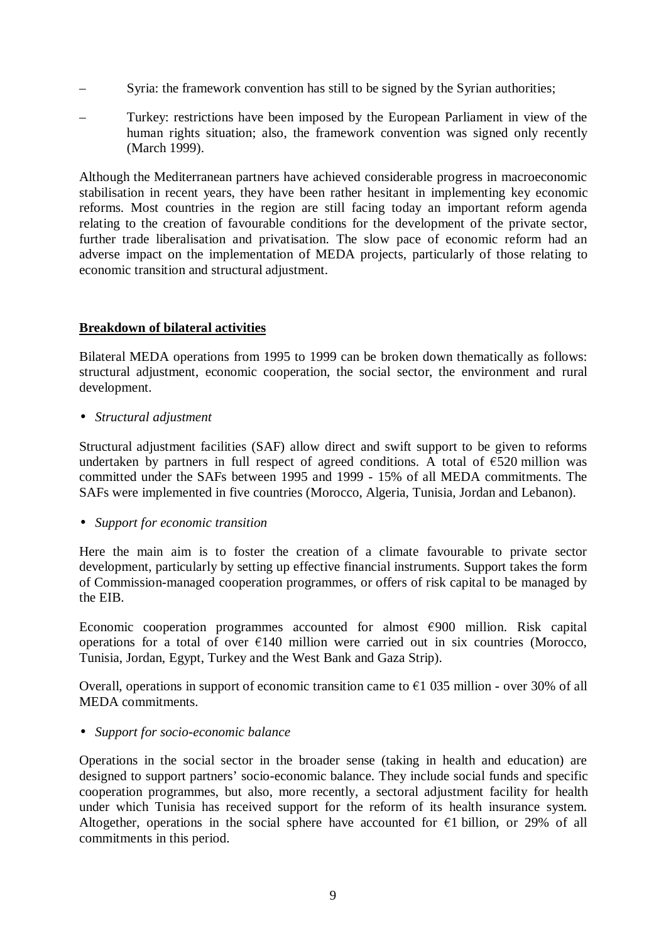- Syria: the framework convention has still to be signed by the Syrian authorities;
- Turkey: restrictions have been imposed by the European Parliament in view of the human rights situation; also, the framework convention was signed only recently (March 1999).

Although the Mediterranean partners have achieved considerable progress in macroeconomic stabilisation in recent years, they have been rather hesitant in implementing key economic reforms. Most countries in the region are still facing today an important reform agenda relating to the creation of favourable conditions for the development of the private sector, further trade liberalisation and privatisation. The slow pace of economic reform had an adverse impact on the implementation of MEDA projects, particularly of those relating to economic transition and structural adjustment.

### **Breakdown of bilateral activities**

Bilateral MEDA operations from 1995 to 1999 can be broken down thematically as follows: structural adjustment, economic cooperation, the social sector, the environment and rural development.

• *Structural adjustment*

Structural adjustment facilities (SAF) allow direct and swift support to be given to reforms undertaken by partners in full respect of agreed conditions. A total of  $\epsilon$ 520 million was committed under the SAFs between 1995 and 1999 - 15% of all MEDA commitments. The SAFs were implemented in five countries (Morocco, Algeria, Tunisia, Jordan and Lebanon).

### • *Support for economic transition*

Here the main aim is to foster the creation of a climate favourable to private sector development, particularly by setting up effective financial instruments. Support takes the form of Commission-managed cooperation programmes, or offers of risk capital to be managed by the EIB.

Economic cooperation programmes accounted for almost  $\epsilon$ 900 million. Risk capital operations for a total of over  $E140$  million were carried out in six countries (Morocco, Tunisia, Jordan, Egypt, Turkey and the West Bank and Gaza Strip).

Overall, operations in support of economic transition came to  $\epsilon$ 1 035 million - over 30% of all MEDA commitments.

### • *Support for socio-economic balance*

Operations in the social sector in the broader sense (taking in health and education) are designed to support partners' socio-economic balance. They include social funds and specific cooperation programmes, but also, more recently, a sectoral adjustment facility for health under which Tunisia has received support for the reform of its health insurance system. Altogether, operations in the social sphere have accounted for  $\epsilon$ 1 billion, or 29% of all commitments in this period.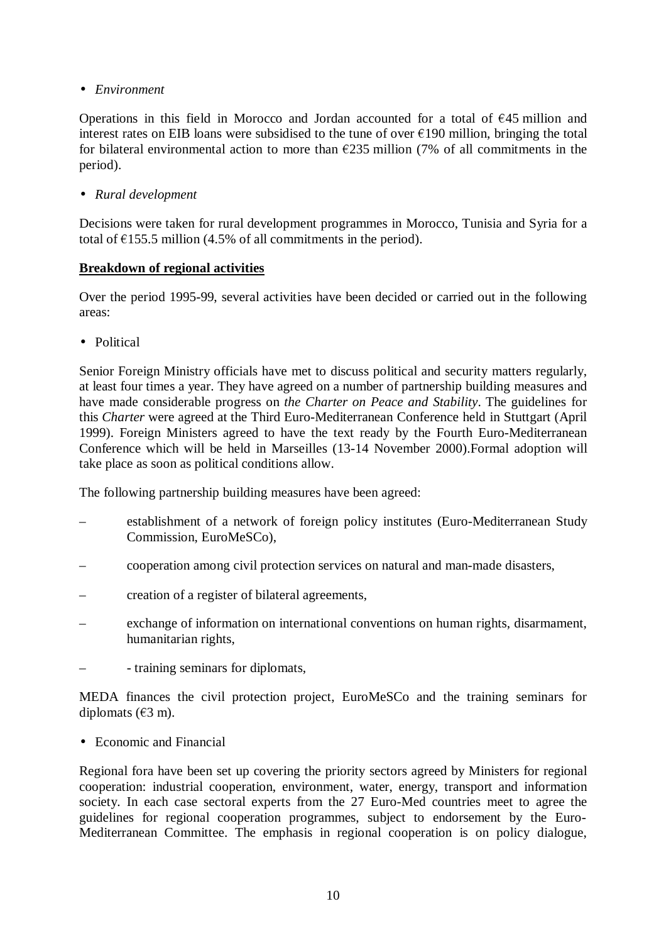• *Environment*

Operations in this field in Morocco and Jordan accounted for a total of  $E$ 45 million and interest rates on EIB loans were subsidised to the tune of over  $\epsilon$ 190 million, bringing the total for bilateral environmental action to more than  $\epsilon$ 235 million (7% of all commitments in the period).

• *Rural development*

Decisions were taken for rural development programmes in Morocco, Tunisia and Syria for a total of  $\epsilon$ 155.5 million (4.5% of all commitments in the period).

### **Breakdown of regional activities**

Over the period 1995-99, several activities have been decided or carried out in the following areas:

• Political

Senior Foreign Ministry officials have met to discuss political and security matters regularly, at least four times a year. They have agreed on a number of partnership building measures and have made considerable progress on *the Charter on Peace and Stability*. The guidelines for this *Charter* were agreed at the Third Euro-Mediterranean Conference held in Stuttgart (April 1999). Foreign Ministers agreed to have the text ready by the Fourth Euro-Mediterranean Conference which will be held in Marseilles (13-14 November 2000).Formal adoption will take place as soon as political conditions allow.

The following partnership building measures have been agreed:

- establishment of a network of foreign policy institutes (Euro-Mediterranean Study Commission, EuroMeSCo),
- cooperation among civil protection services on natural and man-made disasters,
- creation of a register of bilateral agreements,
- exchange of information on international conventions on human rights, disarmament, humanitarian rights,
- - training seminars for diplomats,

MEDA finances the civil protection project, EuroMeSCo and the training seminars for diplomats  $(\text{\textsterling}3 \text{ m})$ .

• Economic and Financial

Regional fora have been set up covering the priority sectors agreed by Ministers for regional cooperation: industrial cooperation, environment, water, energy, transport and information society. In each case sectoral experts from the 27 Euro-Med countries meet to agree the guidelines for regional cooperation programmes, subject to endorsement by the Euro-Mediterranean Committee. The emphasis in regional cooperation is on policy dialogue,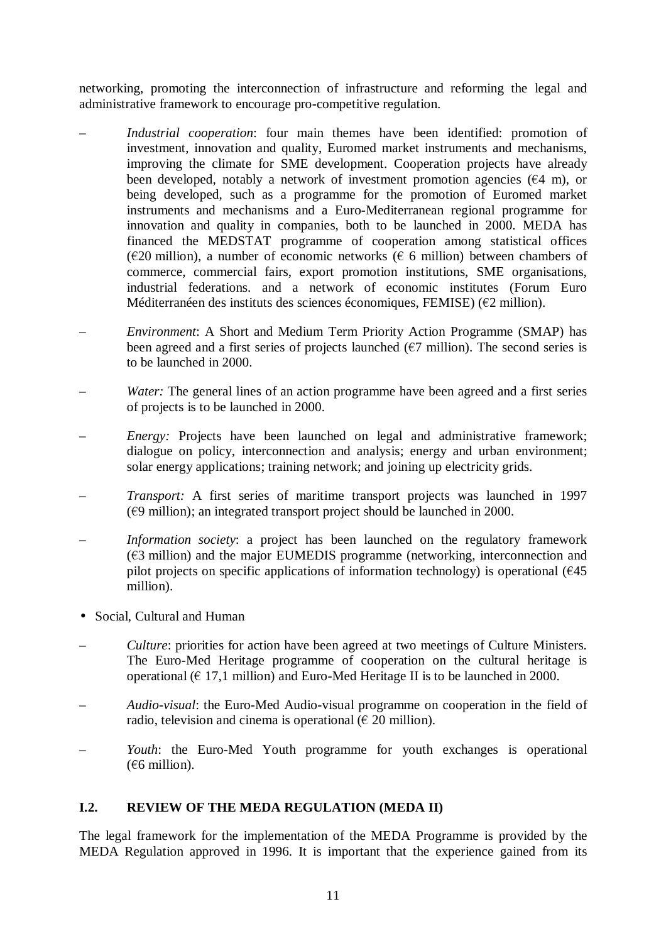networking, promoting the interconnection of infrastructure and reforming the legal and administrative framework to encourage pro-competitive regulation.

- *Industrial cooperation*: four main themes have been identified: promotion of investment, innovation and quality, Euromed market instruments and mechanisms, improving the climate for SME development. Cooperation projects have already been developed, notably a network of investment promotion agencies  $(64 \text{ m})$ , or being developed, such as a programme for the promotion of Euromed market instruments and mechanisms and a Euro-Mediterranean regional programme for innovation and quality in companies, both to be launched in 2000. MEDA has financed the MEDSTAT programme of cooperation among statistical offices ( $\epsilon$ 20 million), a number of economic networks ( $\epsilon$  6 million) between chambers of commerce, commercial fairs, export promotion institutions, SME organisations, industrial federations. and a network of economic institutes (Forum Euro Méditerranéen des instituts des sciences économiques, FEMISE) ( $\epsilon$ 2 million).
- *Environment*: A Short and Medium Term Priority Action Programme (SMAP) has been agreed and a first series of projects launched ( $\epsilon$ 7 million). The second series is to be launched in 2000.
- *Water:* The general lines of an action programme have been agreed and a first series of projects is to be launched in 2000.
- *Energy:* Projects have been launched on legal and administrative framework; dialogue on policy, interconnection and analysis; energy and urban environment; solar energy applications; training network; and joining up electricity grids.
- *Transport:* A first series of maritime transport projects was launched in 1997  $(69$  million); an integrated transport project should be launched in 2000.
- *Information society*: a project has been launched on the regulatory framework  $(63$  million) and the major EUMEDIS programme (networking, interconnection and pilot projects on specific applications of information technology) is operational  $(645)$ million).
- Social, Cultural and Human
- *Culture*: priorities for action have been agreed at two meetings of Culture Ministers. The Euro-Med Heritage programme of cooperation on the cultural heritage is operational ( $\epsilon$  17,1 million) and Euro-Med Heritage II is to be launched in 2000.
- *Audio-visual*: the Euro-Med Audio-visual programme on cooperation in the field of radio, television and cinema is operational ( $\in$  20 million).
- *Youth*: the Euro-Med Youth programme for youth exchanges is operational  $(66$  million).

### **I.2. REVIEW OF THE MEDA REGULATION (MEDA II)**

The legal framework for the implementation of the MEDA Programme is provided by the MEDA Regulation approved in 1996. It is important that the experience gained from its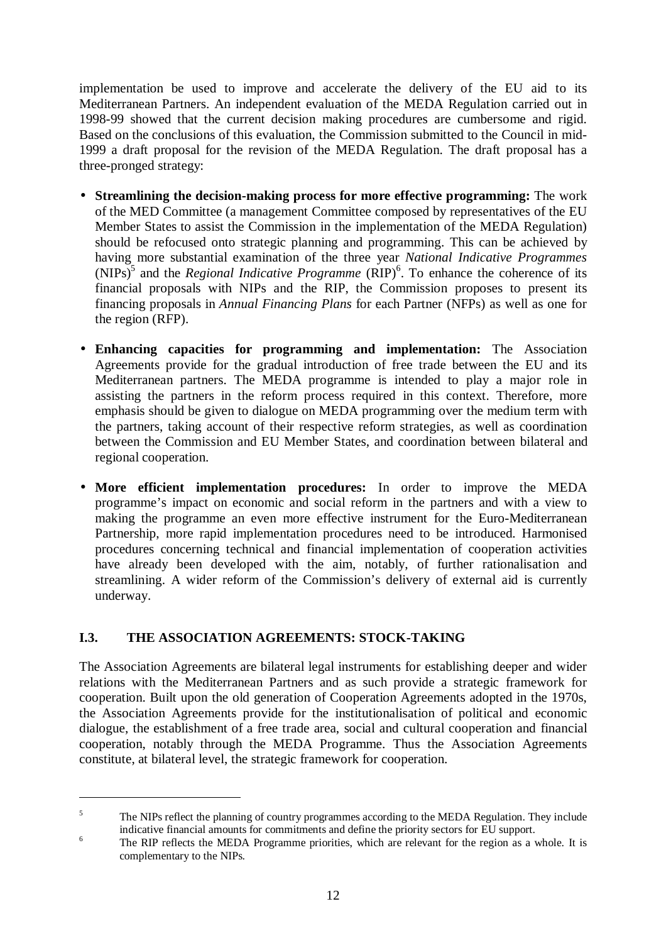implementation be used to improve and accelerate the delivery of the EU aid to its Mediterranean Partners. An independent evaluation of the MEDA Regulation carried out in 1998-99 showed that the current decision making procedures are cumbersome and rigid. Based on the conclusions of this evaluation, the Commission submitted to the Council in mid-1999 a draft proposal for the revision of the MEDA Regulation. The draft proposal has a three-pronged strategy:

- **Streamlining the decision-making process for more effective programming:** The work of the MED Committee (a management Committee composed by representatives of the EU Member States to assist the Commission in the implementation of the MEDA Regulation) should be refocused onto strategic planning and programming. This can be achieved by having more substantial examination of the three year *National Indicative Programmes*  $(NIPS)^5$  and the *Regional Indicative Programme*  $(RIP)^6$ . To enhance the coherence of its financial proposals with NIPs and the RIP, the Commission proposes to present its financing proposals in *Annual Financing Plans* for each Partner (NFPs) as well as one for the region (RFP).
- **Enhancing capacities for programming and implementation:** The Association Agreements provide for the gradual introduction of free trade between the EU and its Mediterranean partners. The MEDA programme is intended to play a major role in assisting the partners in the reform process required in this context. Therefore, more emphasis should be given to dialogue on MEDA programming over the medium term with the partners, taking account of their respective reform strategies, as well as coordination between the Commission and EU Member States, and coordination between bilateral and regional cooperation.
- **More efficient implementation procedures:** In order to improve the MEDA programme's impact on economic and social reform in the partners and with a view to making the programme an even more effective instrument for the Euro-Mediterranean Partnership, more rapid implementation procedures need to be introduced. Harmonised procedures concerning technical and financial implementation of cooperation activities have already been developed with the aim, notably, of further rationalisation and streamlining. A wider reform of the Commission's delivery of external aid is currently underway.

### **I.3. THE ASSOCIATION AGREEMENTS: STOCK-TAKING**

The Association Agreements are bilateral legal instruments for establishing deeper and wider relations with the Mediterranean Partners and as such provide a strategic framework for cooperation. Built upon the old generation of Cooperation Agreements adopted in the 1970s, the Association Agreements provide for the institutionalisation of political and economic dialogue, the establishment of a free trade area, social and cultural cooperation and financial cooperation, notably through the MEDA Programme. Thus the Association Agreements constitute, at bilateral level, the strategic framework for cooperation.

<sup>&</sup>lt;sup>5</sup> The NIPs reflect the planning of country programmes according to the MEDA Regulation. They include indicative financial amounts for commitments and define the priority sectors for EU support.

<sup>&</sup>lt;sup>6</sup> The RIP reflects the MEDA Programme priorities, which are relevant for the region as a whole. It is complementary to the NIPs.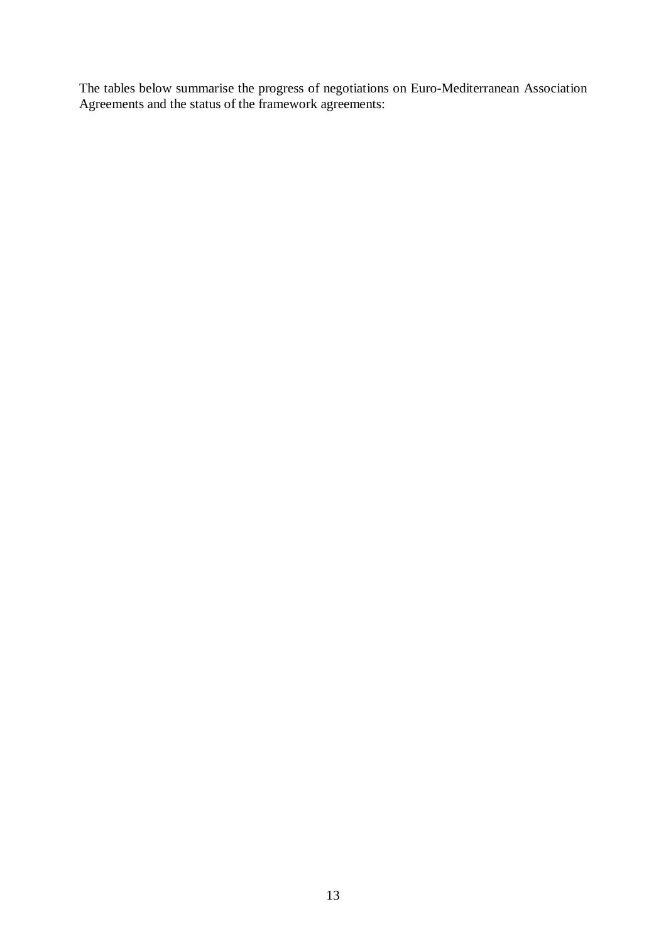The tables below summarise the progress of negotiations on Euro-Mediterranean Association Agreements and the status of the framework agreements: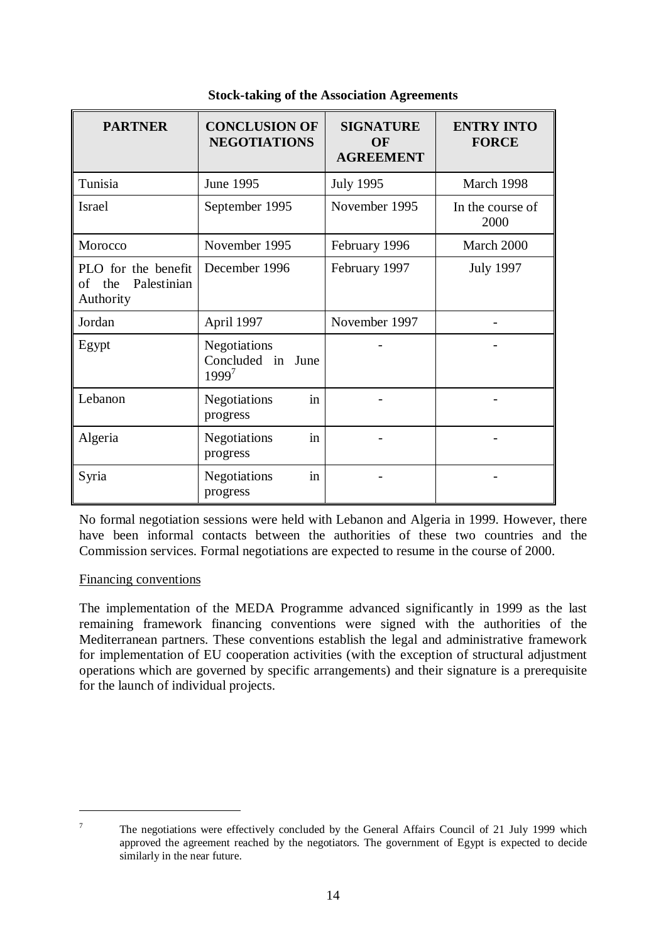| <b>PARTNER</b>                                               | <b>CONCLUSION OF</b><br><b>NEGOTIATIONS</b>                      | <b>SIGNATURE</b><br>OF<br><b>AGREEMENT</b> | <b>ENTRY INTO</b><br><b>FORCE</b> |
|--------------------------------------------------------------|------------------------------------------------------------------|--------------------------------------------|-----------------------------------|
| Tunisia                                                      | <b>June 1995</b>                                                 | <b>July 1995</b>                           | March 1998                        |
| Israel                                                       | September 1995                                                   | November 1995                              | In the course of<br>2000          |
| Morocco                                                      | November 1995                                                    | February 1996                              | March 2000                        |
| PLO for the benefit<br>Palestinian<br>the<br>of<br>Authority | December 1996                                                    | February 1997                              | <b>July 1997</b>                  |
| Jordan                                                       | April 1997                                                       | November 1997                              |                                   |
| Egypt                                                        | <b>Negotiations</b><br>Concluded in<br><b>June</b><br>$1999^{7}$ |                                            |                                   |
| Lebanon                                                      | in<br><b>Negotiations</b><br>progress                            |                                            |                                   |
| Algeria                                                      | <b>Negotiations</b><br>in<br>progress                            |                                            |                                   |
| Syria                                                        | Negotiations<br>in<br>progress                                   |                                            |                                   |

### **Stock-taking of the Association Agreements**

No formal negotiation sessions were held with Lebanon and Algeria in 1999. However, there have been informal contacts between the authorities of these two countries and the Commission services. Formal negotiations are expected to resume in the course of 2000.

### Financing conventions

The implementation of the MEDA Programme advanced significantly in 1999 as the last remaining framework financing conventions were signed with the authorities of the Mediterranean partners. These conventions establish the legal and administrative framework for implementation of EU cooperation activities (with the exception of structural adjustment operations which are governed by specific arrangements) and their signature is a prerequisite for the launch of individual projects.

<sup>&</sup>lt;sup>7</sup> The negotiations were effectively concluded by the General Affairs Council of 21 July 1999 which approved the agreement reached by the negotiators. The government of Egypt is expected to decide similarly in the near future.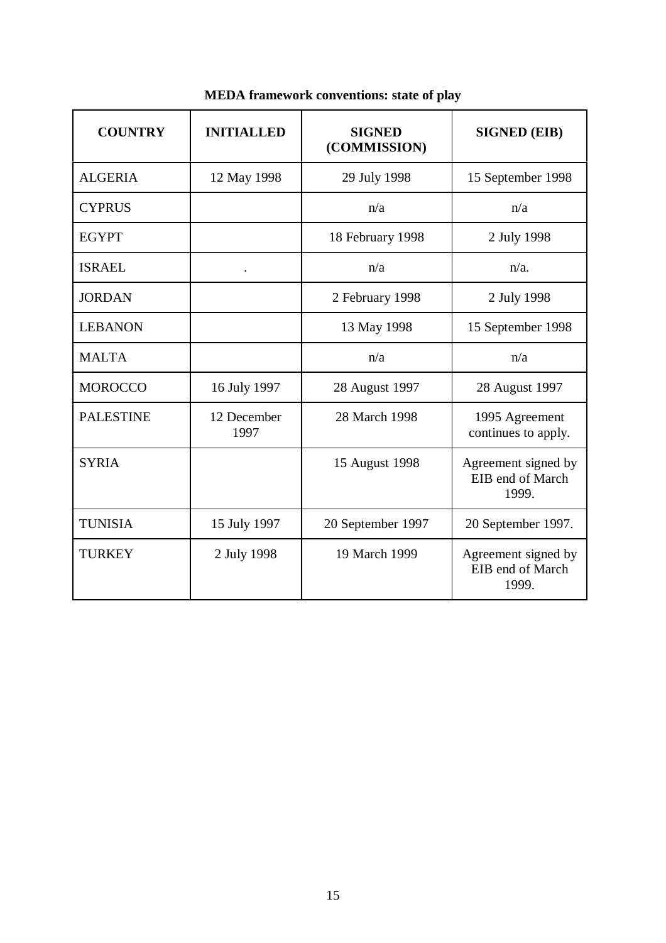| <b>COUNTRY</b>   | <b>INITIALLED</b>    | <b>SIGNED</b><br>(COMMISSION) | <b>SIGNED (EIB)</b>                              |
|------------------|----------------------|-------------------------------|--------------------------------------------------|
| <b>ALGERIA</b>   | 12 May 1998          | 29 July 1998                  | 15 September 1998                                |
| <b>CYPRUS</b>    |                      | n/a                           | n/a                                              |
| <b>EGYPT</b>     |                      | 18 February 1998              | 2 July 1998                                      |
| <b>ISRAEL</b>    | $\ddot{\phantom{0}}$ | n/a                           | $n/a$ .                                          |
| <b>JORDAN</b>    |                      | 2 February 1998               | 2 July 1998                                      |
| <b>LEBANON</b>   |                      | 13 May 1998                   | 15 September 1998                                |
| <b>MALTA</b>     |                      | n/a                           | n/a                                              |
| <b>MOROCCO</b>   | 16 July 1997         | 28 August 1997                | 28 August 1997                                   |
| <b>PALESTINE</b> | 12 December<br>1997  | 28 March 1998                 | 1995 Agreement<br>continues to apply.            |
| <b>SYRIA</b>     |                      | 15 August 1998                | Agreement signed by<br>EIB end of March<br>1999. |
| <b>TUNISIA</b>   | 15 July 1997         | 20 September 1997             | 20 September 1997.                               |
| <b>TURKEY</b>    | 2 July 1998          | 19 March 1999                 | Agreement signed by<br>EIB end of March<br>1999. |

# **MEDA framework conventions: state of play**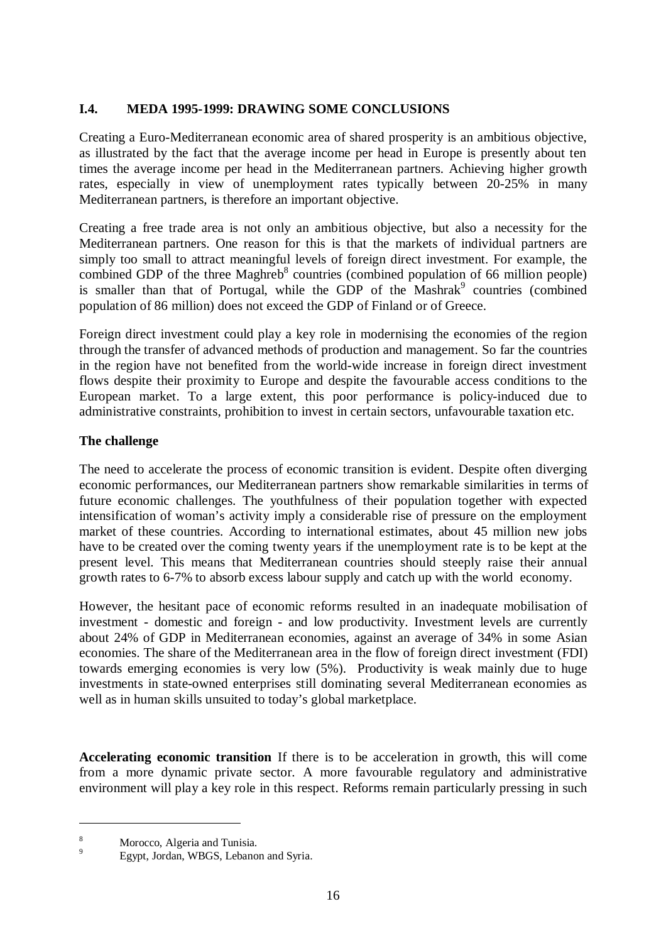### **I.4. MEDA 1995-1999: DRAWING SOME CONCLUSIONS**

Creating a Euro-Mediterranean economic area of shared prosperity is an ambitious objective, as illustrated by the fact that the average income per head in Europe is presently about ten times the average income per head in the Mediterranean partners. Achieving higher growth rates, especially in view of unemployment rates typically between 20-25% in many Mediterranean partners, is therefore an important objective.

Creating a free trade area is not only an ambitious objective, but also a necessity for the Mediterranean partners. One reason for this is that the markets of individual partners are simply too small to attract meaningful levels of foreign direct investment. For example, the combined GDP of the three Maghreb<sup>8</sup> countries (combined population of 66 million people) is smaller than that of Portugal, while the GDP of the  $Mashrak<sup>9</sup>$  countries (combined population of 86 million) does not exceed the GDP of Finland or of Greece.

Foreign direct investment could play a key role in modernising the economies of the region through the transfer of advanced methods of production and management. So far the countries in the region have not benefited from the world-wide increase in foreign direct investment flows despite their proximity to Europe and despite the favourable access conditions to the European market. To a large extent, this poor performance is policy-induced due to administrative constraints, prohibition to invest in certain sectors, unfavourable taxation etc.

## **The challenge**

The need to accelerate the process of economic transition is evident. Despite often diverging economic performances, our Mediterranean partners show remarkable similarities in terms of future economic challenges. The youthfulness of their population together with expected intensification of woman's activity imply a considerable rise of pressure on the employment market of these countries. According to international estimates, about 45 million new jobs have to be created over the coming twenty years if the unemployment rate is to be kept at the present level. This means that Mediterranean countries should steeply raise their annual growth rates to 6-7% to absorb excess labour supply and catch up with the world economy.

However, the hesitant pace of economic reforms resulted in an inadequate mobilisation of investment - domestic and foreign - and low productivity. Investment levels are currently about 24% of GDP in Mediterranean economies, against an average of 34% in some Asian economies. The share of the Mediterranean area in the flow of foreign direct investment (FDI) towards emerging economies is very low (5%). Productivity is weak mainly due to huge investments in state-owned enterprises still dominating several Mediterranean economies as well as in human skills unsuited to today's global marketplace.

**Accelerating economic transition** If there is to be acceleration in growth, this will come from a more dynamic private sector. A more favourable regulatory and administrative environment will play a key role in this respect. Reforms remain particularly pressing in such

<sup>&</sup>lt;sup>8</sup> Morocco, Algeria and Tunisia.<br><sup>9</sup> Egypt, Jordan, WBGS, Lebanon and Syria.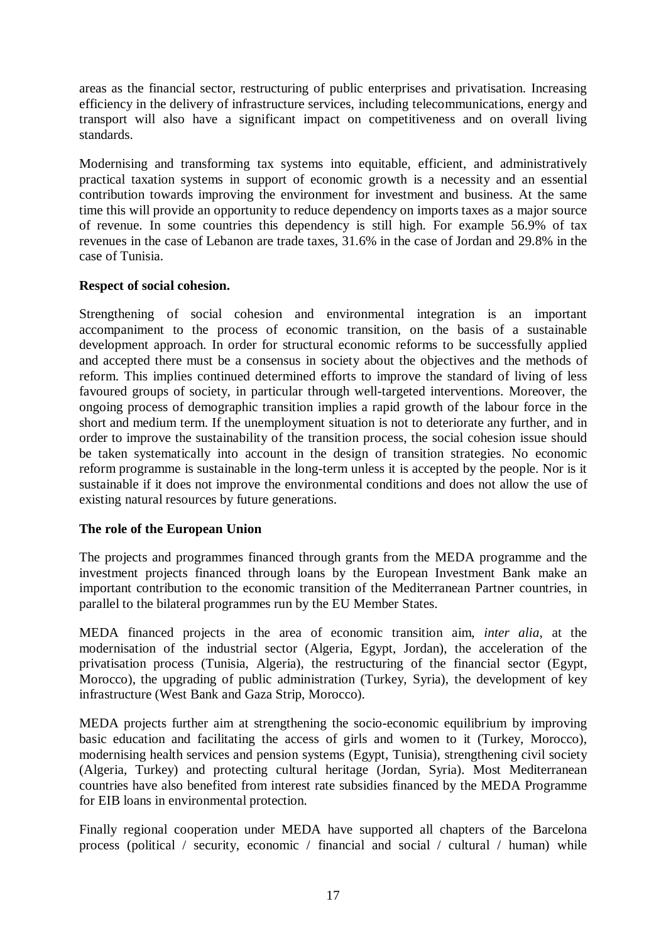areas as the financial sector, restructuring of public enterprises and privatisation. Increasing efficiency in the delivery of infrastructure services, including telecommunications, energy and transport will also have a significant impact on competitiveness and on overall living standards.

Modernising and transforming tax systems into equitable, efficient, and administratively practical taxation systems in support of economic growth is a necessity and an essential contribution towards improving the environment for investment and business. At the same time this will provide an opportunity to reduce dependency on imports taxes as a major source of revenue. In some countries this dependency is still high. For example 56.9% of tax revenues in the case of Lebanon are trade taxes, 31.6% in the case of Jordan and 29.8% in the case of Tunisia.

### **Respect of social cohesion.**

Strengthening of social cohesion and environmental integration is an important accompaniment to the process of economic transition, on the basis of a sustainable development approach. In order for structural economic reforms to be successfully applied and accepted there must be a consensus in society about the objectives and the methods of reform. This implies continued determined efforts to improve the standard of living of less favoured groups of society, in particular through well-targeted interventions. Moreover, the ongoing process of demographic transition implies a rapid growth of the labour force in the short and medium term. If the unemployment situation is not to deteriorate any further, and in order to improve the sustainability of the transition process, the social cohesion issue should be taken systematically into account in the design of transition strategies. No economic reform programme is sustainable in the long-term unless it is accepted by the people. Nor is it sustainable if it does not improve the environmental conditions and does not allow the use of existing natural resources by future generations.

### **The role of the European Union**

The projects and programmes financed through grants from the MEDA programme and the investment projects financed through loans by the European Investment Bank make an important contribution to the economic transition of the Mediterranean Partner countries, in parallel to the bilateral programmes run by the EU Member States.

MEDA financed projects in the area of economic transition aim, *inter alia*, at the modernisation of the industrial sector (Algeria, Egypt, Jordan), the acceleration of the privatisation process (Tunisia, Algeria), the restructuring of the financial sector (Egypt, Morocco), the upgrading of public administration (Turkey, Syria), the development of key infrastructure (West Bank and Gaza Strip, Morocco).

MEDA projects further aim at strengthening the socio-economic equilibrium by improving basic education and facilitating the access of girls and women to it (Turkey, Morocco), modernising health services and pension systems (Egypt, Tunisia), strengthening civil society (Algeria, Turkey) and protecting cultural heritage (Jordan, Syria). Most Mediterranean countries have also benefited from interest rate subsidies financed by the MEDA Programme for EIB loans in environmental protection.

Finally regional cooperation under MEDA have supported all chapters of the Barcelona process (political / security, economic / financial and social / cultural / human) while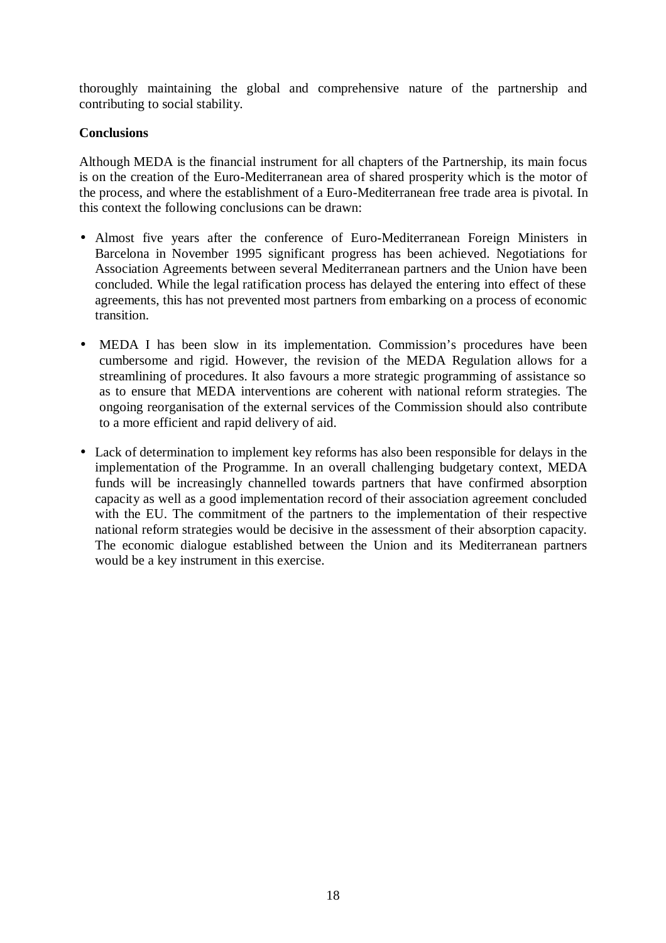thoroughly maintaining the global and comprehensive nature of the partnership and contributing to social stability.

### **Conclusions**

Although MEDA is the financial instrument for all chapters of the Partnership, its main focus is on the creation of the Euro-Mediterranean area of shared prosperity which is the motor of the process, and where the establishment of a Euro-Mediterranean free trade area is pivotal. In this context the following conclusions can be drawn:

- Almost five years after the conference of Euro-Mediterranean Foreign Ministers in Barcelona in November 1995 significant progress has been achieved. Negotiations for Association Agreements between several Mediterranean partners and the Union have been concluded. While the legal ratification process has delayed the entering into effect of these agreements, this has not prevented most partners from embarking on a process of economic transition.
- MEDA I has been slow in its implementation. Commission's procedures have been cumbersome and rigid. However, the revision of the MEDA Regulation allows for a streamlining of procedures. It also favours a more strategic programming of assistance so as to ensure that MEDA interventions are coherent with national reform strategies. The ongoing reorganisation of the external services of the Commission should also contribute to a more efficient and rapid delivery of aid.
- Lack of determination to implement key reforms has also been responsible for delays in the implementation of the Programme. In an overall challenging budgetary context, MEDA funds will be increasingly channelled towards partners that have confirmed absorption capacity as well as a good implementation record of their association agreement concluded with the EU. The commitment of the partners to the implementation of their respective national reform strategies would be decisive in the assessment of their absorption capacity. The economic dialogue established between the Union and its Mediterranean partners would be a key instrument in this exercise.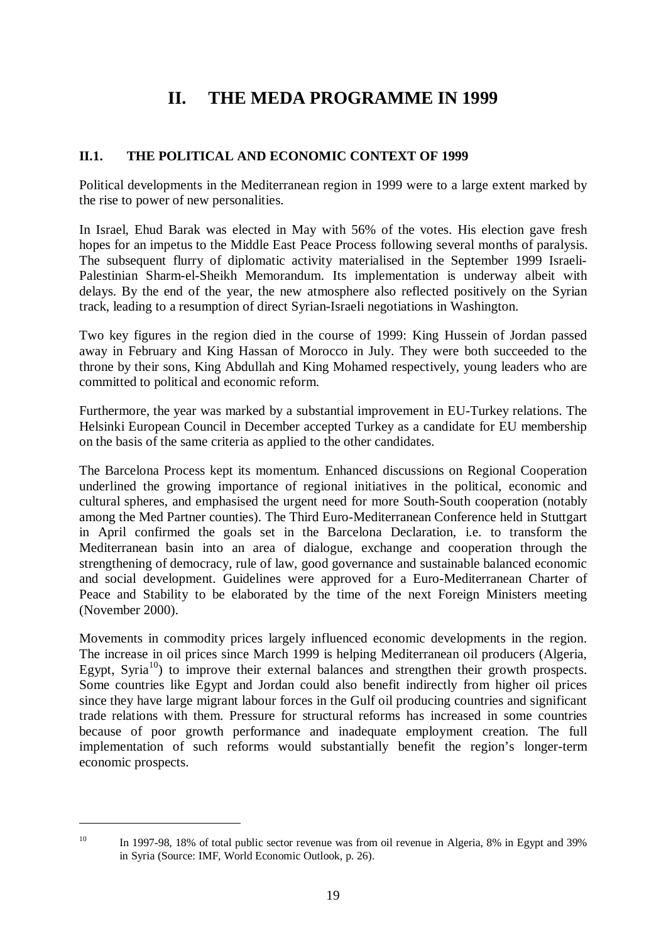# **II. THE MEDA PROGRAMME IN 1999**

### **II.1. THE POLITICAL AND ECONOMIC CONTEXT OF 1999**

Political developments in the Mediterranean region in 1999 were to a large extent marked by the rise to power of new personalities.

In Israel, Ehud Barak was elected in May with 56% of the votes. His election gave fresh hopes for an impetus to the Middle East Peace Process following several months of paralysis. The subsequent flurry of diplomatic activity materialised in the September 1999 Israeli-Palestinian Sharm-el-Sheikh Memorandum. Its implementation is underway albeit with delays. By the end of the year, the new atmosphere also reflected positively on the Syrian track, leading to a resumption of direct Syrian-Israeli negotiations in Washington.

Two key figures in the region died in the course of 1999: King Hussein of Jordan passed away in February and King Hassan of Morocco in July. They were both succeeded to the throne by their sons, King Abdullah and King Mohamed respectively, young leaders who are committed to political and economic reform.

Furthermore, the year was marked by a substantial improvement in EU-Turkey relations. The Helsinki European Council in December accepted Turkey as a candidate for EU membership on the basis of the same criteria as applied to the other candidates.

The Barcelona Process kept its momentum. Enhanced discussions on Regional Cooperation underlined the growing importance of regional initiatives in the political, economic and cultural spheres, and emphasised the urgent need for more South-South cooperation (notably among the Med Partner counties). The Third Euro-Mediterranean Conference held in Stuttgart in April confirmed the goals set in the Barcelona Declaration, i.e. to transform the Mediterranean basin into an area of dialogue, exchange and cooperation through the strengthening of democracy, rule of law, good governance and sustainable balanced economic and social development. Guidelines were approved for a Euro-Mediterranean Charter of Peace and Stability to be elaborated by the time of the next Foreign Ministers meeting (November 2000).

Movements in commodity prices largely influenced economic developments in the region. The increase in oil prices since March 1999 is helping Mediterranean oil producers (Algeria, Egypt, Syria $^{10}$ ) to improve their external balances and strengthen their growth prospects. Some countries like Egypt and Jordan could also benefit indirectly from higher oil prices since they have large migrant labour forces in the Gulf oil producing countries and significant trade relations with them. Pressure for structural reforms has increased in some countries because of poor growth performance and inadequate employment creation. The full implementation of such reforms would substantially benefit the region's longer-term economic prospects.

<sup>&</sup>lt;sup>10</sup> In 1997-98, 18% of total public sector revenue was from oil revenue in Algeria, 8% in Egypt and 39% in Syria (Source: IMF, World Economic Outlook, p. 26).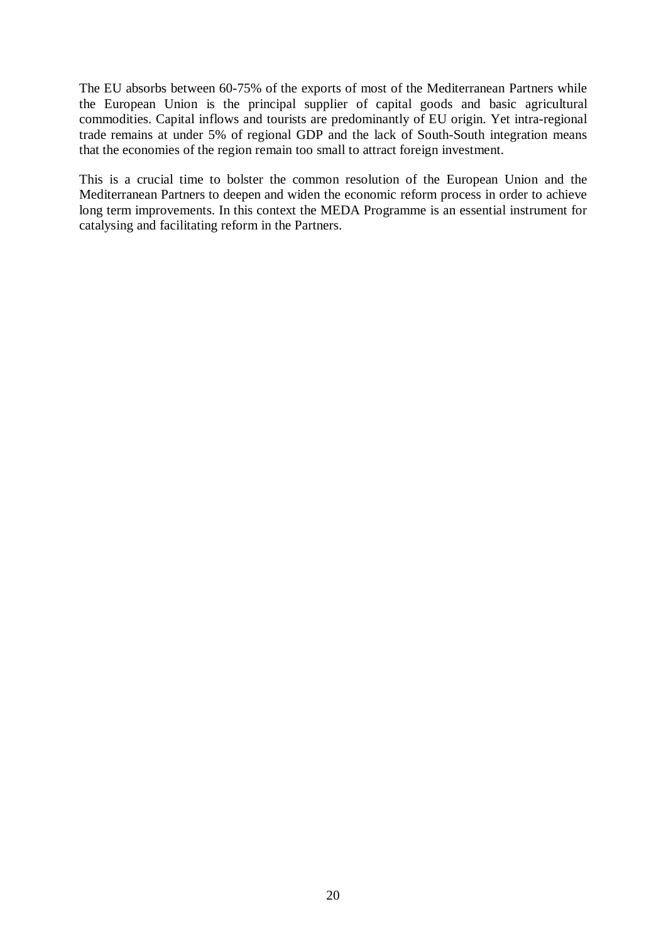The EU absorbs between 60-75% of the exports of most of the Mediterranean Partners while the European Union is the principal supplier of capital goods and basic agricultural commodities. Capital inflows and tourists are predominantly of EU origin. Yet intra-regional trade remains at under 5% of regional GDP and the lack of South-South integration means that the economies of the region remain too small to attract foreign investment.

This is a crucial time to bolster the common resolution of the European Union and the Mediterranean Partners to deepen and widen the economic reform process in order to achieve long term improvements. In this context the MEDA Programme is an essential instrument for catalysing and facilitating reform in the Partners.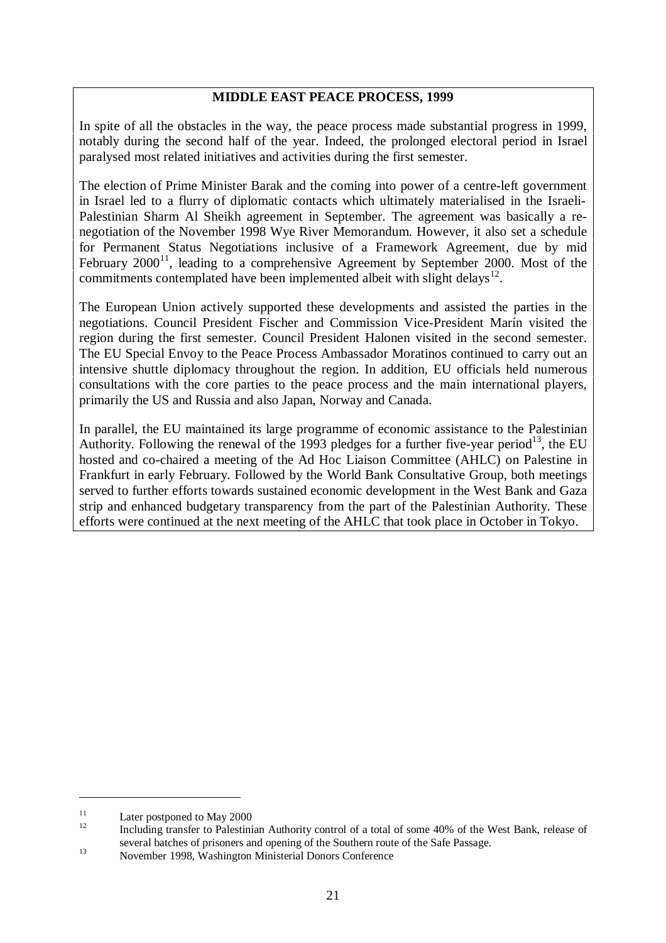### **MIDDLE EAST PEACE PROCESS, 1999**

In spite of all the obstacles in the way, the peace process made substantial progress in 1999, notably during the second half of the year. Indeed, the prolonged electoral period in Israel paralysed most related initiatives and activities during the first semester.

The election of Prime Minister Barak and the coming into power of a centre-left government in Israel led to a flurry of diplomatic contacts which ultimately materialised in the Israeli-Palestinian Sharm Al Sheikh agreement in September. The agreement was basically a renegotiation of the November 1998 Wye River Memorandum. However, it also set a schedule for Permanent Status Negotiations inclusive of a Framework Agreement, due by mid February  $2000^{11}$ , leading to a comprehensive Agreement by September 2000. Most of the commitments contemplated have been implemented albeit with slight delays<sup>12</sup>.

The European Union actively supported these developments and assisted the parties in the negotiations. Council President Fischer and Commission Vice-President Marín visited the region during the first semester. Council President Halonen visited in the second semester. The EU Special Envoy to the Peace Process Ambassador Moratinos continued to carry out an intensive shuttle diplomacy throughout the region. In addition, EU officials held numerous consultations with the core parties to the peace process and the main international players, primarily the US and Russia and also Japan, Norway and Canada.

In parallel, the EU maintained its large programme of economic assistance to the Palestinian Authority. Following the renewal of the 1993 pledges for a further five-year period<sup>13</sup>, the EU hosted and co-chaired a meeting of the Ad Hoc Liaison Committee (AHLC) on Palestine in Frankfurt in early February. Followed by the World Bank Consultative Group, both meetings served to further efforts towards sustained economic development in the West Bank and Gaza strip and enhanced budgetary transparency from the part of the Palestinian Authority. These efforts were continued at the next meeting of the AHLC that took place in October in Tokyo.

<sup>&</sup>lt;sup>11</sup> Later postponed to May 2000<br><sup>12</sup> Including transfer to Palestinian Authority control of a total of some 40% of the West Bank, release of several batches of prisoners and opening of the Southern route of the Safe Passage.<br>
November 1998, Washington Ministerial Donors Conference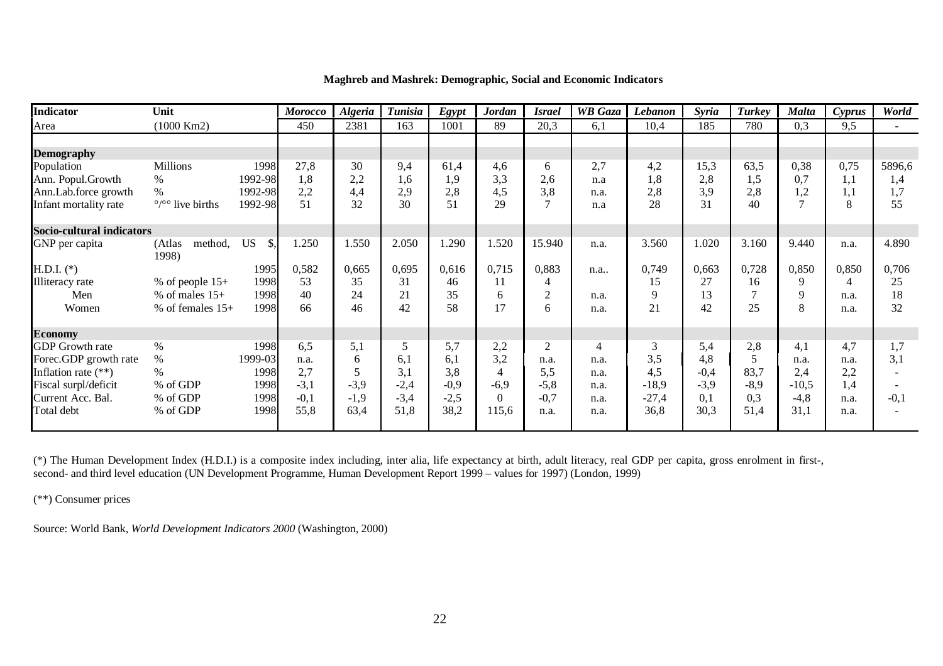| Indicator                 | Unit                              |                             | <b>Morocco</b> | <b>Algeria</b> | <b>Tunisia</b> | <b>Egypt</b> | Jordan         | <i><b>Israel</b></i> | <b>WB</b> Gaza | Lebanon | <b>Syria</b> | Turkey | Malta   | Cyprus         | World    |
|---------------------------|-----------------------------------|-----------------------------|----------------|----------------|----------------|--------------|----------------|----------------------|----------------|---------|--------------|--------|---------|----------------|----------|
| Area                      | $(1000$ Km2)                      |                             | 450            | 2381           | 163            | 1001         | 89             | 20,3                 | 6,1            | 10,4    | 185          | 780    | 0.3     | 9.5            | $\sim$ . |
|                           |                                   |                             |                |                |                |              |                |                      |                |         |              |        |         |                |          |
| <b>Demography</b>         |                                   |                             |                |                |                |              |                |                      |                |         |              |        |         |                |          |
| Population                | Millions                          | 1998                        | 27,8           | 30             | 9,4            | 61,4         | 4,6            | 6                    | 2,7            | 4,2     | 15,3         | 63,5   | 0,38    | 0,75           | 5896,6   |
| Ann. Popul.Growth         | $\%$                              | 1992-98                     | 1,8            | 2,2            | 1,6            | 1,9          | 3,3            | 2,6                  | n.a            | 1,8     | 2,8          | 1,5    | 0,7     | 1,1            | 1,4      |
| Ann.Lab.force growth      | $\%$                              | 1992-98                     | 2,2            | 4,4            | 2,9            | 2,8          | 4,5            | 3,8                  | n.a.           | 2,8     | 3,9          | 2,8    | 1,2     | 1.1            | 1,7      |
| Infant mortality rate     | $\frac{\circ}{\circ}$ live births | 1992-98                     | 51             | 32             | 30             | 51           | 29             |                      | n.a            | 28      | 31           | 40     |         | 8              | 55       |
| Socio-cultural indicators |                                   |                             |                |                |                |              |                |                      |                |         |              |        |         |                |          |
| GNP per capita            | (Atlas<br>method,<br>1998)        | <b>US</b><br>$\mathbb{S}$ . | 1.250          | 1.550          | 2.050          | 1.290        | 1.520          | 15.940               | n.a.           | 3.560   | 1.020        | 3.160  | 9.440   | n.a.           | 4.890    |
| $H.D.I.$ (*)              |                                   | 1995                        | 0,582          | 0,665          | 0,695          | 0,616        | 0,715          | 0,883                | n.a            | 0,749   | 0,663        | 0,728  | 0,850   | 0,850          | 0,706    |
| <b>Illiteracy</b> rate    | % of people $15+$                 | 1998                        | 53             | 35             | 31             | 46           | 11             |                      |                | 15      | 27           | 16     | Q       | $\overline{4}$ | 25       |
| Men                       | % of males $15+$                  | 1998                        | 40             | 24             | 21             | 35           | 6              | $\overline{2}$       | n.a.           | 9       | 13           |        |         | n.a.           | 18       |
| Women                     | % of females $15+$                | 1998                        | 66             | 46             | 42             | 58           | 17             | 6                    | n.a.           | 21      | 42           | 25     |         | n.a.           | 32       |
| <b>Economy</b>            |                                   |                             |                |                |                |              |                |                      |                |         |              |        |         |                |          |
| <b>GDP</b> Growth rate    | $\%$                              | 1998                        | 6,5            | 5,1            | 5              | 5,7          | 2,2            | $\overline{2}$       | 4              | 3       | 5,4          | 2,8    | 4.1     | 4,7            | 1,7      |
| Forec.GDP growth rate     | $\%$                              | 1999-03                     | n.a.           | 6              | 6,1            | 6,1          | 3,2            | n.a.                 | n.a.           | 3,5     | 4,8          |        | n.a.    | n.a.           | 3,1      |
| Inflation rate $(**)$     | $\%$                              | 1998                        | 2,7            |                | 3,1            | 3,8          | $\overline{4}$ | 5,5                  | n.a.           | 4,5     | $-0,4$       | 83,7   | 2,4     | 2,2            |          |
| Fiscal surpl/deficit      | % of GDP                          | 1998                        | $-3,1$         | $-3,9$         | $-2,4$         | $-0,9$       | $-6,9$         | $-5,8$               | n.a.           | $-18,9$ | $-3,9$       | $-8,9$ | $-10,5$ | 1,4            |          |
| Current Acc. Bal.         | % of GDP                          | 1998                        | $-0,1$         | $-1,9$         | $-3,4$         | $-2,5$       | $\Omega$       | $-0.7$               | n.a.           | $-27,4$ | 0.1          | 0,3    | $-4,8$  | n.a.           | $-0,1$   |
| Total debt                | % of GDP                          | 1998                        | 55,8           | 63,4           | 51,8           | 38,2         | 115,6          | n.a.                 | n.a.           | 36,8    | 30,3         | 51,4   | 31,1    | n.a.           |          |

#### **Maghreb and Mashrek: Demographic, Social and Economic Indicators**

(\*) The Human Development Index (H.D.I.) is <sup>a</sup> composite index including, inter alia, life expectancy at birth, adult literacy, real GDP per capita, gross enrolment in first-, second- and third level education (UN Development Programme, Human Development Report 1999 – values for 1997) (London, 1999)

(\*\*) Consumer prices

Source: World Bank*, World Development Indicators 2000* (Washington, 2000)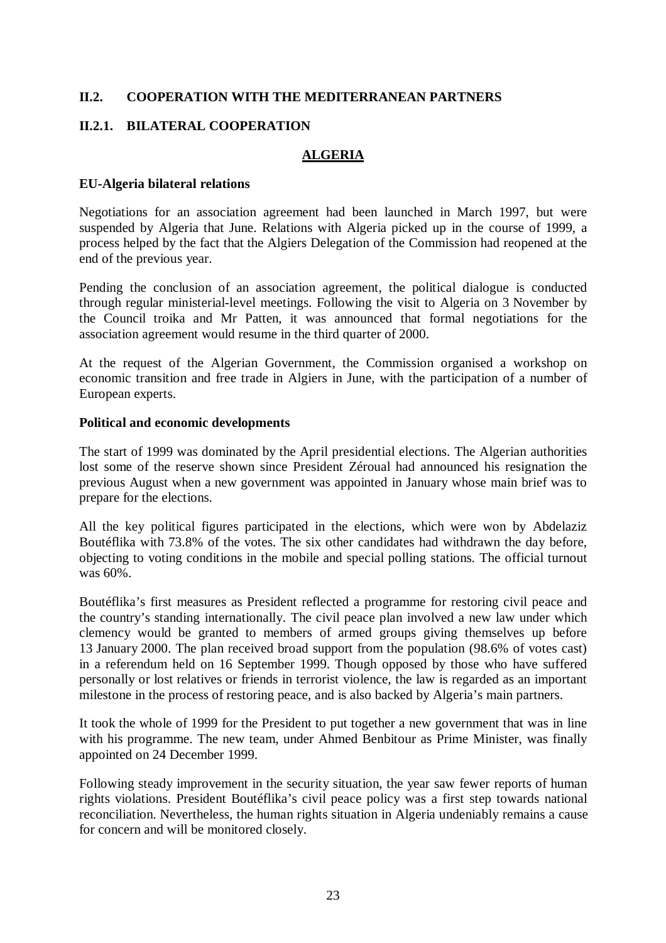### **II.2. COOPERATION WITH THE MEDITERRANEAN PARTNERS**

### **II.2.1. BILATERAL COOPERATION**

### **ALGERIA**

#### **EU-Algeria bilateral relations**

Negotiations for an association agreement had been launched in March 1997, but were suspended by Algeria that June. Relations with Algeria picked up in the course of 1999, a process helped by the fact that the Algiers Delegation of the Commission had reopened at the end of the previous year.

Pending the conclusion of an association agreement, the political dialogue is conducted through regular ministerial-level meetings. Following the visit to Algeria on 3 November by the Council troika and Mr Patten, it was announced that formal negotiations for the association agreement would resume in the third quarter of 2000.

At the request of the Algerian Government, the Commission organised a workshop on economic transition and free trade in Algiers in June, with the participation of a number of European experts.

### **Political and economic developments**

The start of 1999 was dominated by the April presidential elections. The Algerian authorities lost some of the reserve shown since President Zéroual had announced his resignation the previous August when a new government was appointed in January whose main brief was to prepare for the elections.

All the key political figures participated in the elections, which were won by Abdelaziz Boutéflika with 73.8% of the votes. The six other candidates had withdrawn the day before, objecting to voting conditions in the mobile and special polling stations. The official turnout was 60%.

Boutéflika's first measures as President reflected a programme for restoring civil peace and the country's standing internationally. The civil peace plan involved a new law under which clemency would be granted to members of armed groups giving themselves up before 13 January 2000. The plan received broad support from the population (98.6% of votes cast) in a referendum held on 16 September 1999. Though opposed by those who have suffered personally or lost relatives or friends in terrorist violence, the law is regarded as an important milestone in the process of restoring peace, and is also backed by Algeria's main partners.

It took the whole of 1999 for the President to put together a new government that was in line with his programme. The new team, under Ahmed Benbitour as Prime Minister, was finally appointed on 24 December 1999.

Following steady improvement in the security situation, the year saw fewer reports of human rights violations. President Boutéflika's civil peace policy was a first step towards national reconciliation. Nevertheless, the human rights situation in Algeria undeniably remains a cause for concern and will be monitored closely.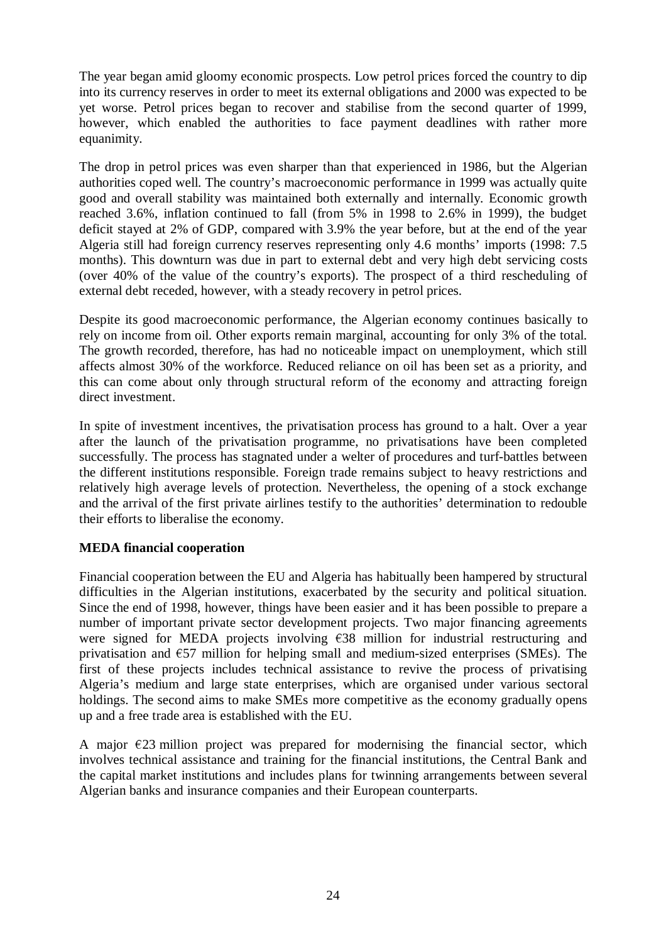The year began amid gloomy economic prospects. Low petrol prices forced the country to dip into its currency reserves in order to meet its external obligations and 2000 was expected to be yet worse. Petrol prices began to recover and stabilise from the second quarter of 1999, however, which enabled the authorities to face payment deadlines with rather more equanimity.

The drop in petrol prices was even sharper than that experienced in 1986, but the Algerian authorities coped well. The country's macroeconomic performance in 1999 was actually quite good and overall stability was maintained both externally and internally. Economic growth reached 3.6%, inflation continued to fall (from 5% in 1998 to 2.6% in 1999), the budget deficit stayed at 2% of GDP, compared with 3.9% the year before, but at the end of the year Algeria still had foreign currency reserves representing only 4.6 months' imports (1998: 7.5 months). This downturn was due in part to external debt and very high debt servicing costs (over 40% of the value of the country's exports). The prospect of a third rescheduling of external debt receded, however, with a steady recovery in petrol prices.

Despite its good macroeconomic performance, the Algerian economy continues basically to rely on income from oil. Other exports remain marginal, accounting for only 3% of the total. The growth recorded, therefore, has had no noticeable impact on unemployment, which still affects almost 30% of the workforce. Reduced reliance on oil has been set as a priority, and this can come about only through structural reform of the economy and attracting foreign direct investment.

In spite of investment incentives, the privatisation process has ground to a halt. Over a year after the launch of the privatisation programme, no privatisations have been completed successfully. The process has stagnated under a welter of procedures and turf-battles between the different institutions responsible. Foreign trade remains subject to heavy restrictions and relatively high average levels of protection. Nevertheless, the opening of a stock exchange and the arrival of the first private airlines testify to the authorities' determination to redouble their efforts to liberalise the economy.

### **MEDA financial cooperation**

Financial cooperation between the EU and Algeria has habitually been hampered by structural difficulties in the Algerian institutions, exacerbated by the security and political situation. Since the end of 1998, however, things have been easier and it has been possible to prepare a number of important private sector development projects. Two major financing agreements were signed for MEDA projects involving  $\epsilon$ 38 million for industrial restructuring and privatisation and  $\epsilon$ 57 million for helping small and medium-sized enterprises (SMEs). The first of these projects includes technical assistance to revive the process of privatising Algeria's medium and large state enterprises, which are organised under various sectoral holdings. The second aims to make SMEs more competitive as the economy gradually opens up and a free trade area is established with the EU.

A major  $\epsilon$ 23 million project was prepared for modernising the financial sector, which involves technical assistance and training for the financial institutions, the Central Bank and the capital market institutions and includes plans for twinning arrangements between several Algerian banks and insurance companies and their European counterparts.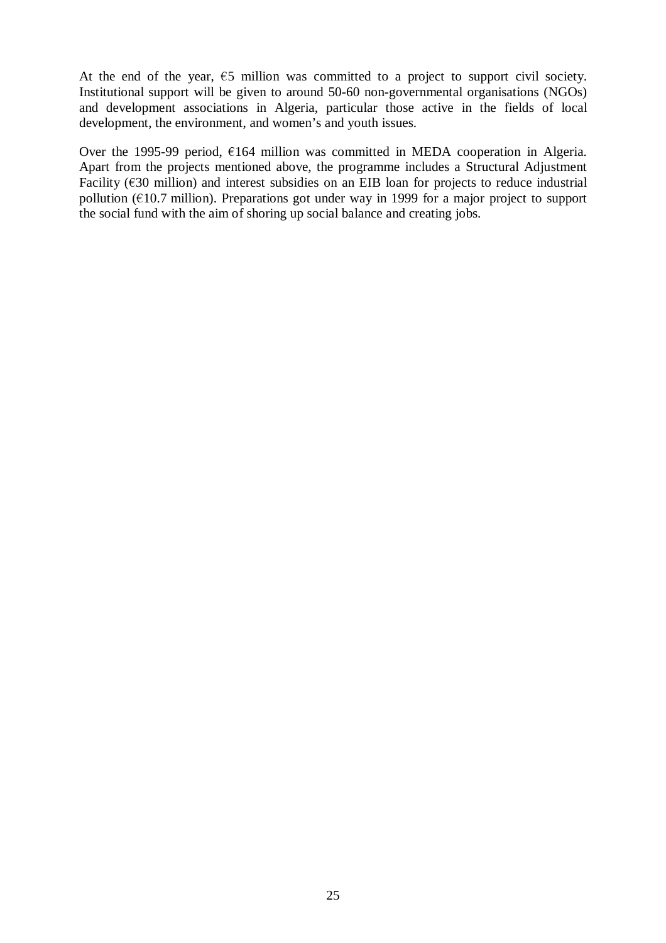At the end of the year,  $\epsilon$ 5 million was committed to a project to support civil society. Institutional support will be given to around 50-60 non-governmental organisations (NGOs) and development associations in Algeria, particular those active in the fields of local development, the environment, and women's and youth issues.

Over the 1995-99 period,  $E164$  million was committed in MEDA cooperation in Algeria. Apart from the projects mentioned above, the programme includes a Structural Adjustment Facility ( $\epsilon$ 30 million) and interest subsidies on an EIB loan for projects to reduce industrial pollution ( $\epsilon$ 10.7 million). Preparations got under way in 1999 for a major project to support pollution ( $\epsilon$ 10.7 million). Preparations got under way in 1999 for a major project to support the social fund with the aim of shoring un social balance and creating jobs the social fund with the aim of shoring up social balance and creating jobs.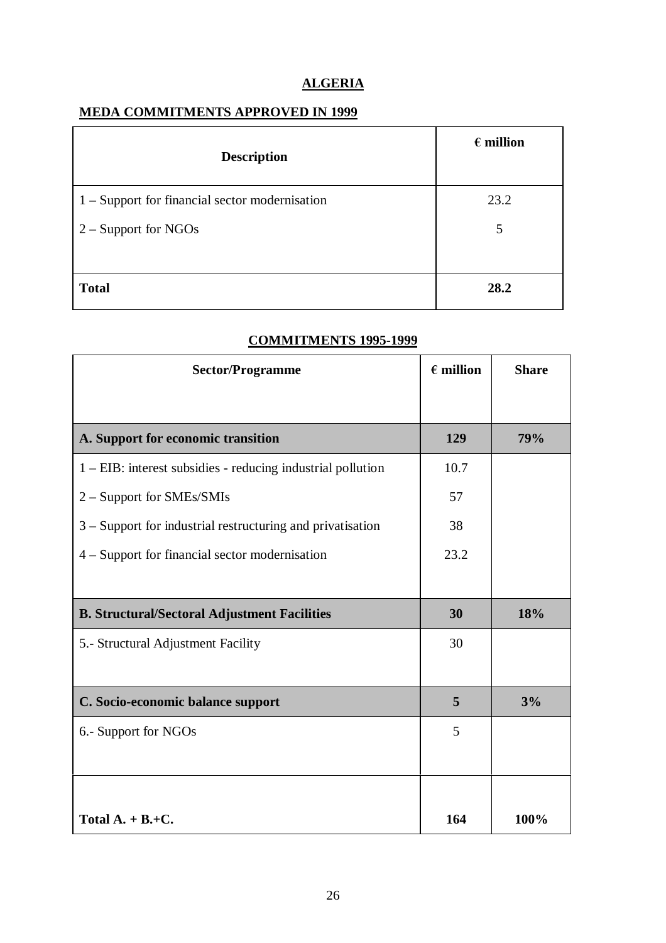# **ALGERIA**

## **MEDA COMMITMENTS APPROVED IN 1999**

| <b>Description</b>                               | $\epsilon$ million |
|--------------------------------------------------|--------------------|
| $1 -$ Support for financial sector modernisation | 23.2               |
| $2 -$ Support for NGOs                           | 5                  |
| <b>Total</b>                                     | 28.2               |

| <b>Sector/Programme</b>                                     | $\epsilon$ million | <b>Share</b> |
|-------------------------------------------------------------|--------------------|--------------|
|                                                             |                    |              |
| A. Support for economic transition                          | 129                | 79%          |
| 1 – EIB: interest subsidies - reducing industrial pollution | 10.7               |              |
| 2 – Support for SMEs/SMIs                                   | 57                 |              |
| 3 – Support for industrial restructuring and privatisation  | 38                 |              |
| 4 – Support for financial sector modernisation              | 23.2               |              |
|                                                             |                    |              |
| <b>B. Structural/Sectoral Adjustment Facilities</b>         | 30                 | 18%          |
| 5.- Structural Adjustment Facility                          | 30                 |              |
|                                                             |                    |              |
| C. Socio-economic balance support                           | 5                  | 3%           |
| 6.- Support for NGOs                                        | 5                  |              |
|                                                             |                    |              |
|                                                             |                    |              |
| Total $A. + B. + C.$                                        | 164                | 100%         |

## **COMMITMENTS 1995-1999**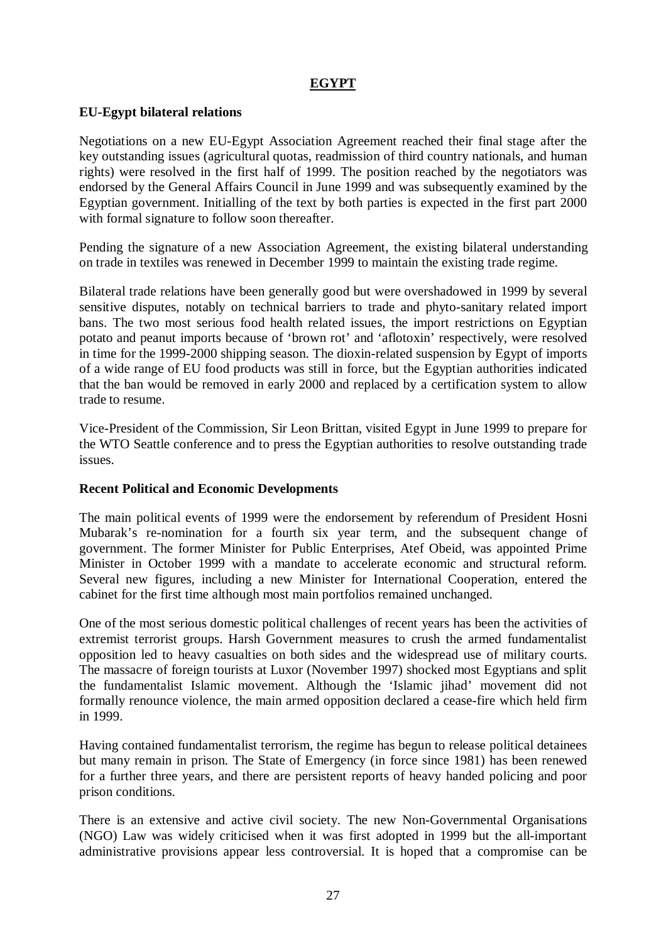## **EGYPT**

### **EU-Egypt bilateral relations**

Negotiations on a new EU-Egypt Association Agreement reached their final stage after the key outstanding issues (agricultural quotas, readmission of third country nationals, and human rights) were resolved in the first half of 1999. The position reached by the negotiators was endorsed by the General Affairs Council in June 1999 and was subsequently examined by the Egyptian government. Initialling of the text by both parties is expected in the first part 2000 with formal signature to follow soon thereafter.

Pending the signature of a new Association Agreement, the existing bilateral understanding on trade in textiles was renewed in December 1999 to maintain the existing trade regime.

Bilateral trade relations have been generally good but were overshadowed in 1999 by several sensitive disputes, notably on technical barriers to trade and phyto-sanitary related import bans. The two most serious food health related issues, the import restrictions on Egyptian potato and peanut imports because of 'brown rot' and 'aflotoxin' respectively, were resolved in time for the 1999-2000 shipping season. The dioxin-related suspension by Egypt of imports of a wide range of EU food products was still in force, but the Egyptian authorities indicated that the ban would be removed in early 2000 and replaced by a certification system to allow trade to resume.

Vice-President of the Commission, Sir Leon Brittan, visited Egypt in June 1999 to prepare for the WTO Seattle conference and to press the Egyptian authorities to resolve outstanding trade issues.

### **Recent Political and Economic Developments**

The main political events of 1999 were the endorsement by referendum of President Hosni Mubarak's re-nomination for a fourth six year term, and the subsequent change of government. The former Minister for Public Enterprises, Atef Obeid, was appointed Prime Minister in October 1999 with a mandate to accelerate economic and structural reform. Several new figures, including a new Minister for International Cooperation, entered the cabinet for the first time although most main portfolios remained unchanged.

One of the most serious domestic political challenges of recent years has been the activities of extremist terrorist groups. Harsh Government measures to crush the armed fundamentalist opposition led to heavy casualties on both sides and the widespread use of military courts. The massacre of foreign tourists at Luxor (November 1997) shocked most Egyptians and split the fundamentalist Islamic movement. Although the 'Islamic jihad' movement did not formally renounce violence, the main armed opposition declared a cease-fire which held firm in 1999.

Having contained fundamentalist terrorism, the regime has begun to release political detainees but many remain in prison. The State of Emergency (in force since 1981) has been renewed for a further three years, and there are persistent reports of heavy handed policing and poor prison conditions.

There is an extensive and active civil society. The new Non-Governmental Organisations (NGO) Law was widely criticised when it was first adopted in 1999 but the all-important administrative provisions appear less controversial. It is hoped that a compromise can be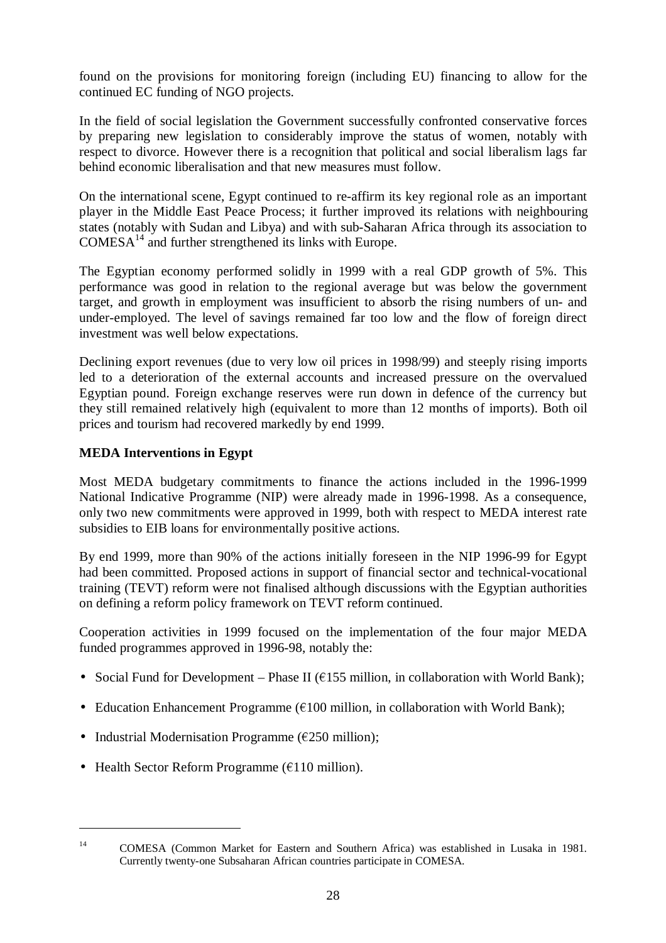found on the provisions for monitoring foreign (including EU) financing to allow for the continued EC funding of NGO projects.

In the field of social legislation the Government successfully confronted conservative forces by preparing new legislation to considerably improve the status of women, notably with respect to divorce. However there is a recognition that political and social liberalism lags far behind economic liberalisation and that new measures must follow.

On the international scene, Egypt continued to re-affirm its key regional role as an important player in the Middle East Peace Process; it further improved its relations with neighbouring states (notably with Sudan and Libya) and with sub-Saharan Africa through its association to  $COMESA<sup>14</sup>$  and further strengthened its links with Europe.

The Egyptian economy performed solidly in 1999 with a real GDP growth of 5%. This performance was good in relation to the regional average but was below the government target, and growth in employment was insufficient to absorb the rising numbers of un- and under-employed. The level of savings remained far too low and the flow of foreign direct investment was well below expectations.

Declining export revenues (due to very low oil prices in 1998/99) and steeply rising imports led to a deterioration of the external accounts and increased pressure on the overvalued Egyptian pound. Foreign exchange reserves were run down in defence of the currency but they still remained relatively high (equivalent to more than 12 months of imports). Both oil prices and tourism had recovered markedly by end 1999.

## **MEDA Interventions in Egypt**

Most MEDA budgetary commitments to finance the actions included in the 1996-1999 National Indicative Programme (NIP) were already made in 1996-1998. As a consequence, only two new commitments were approved in 1999, both with respect to MEDA interest rate subsidies to EIB loans for environmentally positive actions.

By end 1999, more than 90% of the actions initially foreseen in the NIP 1996-99 for Egypt had been committed. Proposed actions in support of financial sector and technical-vocational training (TEVT) reform were not finalised although discussions with the Egyptian authorities on defining a reform policy framework on TEVT reform continued.

Cooperation activities in 1999 focused on the implementation of the four major MEDA funded programmes approved in 1996-98, notably the:

- Social Fund for Development Phase II ( $\epsilon$ 155 million, in collaboration with World Bank);
- Education Enhancement Programme ( $\epsilon$ 100 million, in collaboration with World Bank);
- Industrial Modernisation Programme  $(\epsilon 250 \text{ million});$
- Health Sector Reform Programme  $(\epsilon 110 \text{ million})$ .

<sup>14</sup> COMESA (Common Market for Eastern and Southern Africa) was established in Lusaka in 1981. Currently twenty-one Subsaharan African countries participate in COMESA.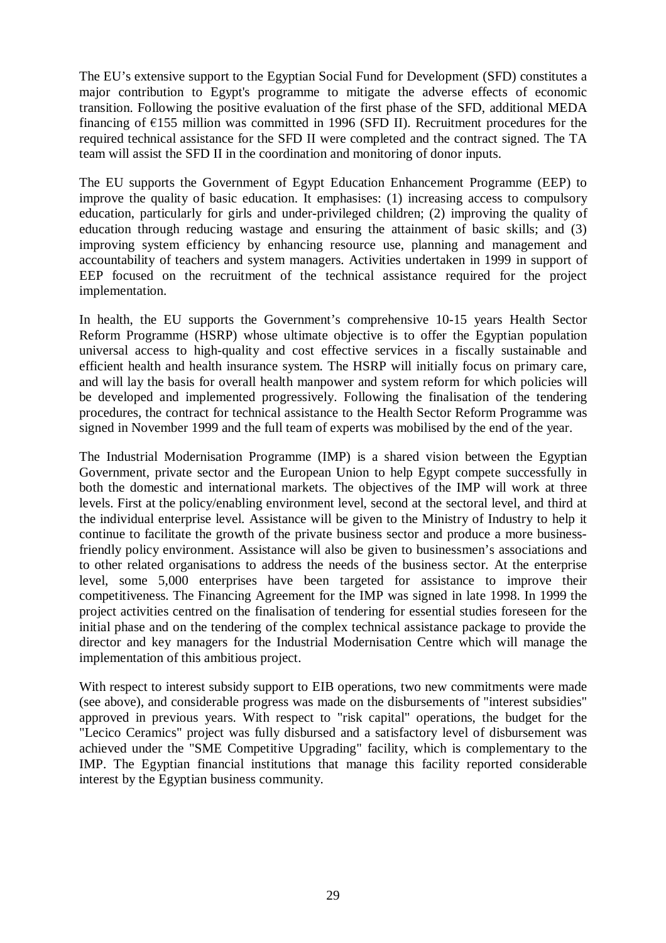The EU's extensive support to the Egyptian Social Fund for Development (SFD) constitutes a major contribution to Egypt's programme to mitigate the adverse effects of economic transition. Following the positive evaluation of the first phase of the SFD, additional MEDA financing of  $\epsilon$ 155 million was committed in 1996 (SFD II). Recruitment procedures for the required technical assistance for the SFD II were completed and the contract signed. The TA team will assist the SFD II in the coordination and monitoring of donor inputs.

The EU supports the Government of Egypt Education Enhancement Programme (EEP) to improve the quality of basic education. It emphasises: (1) increasing access to compulsory education, particularly for girls and under-privileged children; (2) improving the quality of education through reducing wastage and ensuring the attainment of basic skills; and (3) improving system efficiency by enhancing resource use, planning and management and accountability of teachers and system managers. Activities undertaken in 1999 in support of EEP focused on the recruitment of the technical assistance required for the project implementation.

In health, the EU supports the Government's comprehensive 10-15 years Health Sector Reform Programme (HSRP) whose ultimate objective is to offer the Egyptian population universal access to high-quality and cost effective services in a fiscally sustainable and efficient health and health insurance system. The HSRP will initially focus on primary care, and will lay the basis for overall health manpower and system reform for which policies will be developed and implemented progressively. Following the finalisation of the tendering procedures, the contract for technical assistance to the Health Sector Reform Programme was signed in November 1999 and the full team of experts was mobilised by the end of the year.

The Industrial Modernisation Programme (IMP) is a shared vision between the Egyptian Government, private sector and the European Union to help Egypt compete successfully in both the domestic and international markets. The objectives of the IMP will work at three levels. First at the policy/enabling environment level, second at the sectoral level, and third at the individual enterprise level. Assistance will be given to the Ministry of Industry to help it continue to facilitate the growth of the private business sector and produce a more businessfriendly policy environment. Assistance will also be given to businessmen's associations and to other related organisations to address the needs of the business sector. At the enterprise level, some 5,000 enterprises have been targeted for assistance to improve their competitiveness. The Financing Agreement for the IMP was signed in late 1998. In 1999 the project activities centred on the finalisation of tendering for essential studies foreseen for the initial phase and on the tendering of the complex technical assistance package to provide the director and key managers for the Industrial Modernisation Centre which will manage the implementation of this ambitious project.

With respect to interest subsidy support to EIB operations, two new commitments were made (see above), and considerable progress was made on the disbursements of "interest subsidies" approved in previous years. With respect to "risk capital" operations, the budget for the "Lecico Ceramics" project was fully disbursed and a satisfactory level of disbursement was achieved under the "SME Competitive Upgrading" facility, which is complementary to the IMP. The Egyptian financial institutions that manage this facility reported considerable interest by the Egyptian business community.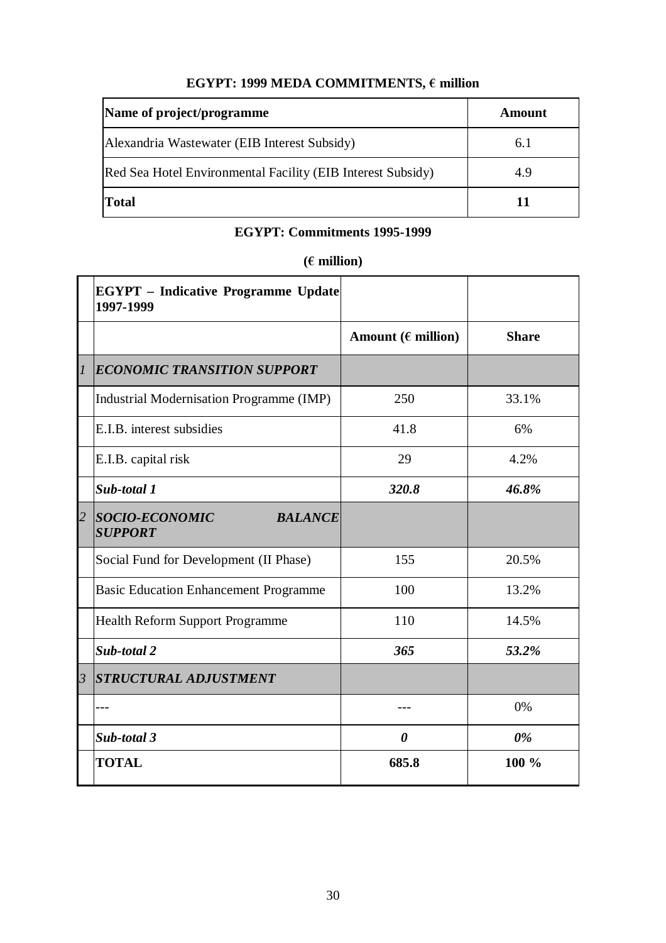# $\textbf{EGYPT: 1999}$  MEDA COMMITMENTS,  $\boldsymbol{\epsilon}$  million

| Name of project/programme                                   | Amount |
|-------------------------------------------------------------|--------|
| Alexandria Wastewater (EIB Interest Subsidy)                | 6.1    |
| Red Sea Hotel Environmental Facility (EIB Interest Subsidy) | 4.9    |
| <b>Total</b>                                                | 11     |

# **EGYPT: Commitments 1995-1999**

# **( million)**

|                | <b>EGYPT</b> – Indicative Programme Update<br>1997-1999 |                              |              |
|----------------|---------------------------------------------------------|------------------------------|--------------|
|                |                                                         | Amount ( $\epsilon$ million) | <b>Share</b> |
| $\overline{l}$ | ECONOMIC TRANSITION SUPPORT                             |                              |              |
|                | Industrial Modernisation Programme (IMP)                | 250                          | 33.1%        |
|                | E.I.B. interest subsidies                               | 41.8                         | 6%           |
|                | E.I.B. capital risk                                     | 29                           | 4.2%         |
|                | Sub-total 1                                             | 320.8                        | 46.8%        |
| $\overline{2}$ | SOCIO-ECONOMIC<br><b>BALANCE</b><br><b>SUPPORT</b>      |                              |              |
|                | Social Fund for Development (II Phase)                  | 155                          | 20.5%        |
|                | <b>Basic Education Enhancement Programme</b>            | 100                          | 13.2%        |
|                | <b>Health Reform Support Programme</b>                  | 110                          | 14.5%        |
|                | Sub-total 2                                             | 365                          | 53.2%        |
| $\overline{3}$ | <i><b>STRUCTURAL ADJUSTMENT</b></i>                     |                              |              |
|                |                                                         |                              | 0%           |
|                | Sub-total 3                                             | $\boldsymbol{\theta}$        | $0\%$        |
|                | <b>TOTAL</b>                                            | 685.8                        | 100 %        |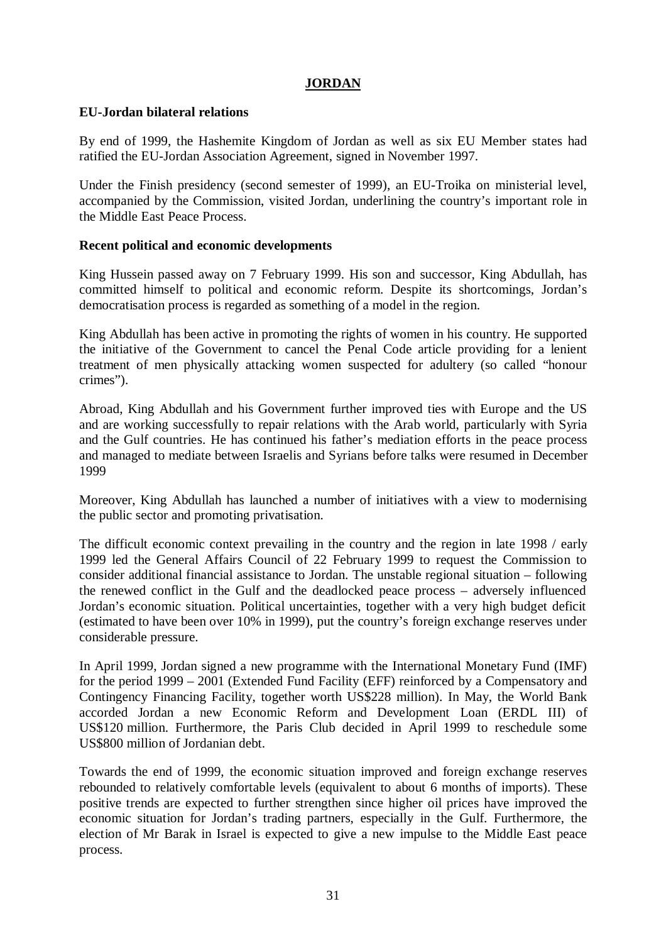## **JORDAN**

### **EU-Jordan bilateral relations**

By end of 1999, the Hashemite Kingdom of Jordan as well as six EU Member states had ratified the EU-Jordan Association Agreement, signed in November 1997.

Under the Finish presidency (second semester of 1999), an EU-Troika on ministerial level, accompanied by the Commission, visited Jordan, underlining the country's important role in the Middle East Peace Process.

### **Recent political and economic developments**

King Hussein passed away on 7 February 1999. His son and successor, King Abdullah, has committed himself to political and economic reform. Despite its shortcomings, Jordan's democratisation process is regarded as something of a model in the region.

King Abdullah has been active in promoting the rights of women in his country. He supported the initiative of the Government to cancel the Penal Code article providing for a lenient treatment of men physically attacking women suspected for adultery (so called "honour crimes").

Abroad, King Abdullah and his Government further improved ties with Europe and the US and are working successfully to repair relations with the Arab world, particularly with Syria and the Gulf countries. He has continued his father's mediation efforts in the peace process and managed to mediate between Israelis and Syrians before talks were resumed in December 1999

Moreover, King Abdullah has launched a number of initiatives with a view to modernising the public sector and promoting privatisation.

The difficult economic context prevailing in the country and the region in late 1998 / early 1999 led the General Affairs Council of 22 February 1999 to request the Commission to consider additional financial assistance to Jordan. The unstable regional situation – following the renewed conflict in the Gulf and the deadlocked peace process – adversely influenced Jordan's economic situation. Political uncertainties, together with a very high budget deficit (estimated to have been over 10% in 1999), put the country's foreign exchange reserves under considerable pressure.

In April 1999, Jordan signed a new programme with the International Monetary Fund (IMF) for the period 1999 – 2001 (Extended Fund Facility (EFF) reinforced by a Compensatory and Contingency Financing Facility, together worth US\$228 million). In May, the World Bank accorded Jordan a new Economic Reform and Development Loan (ERDL III) of US\$120 million. Furthermore, the Paris Club decided in April 1999 to reschedule some US\$800 million of Jordanian debt.

Towards the end of 1999, the economic situation improved and foreign exchange reserves rebounded to relatively comfortable levels (equivalent to about 6 months of imports). These positive trends are expected to further strengthen since higher oil prices have improved the economic situation for Jordan's trading partners, especially in the Gulf. Furthermore, the election of Mr Barak in Israel is expected to give a new impulse to the Middle East peace process.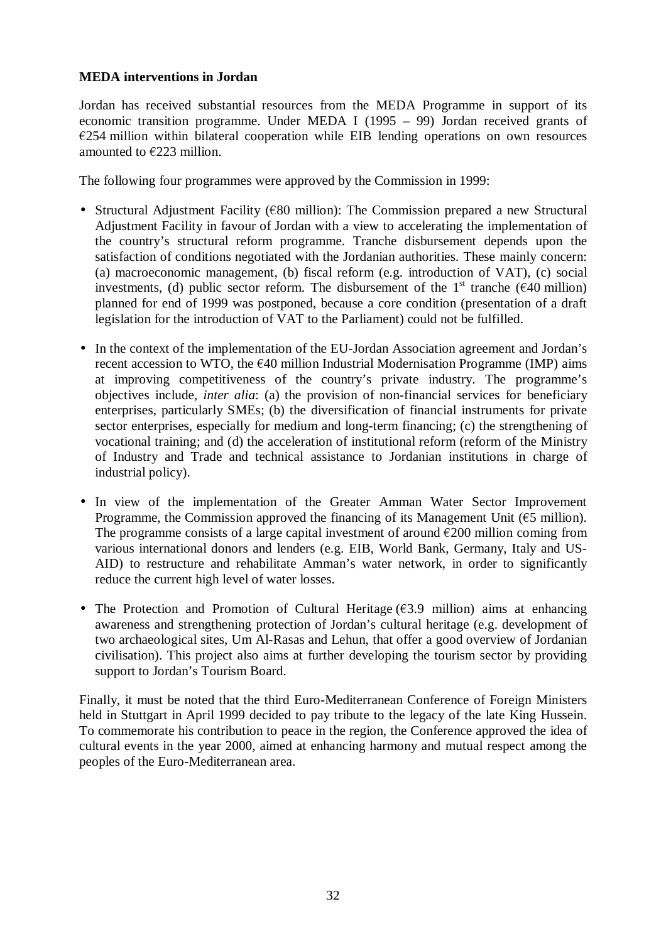### **MEDA interventions in Jordan**

Jordan has received substantial resources from the MEDA Programme in support of its economic transition programme. Under MEDA I (1995 – 99) Jordan received grants of  $E$ 254 million within bilateral cooperation while EIB lending operations on own resources amounted to  $\epsilon$ 223 million.

The following four programmes were approved by the Commission in 1999:

- Structural Adjustment Facility ( $\epsilon$ 80 million): The Commission prepared a new Structural Adjustment Facility in favour of Jordan with a view to accelerating the implementation of the country's structural reform programme. Tranche disbursement depends upon the satisfaction of conditions negotiated with the Jordanian authorities. These mainly concern: (a) macroeconomic management, (b) fiscal reform (e.g. introduction of VAT), (c) social investments, (d) public sector reform. The disbursement of the  $1<sup>st</sup>$  tranche ( $\epsilon$ 40 million) planned for end of 1999 was postponed, because a core condition (presentation of a draft legislation for the introduction of VAT to the Parliament) could not be fulfilled.
- In the context of the implementation of the EU-Jordan Association agreement and Jordan's recent accession to WTO, the  $\epsilon$ 40 million Industrial Modernisation Programme (IMP) aims at improving competitiveness of the country's private industry. The programme's objectives include, *inter alia*: (a) the provision of non-financial services for beneficiary enterprises, particularly SMEs; (b) the diversification of financial instruments for private sector enterprises, especially for medium and long-term financing; (c) the strengthening of vocational training; and (d) the acceleration of institutional reform (reform of the Ministry of Industry and Trade and technical assistance to Jordanian institutions in charge of industrial policy).
- In view of the implementation of the Greater Amman Water Sector Improvement Programme, the Commission approved the financing of its Management Unit ( $\epsilon$ 5 million). The programme consists of a large capital investment of around  $\epsilon$ 200 million coming from various international donors and lenders (e.g. EIB, World Bank, Germany, Italy and US-AID) to restructure and rehabilitate Amman's water network, in order to significantly reduce the current high level of water losses.
- The Protection and Promotion of Cultural Heritage  $(63.9 \text{ million})$  aims at enhancing awareness and strengthening protection of Jordan's cultural heritage (e.g. development of two archaeological sites, Um Al-Rasas and Lehun, that offer a good overview of Jordanian civilisation). This project also aims at further developing the tourism sector by providing support to Jordan's Tourism Board.

Finally, it must be noted that the third Euro-Mediterranean Conference of Foreign Ministers held in Stuttgart in April 1999 decided to pay tribute to the legacy of the late King Hussein. To commemorate his contribution to peace in the region, the Conference approved the idea of cultural events in the year 2000, aimed at enhancing harmony and mutual respect among the peoples of the Euro-Mediterranean area.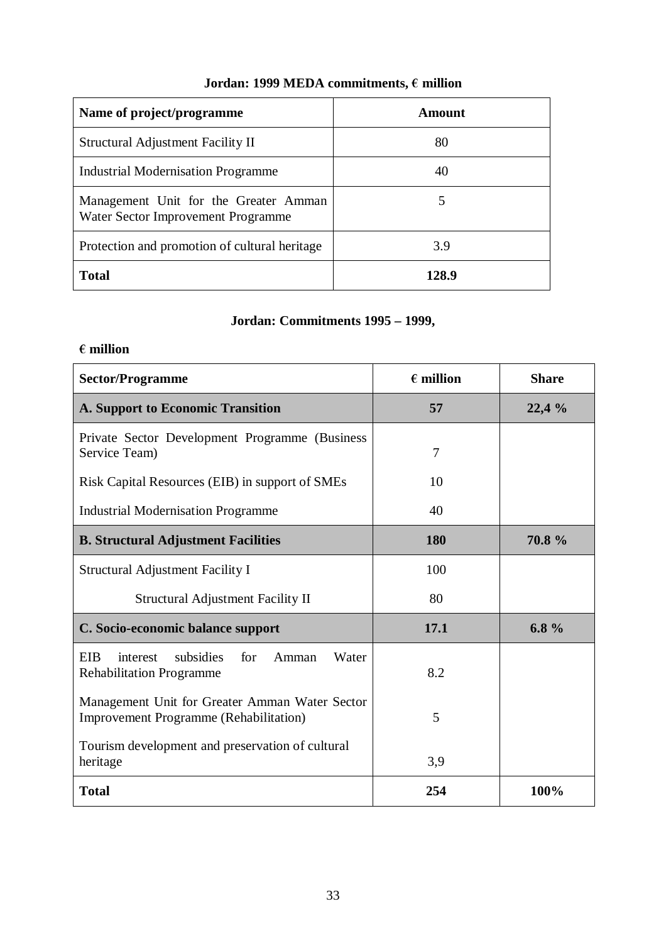# Jordan: 1999 MEDA commitments,  $\boldsymbol{\epsilon}$  million

| Name of project/programme                                                   | Amount |
|-----------------------------------------------------------------------------|--------|
| Structural Adjustment Facility II                                           | 80     |
| <b>Industrial Modernisation Programme</b>                                   | 40     |
| Management Unit for the Greater Amman<br>Water Sector Improvement Programme |        |
| Protection and promotion of cultural heritage                               | 3.9    |
| <b>Total</b>                                                                | 128.9  |

# **Jordan: Commitments 1995 – 1999,**

## **million**

| <b>Sector/Programme</b>                                                                         | $\epsilon$ million | <b>Share</b> |
|-------------------------------------------------------------------------------------------------|--------------------|--------------|
| <b>A. Support to Economic Transition</b>                                                        | 57                 | 22,4%        |
| Private Sector Development Programme (Business<br>Service Team)                                 | 7                  |              |
| Risk Capital Resources (EIB) in support of SMEs                                                 | 10                 |              |
| <b>Industrial Modernisation Programme</b>                                                       | 40                 |              |
| <b>B. Structural Adjustment Facilities</b>                                                      | 180                | 70.8 %       |
| Structural Adjustment Facility I                                                                | 100                |              |
| <b>Structural Adjustment Facility II</b>                                                        | 80                 |              |
| C. Socio-economic balance support                                                               | 17.1               | 6.8 $%$      |
| <b>EIB</b><br>subsidies<br>for<br>Amman<br>Water<br>interest<br><b>Rehabilitation Programme</b> | 8.2                |              |
| Management Unit for Greater Amman Water Sector<br><b>Improvement Programme (Rehabilitation)</b> | 5                  |              |
| Tourism development and preservation of cultural<br>heritage                                    | 3,9                |              |
| <b>Total</b>                                                                                    | 254                | 100%         |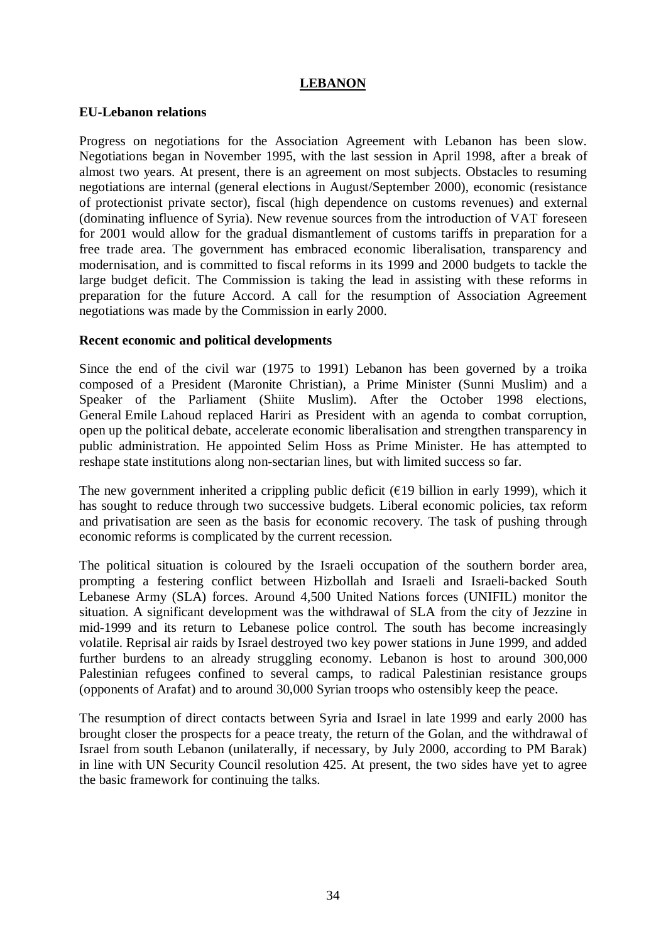### **LEBANON**

### **EU-Lebanon relations**

Progress on negotiations for the Association Agreement with Lebanon has been slow. Negotiations began in November 1995, with the last session in April 1998, after a break of almost two years. At present, there is an agreement on most subjects. Obstacles to resuming negotiations are internal (general elections in August/September 2000), economic (resistance of protectionist private sector), fiscal (high dependence on customs revenues) and external (dominating influence of Syria). New revenue sources from the introduction of VAT foreseen for 2001 would allow for the gradual dismantlement of customs tariffs in preparation for a free trade area. The government has embraced economic liberalisation, transparency and modernisation, and is committed to fiscal reforms in its 1999 and 2000 budgets to tackle the large budget deficit. The Commission is taking the lead in assisting with these reforms in preparation for the future Accord. A call for the resumption of Association Agreement negotiations was made by the Commission in early 2000.

### **Recent economic and political developments**

Since the end of the civil war (1975 to 1991) Lebanon has been governed by a troika composed of a President (Maronite Christian), a Prime Minister (Sunni Muslim) and a Speaker of the Parliament (Shiite Muslim). After the October 1998 elections, General Emile Lahoud replaced Hariri as President with an agenda to combat corruption, open up the political debate, accelerate economic liberalisation and strengthen transparency in public administration. He appointed Selim Hoss as Prime Minister. He has attempted to reshape state institutions along non-sectarian lines, but with limited success so far.

The new government inherited a crippling public deficit ( $\epsilon$ 19 billion in early 1999), which it has sought to reduce through two successive budgets. Liberal economic policies, tax reform and privatisation are seen as the basis for economic recovery. The task of pushing through economic reforms is complicated by the current recession.

The political situation is coloured by the Israeli occupation of the southern border area, prompting a festering conflict between Hizbollah and Israeli and Israeli-backed South Lebanese Army (SLA) forces. Around 4,500 United Nations forces (UNIFIL) monitor the situation. A significant development was the withdrawal of SLA from the city of Jezzine in mid-1999 and its return to Lebanese police control. The south has become increasingly volatile. Reprisal air raids by Israel destroyed two key power stations in June 1999, and added further burdens to an already struggling economy. Lebanon is host to around 300,000 Palestinian refugees confined to several camps, to radical Palestinian resistance groups (opponents of Arafat) and to around 30,000 Syrian troops who ostensibly keep the peace.

The resumption of direct contacts between Syria and Israel in late 1999 and early 2000 has brought closer the prospects for a peace treaty, the return of the Golan, and the withdrawal of Israel from south Lebanon (unilaterally, if necessary, by July 2000, according to PM Barak) in line with UN Security Council resolution 425. At present, the two sides have yet to agree the basic framework for continuing the talks.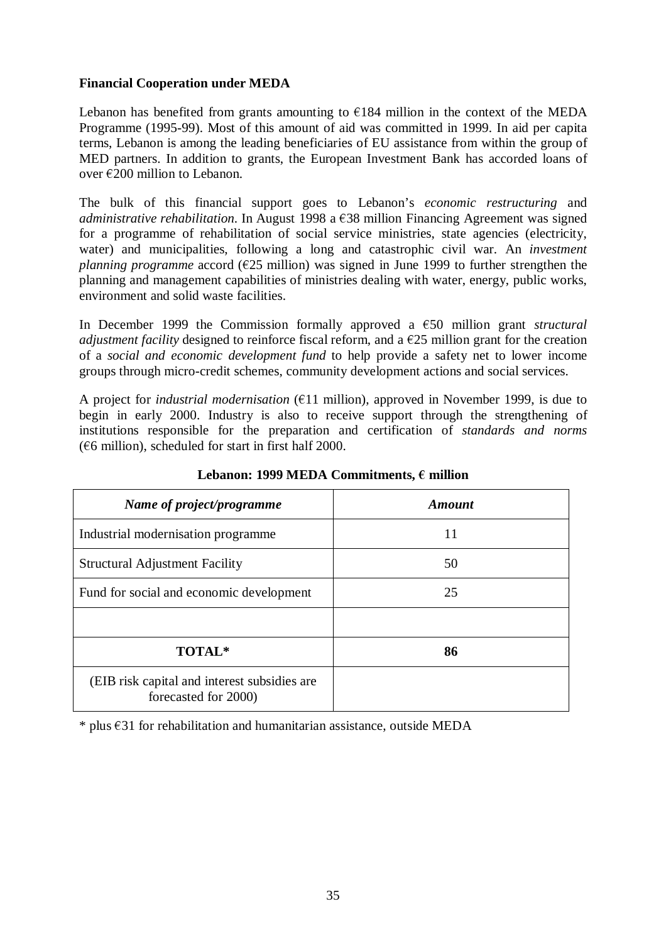### **Financial Cooperation under MEDA**

Lebanon has benefited from grants amounting to  $\epsilon$ 184 million in the context of the MEDA Programme (1995-99). Most of this amount of aid was committed in 1999. In aid per capita terms, Lebanon is among the leading beneficiaries of EU assistance from within the group of MED partners. In addition to grants, the European Investment Bank has accorded loans of over  $\epsilon$ 200 million to Lebanon.

The bulk of this financial support goes to Lebanon's *economic restructuring* and *administrative rehabilitation*. In August 1998 a  $\epsilon$ 38 million Financing Agreement was signed for a programme of rehabilitation of social service ministries, state agencies (electricity, water) and municipalities, following a long and catastrophic civil war. An *investment planning programme* accord ( $\epsilon$ 25 million) was signed in June 1999 to further strengthen the planning and management capabilities of ministries dealing with water, energy, public works, environment and solid waste facilities.

In December 1999 the Commission formally approved a  $\epsilon$ 50 million grant *structural adjustment facility* designed to reinforce fiscal reform, and a  $\epsilon$ 25 million grant for the creation of a *social and economic development fund* to help provide a safety net to lower income groups through micro-credit schemes, community development actions and social services.

A project for *industrial modernisation* ( $E11$  million), approved in November 1999, is due to begin in early 2000. Industry is also to receive support through the strengthening of institutions responsible for the preparation and certification of *standards and norms*  $(66$  million), scheduled for start in first half 2000.

| Name of project/programme                                            | <b>Amount</b> |
|----------------------------------------------------------------------|---------------|
| Industrial modernisation programme                                   | 11            |
| <b>Structural Adjustment Facility</b>                                | 50            |
| Fund for social and economic development                             | 25            |
|                                                                      |               |
| TOTAL*                                                               | 86            |
| (EIB risk capital and interest subsidies are<br>forecasted for 2000) |               |

Lebanon: 1999 MEDA Commitments,  $\epsilon$  million

 $*$  plus  $\epsilon$ 31 for rehabilitation and humanitarian assistance, outside MEDA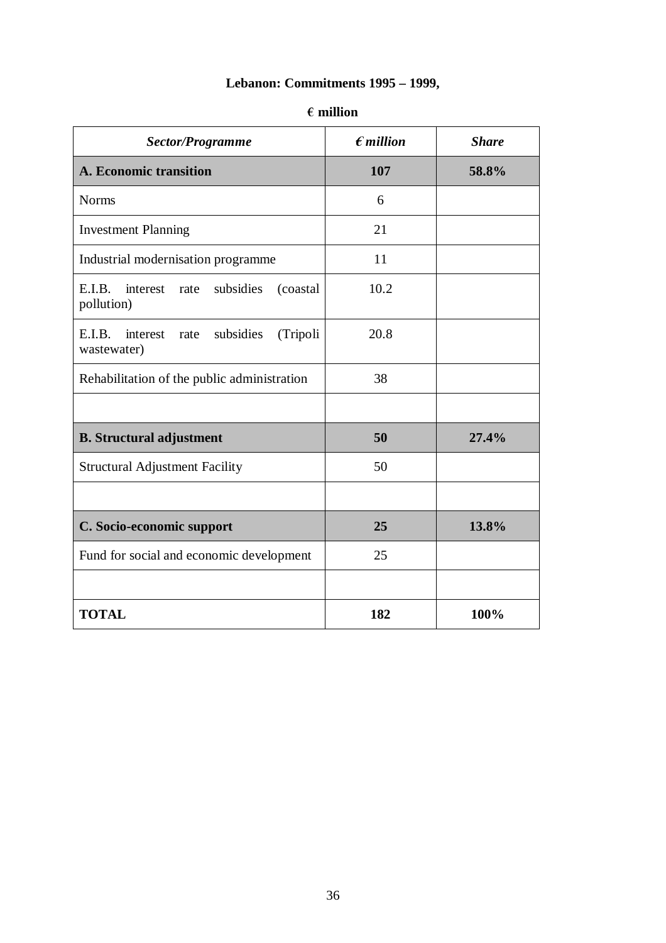# **Lebanon: Commitments 1995 – 1999,**

| Sector/Programme                                                   | $\epsilon$ <i>million</i> | <b>Share</b> |
|--------------------------------------------------------------------|---------------------------|--------------|
| A. Economic transition                                             | 107                       | 58.8%        |
| <b>Norms</b>                                                       | 6                         |              |
| <b>Investment Planning</b>                                         | 21                        |              |
| Industrial modernisation programme                                 | 11                        |              |
| E.I.B.<br>subsidies<br>interest<br>(coastal)<br>rate<br>pollution) | 10.2                      |              |
| E.I.B.<br>interest<br>subsidies<br>(Tripoli<br>rate<br>wastewater) | 20.8                      |              |
| Rehabilitation of the public administration                        | 38                        |              |
|                                                                    |                           |              |
| <b>B.</b> Structural adjustment                                    | 50                        | 27.4%        |
| <b>Structural Adjustment Facility</b>                              | 50                        |              |
|                                                                    |                           |              |
| C. Socio-economic support                                          | 25                        | 13.8%        |
| Fund for social and economic development                           | 25                        |              |
|                                                                    |                           |              |
| <b>TOTAL</b>                                                       | 182                       | 100%         |

### **million**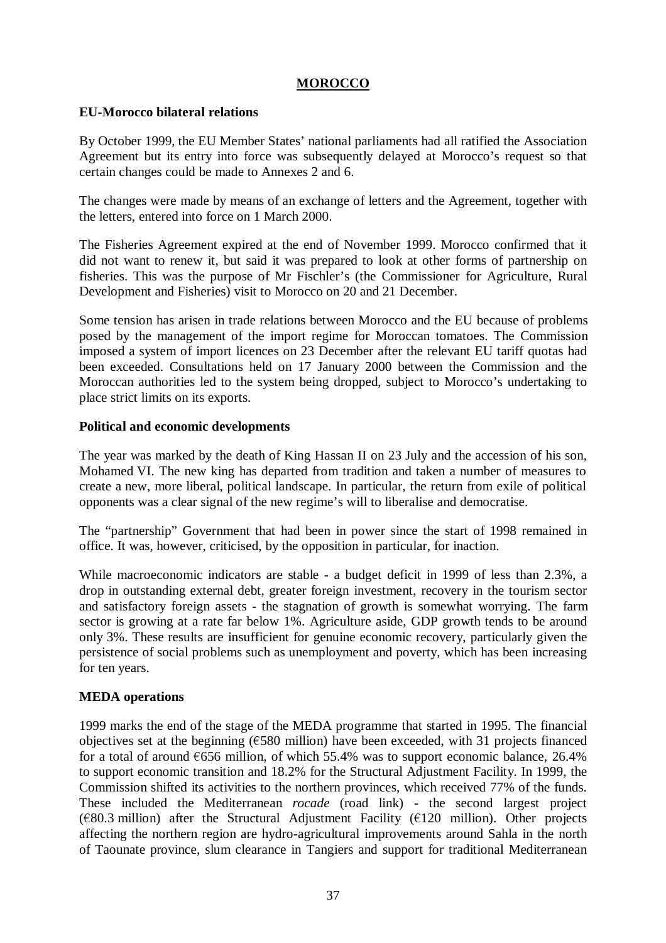## **MOROCCO**

### **EU-Morocco bilateral relations**

By October 1999, the EU Member States' national parliaments had all ratified the Association Agreement but its entry into force was subsequently delayed at Morocco's request so that certain changes could be made to Annexes 2 and 6.

The changes were made by means of an exchange of letters and the Agreement, together with the letters, entered into force on 1 March 2000.

The Fisheries Agreement expired at the end of November 1999. Morocco confirmed that it did not want to renew it, but said it was prepared to look at other forms of partnership on fisheries. This was the purpose of Mr Fischler's (the Commissioner for Agriculture, Rural Development and Fisheries) visit to Morocco on 20 and 21 December.

Some tension has arisen in trade relations between Morocco and the EU because of problems posed by the management of the import regime for Moroccan tomatoes. The Commission imposed a system of import licences on 23 December after the relevant EU tariff quotas had been exceeded. Consultations held on 17 January 2000 between the Commission and the Moroccan authorities led to the system being dropped, subject to Morocco's undertaking to place strict limits on its exports.

### **Political and economic developments**

The year was marked by the death of King Hassan II on 23 July and the accession of his son, Mohamed VI. The new king has departed from tradition and taken a number of measures to create a new, more liberal, political landscape. In particular, the return from exile of political opponents was a clear signal of the new regime's will to liberalise and democratise.

The "partnership" Government that had been in power since the start of 1998 remained in office. It was, however, criticised, by the opposition in particular, for inaction.

While macroeconomic indicators are stable - a budget deficit in 1999 of less than 2.3%, a drop in outstanding external debt, greater foreign investment, recovery in the tourism sector and satisfactory foreign assets - the stagnation of growth is somewhat worrying. The farm sector is growing at a rate far below 1%. Agriculture aside, GDP growth tends to be around only 3%. These results are insufficient for genuine economic recovery, particularly given the persistence of social problems such as unemployment and poverty, which has been increasing for ten years.

### **MEDA operations**

1999 marks the end of the stage of the MEDA programme that started in 1995. The financial objectives set at the beginning ( $\epsilon$ 580 million) have been exceeded, with 31 projects financed for a total of around  $6556$  million, of which 55.4% was to support economic balance, 26.4% to support economic transition and 18.2% for the Structural Adjustment Facility. In 1999, the Commission shifted its activities to the northern provinces, which received 77% of the funds. These included the Mediterranean *rocade* (road link) - the second largest project  $(\text{\textsterling}80.3 \text{ million})$  after the Structural Adjustment Facility ( $\text{\textsterling}120 \text{ million}$ ). Other projects affecting the northern region are hydro-agricultural improvements around Sahla in the north of Taounate province, slum clearance in Tangiers and support for traditional Mediterranean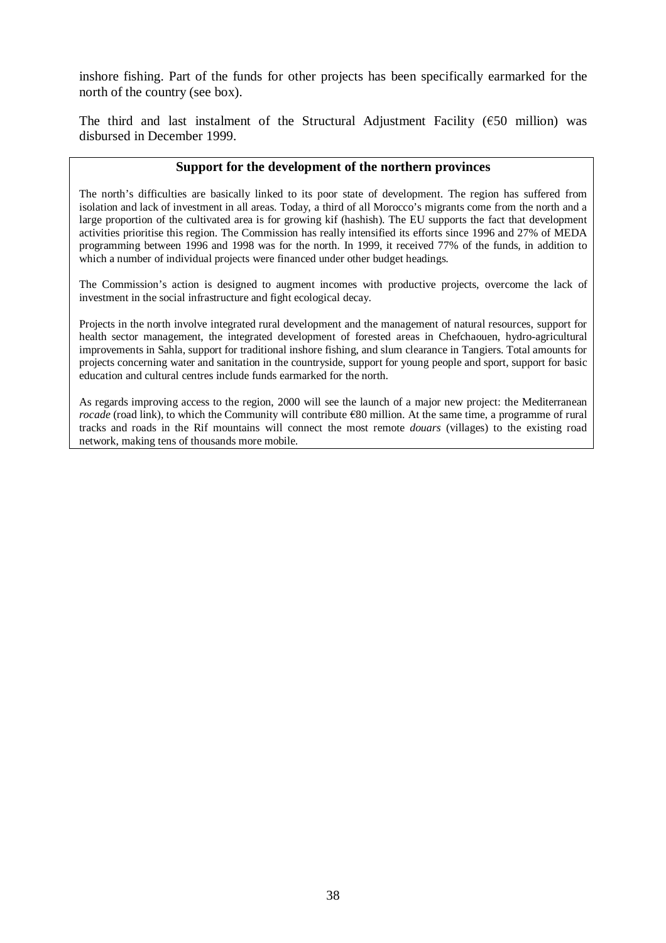inshore fishing. Part of the funds for other projects has been specifically earmarked for the north of the country (see box).

The third and last instalment of the Structural Adjustment Facility ( $\epsilon$ 50 million) was disbursed in December 1999.

### **Support for the development of the northern provinces**

The north's difficulties are basically linked to its poor state of development. The region has suffered from isolation and lack of investment in all areas. Today, a third of all Morocco's migrants come from the north and a large proportion of the cultivated area is for growing kif (hashish). The EU supports the fact that development activities prioritise this region. The Commission has really intensified its efforts since 1996 and 27% of MEDA programming between 1996 and 1998 was for the north. In 1999, it received 77% of the funds, in addition to which a number of individual projects were financed under other budget headings.

The Commission's action is designed to augment incomes with productive projects, overcome the lack of investment in the social infrastructure and fight ecological decay.

Projects in the north involve integrated rural development and the management of natural resources, support for health sector management, the integrated development of forested areas in Chefchaouen, hydro-agricultural improvements in Sahla, support for traditional inshore fishing, and slum clearance in Tangiers. Total amounts for projects concerning water and sanitation in the countryside, support for young people and sport, support for basic education and cultural centres include funds earmarked for the north.

As regards improving access to the region, 2000 will see the launch of a major new project: the Mediterranean *rocade* (road link), to which the Community will contribute  $\epsilon$ 80 million. At the same time, a programme of rural tracks and roads in the Rif mountains will connect the most remote *douars* (villages) to the existing road network, making tens of thousands more mobile.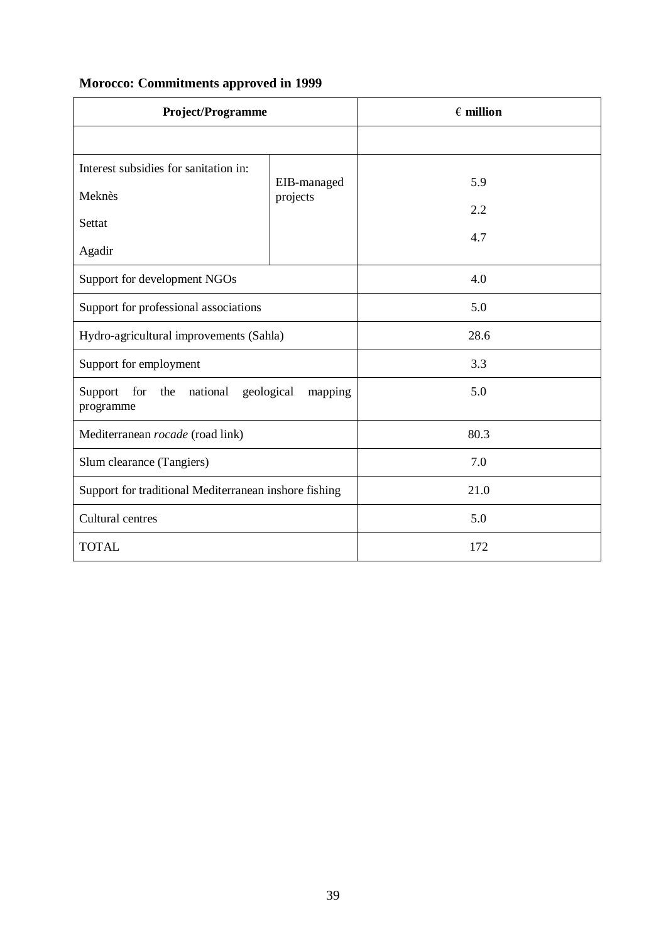| <b>Project/Programme</b>                                                |             | $\epsilon$ million |
|-------------------------------------------------------------------------|-------------|--------------------|
|                                                                         |             |                    |
| Interest subsidies for sanitation in:                                   | EIB-managed | 5.9                |
| Meknès                                                                  | projects    | 2.2                |
| Settat                                                                  |             | 4.7                |
| Agadir                                                                  |             |                    |
| Support for development NGOs                                            |             | 4.0                |
| Support for professional associations                                   |             | 5.0                |
| Hydro-agricultural improvements (Sahla)                                 |             | 28.6               |
| Support for employment                                                  |             | 3.3                |
| for<br>the<br>national<br>geological<br>Support<br>mapping<br>programme |             | 5.0                |
| Mediterranean rocade (road link)                                        |             | 80.3               |
| Slum clearance (Tangiers)                                               |             | 7.0                |
| Support for traditional Mediterranean inshore fishing                   |             | 21.0               |
| Cultural centres                                                        |             | 5.0                |
| <b>TOTAL</b>                                                            |             | 172                |

# **Morocco: Commitments approved in 1999**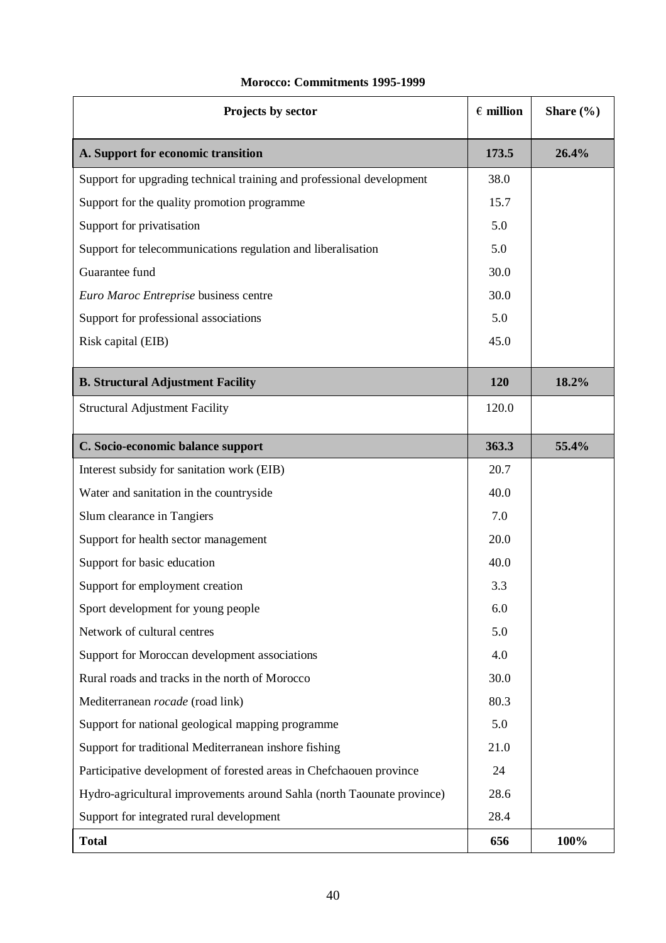| Projects by sector                                                     |       | Share $(\% )$ |
|------------------------------------------------------------------------|-------|---------------|
| A. Support for economic transition                                     |       | 26.4%         |
| Support for upgrading technical training and professional development  | 38.0  |               |
| Support for the quality promotion programme                            | 15.7  |               |
| Support for privatisation                                              | 5.0   |               |
| Support for telecommunications regulation and liberalisation           | 5.0   |               |
| Guarantee fund                                                         | 30.0  |               |
| Euro Maroc Entreprise business centre                                  | 30.0  |               |
| Support for professional associations                                  | 5.0   |               |
| Risk capital (EIB)                                                     | 45.0  |               |
| <b>B. Structural Adjustment Facility</b>                               | 120   | 18.2%         |
| <b>Structural Adjustment Facility</b>                                  | 120.0 |               |
| C. Socio-economic balance support                                      |       | 55.4%         |
| Interest subsidy for sanitation work (EIB)                             | 20.7  |               |
| Water and sanitation in the countryside                                | 40.0  |               |
| Slum clearance in Tangiers                                             |       |               |
| Support for health sector management                                   | 20.0  |               |
| Support for basic education                                            | 40.0  |               |
| Support for employment creation                                        | 3.3   |               |
| Sport development for young people                                     | 6.0   |               |
| Network of cultural centres                                            | 5.0   |               |
| Support for Moroccan development associations                          | 4.0   |               |
| Rural roads and tracks in the north of Morocco                         | 30.0  |               |
| Mediterranean rocade (road link)                                       | 80.3  |               |
| Support for national geological mapping programme                      |       |               |
| Support for traditional Mediterranean inshore fishing                  |       |               |
| Participative development of forested areas in Chefchaouen province    |       |               |
| Hydro-agricultural improvements around Sahla (north Taounate province) |       |               |
| Support for integrated rural development                               |       |               |
| <b>Total</b>                                                           |       | 100%          |

## **Morocco: Commitments 1995-1999**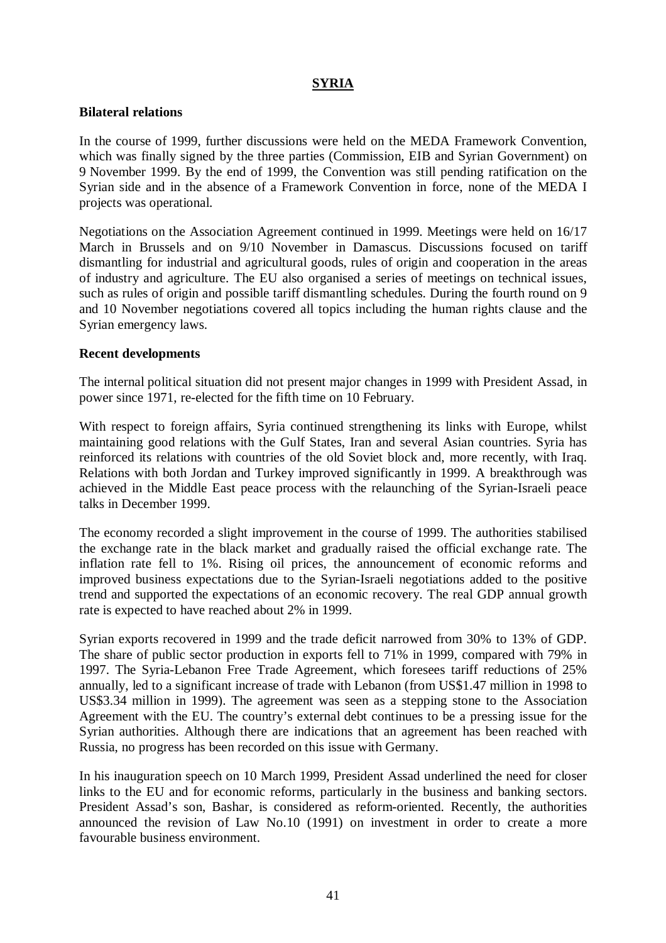## **SYRIA**

### **Bilateral relations**

In the course of 1999, further discussions were held on the MEDA Framework Convention, which was finally signed by the three parties (Commission, EIB and Syrian Government) on 9 November 1999. By the end of 1999, the Convention was still pending ratification on the Syrian side and in the absence of a Framework Convention in force, none of the MEDA I projects was operational.

Negotiations on the Association Agreement continued in 1999. Meetings were held on 16/17 March in Brussels and on 9/10 November in Damascus. Discussions focused on tariff dismantling for industrial and agricultural goods, rules of origin and cooperation in the areas of industry and agriculture. The EU also organised a series of meetings on technical issues, such as rules of origin and possible tariff dismantling schedules. During the fourth round on 9 and 10 November negotiations covered all topics including the human rights clause and the Syrian emergency laws.

### **Recent developments**

The internal political situation did not present major changes in 1999 with President Assad, in power since 1971, re-elected for the fifth time on 10 February.

With respect to foreign affairs, Syria continued strengthening its links with Europe, whilst maintaining good relations with the Gulf States, Iran and several Asian countries. Syria has reinforced its relations with countries of the old Soviet block and, more recently, with Iraq. Relations with both Jordan and Turkey improved significantly in 1999. A breakthrough was achieved in the Middle East peace process with the relaunching of the Syrian-Israeli peace talks in December 1999.

The economy recorded a slight improvement in the course of 1999. The authorities stabilised the exchange rate in the black market and gradually raised the official exchange rate. The inflation rate fell to 1%. Rising oil prices, the announcement of economic reforms and improved business expectations due to the Syrian-Israeli negotiations added to the positive trend and supported the expectations of an economic recovery. The real GDP annual growth rate is expected to have reached about 2% in 1999.

Syrian exports recovered in 1999 and the trade deficit narrowed from 30% to 13% of GDP. The share of public sector production in exports fell to 71% in 1999, compared with 79% in 1997. The Syria-Lebanon Free Trade Agreement, which foresees tariff reductions of 25% annually, led to a significant increase of trade with Lebanon (from US\$1.47 million in 1998 to US\$3.34 million in 1999). The agreement was seen as a stepping stone to the Association Agreement with the EU. The country's external debt continues to be a pressing issue for the Syrian authorities. Although there are indications that an agreement has been reached with Russia, no progress has been recorded on this issue with Germany.

In his inauguration speech on 10 March 1999, President Assad underlined the need for closer links to the EU and for economic reforms, particularly in the business and banking sectors. President Assad's son, Bashar, is considered as reform-oriented. Recently, the authorities announced the revision of Law No.10 (1991) on investment in order to create a more favourable business environment.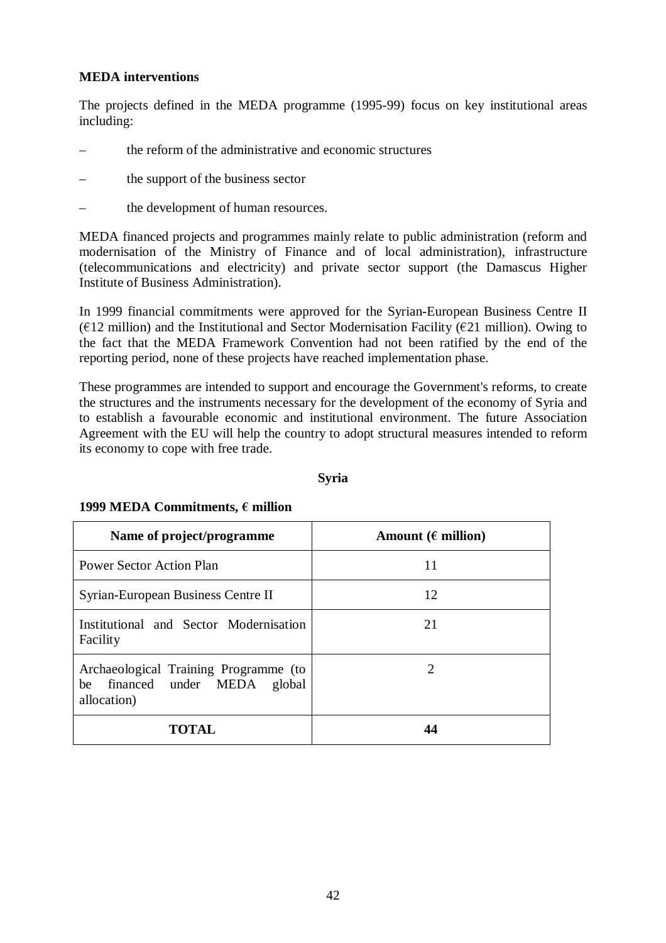### **MEDA interventions**

The projects defined in the MEDA programme (1995-99) focus on key institutional areas including:

- the reform of the administrative and economic structures
- the support of the business sector
- the development of human resources.

MEDA financed projects and programmes mainly relate to public administration (reform and modernisation of the Ministry of Finance and of local administration), infrastructure (telecommunications and electricity) and private sector support (the Damascus Higher Institute of Business Administration).

In 1999 financial commitments were approved for the Syrian-European Business Centre II ( $E12$  million) and the Institutional and Sector Modernisation Facility ( $E21$  million). Owing to the fact that the MEDA Framework Convention had not been ratified by the end of the reporting period, none of these projects have reached implementation phase.

These programmes are intended to support and encourage the Government's reforms, to create the structures and the instruments necessary for the development of the economy of Syria and to establish a favourable economic and institutional environment. The future Association Agreement with the EU will help the country to adopt structural measures intended to reform its economy to cope with free trade.

### **Syria**

| Name of project/programme                                                             | Amount ( $\epsilon$ million) |
|---------------------------------------------------------------------------------------|------------------------------|
| <b>Power Sector Action Plan</b>                                                       | 11                           |
| Syrian-European Business Centre II                                                    | 12                           |
| Institutional and Sector Modernisation<br>Facility                                    | 21                           |
| Archaeological Training Programme (to<br>be financed under MEDA global<br>allocation) | 7                            |
| TOTAL                                                                                 | 44                           |

#### **1999 MEDA Commitments, € million**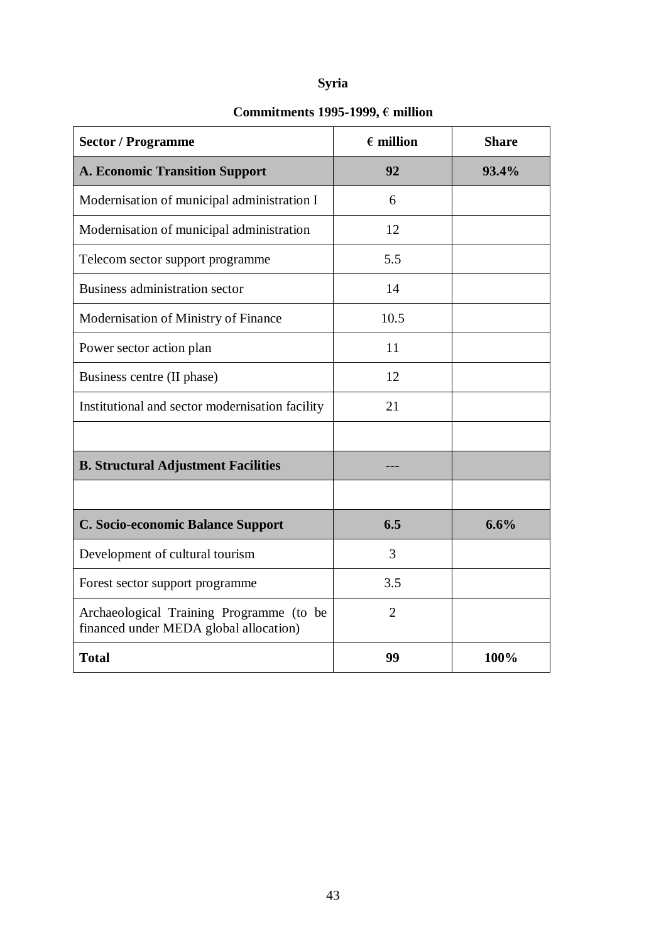# **Syria**

# Commitments 1995-1999,  $\epsilon$  million

| <b>Sector / Programme</b>                                                          | $\epsilon$ million | <b>Share</b> |
|------------------------------------------------------------------------------------|--------------------|--------------|
| <b>A. Economic Transition Support</b>                                              | 92                 | 93.4%        |
| Modernisation of municipal administration I                                        | 6                  |              |
| Modernisation of municipal administration                                          | 12                 |              |
| Telecom sector support programme                                                   | 5.5                |              |
| <b>Business administration sector</b>                                              | 14                 |              |
| Modernisation of Ministry of Finance                                               | 10.5               |              |
| Power sector action plan                                                           | 11                 |              |
| Business centre (II phase)                                                         | 12                 |              |
| Institutional and sector modernisation facility                                    | 21                 |              |
|                                                                                    |                    |              |
| <b>B. Structural Adjustment Facilities</b>                                         |                    |              |
|                                                                                    |                    |              |
| C. Socio-economic Balance Support                                                  | 6.5                | 6.6%         |
| Development of cultural tourism                                                    | 3                  |              |
| Forest sector support programme                                                    | 3.5                |              |
| Archaeological Training Programme (to be<br>financed under MEDA global allocation) | $\overline{2}$     |              |
| <b>Total</b>                                                                       | 99                 | 100%         |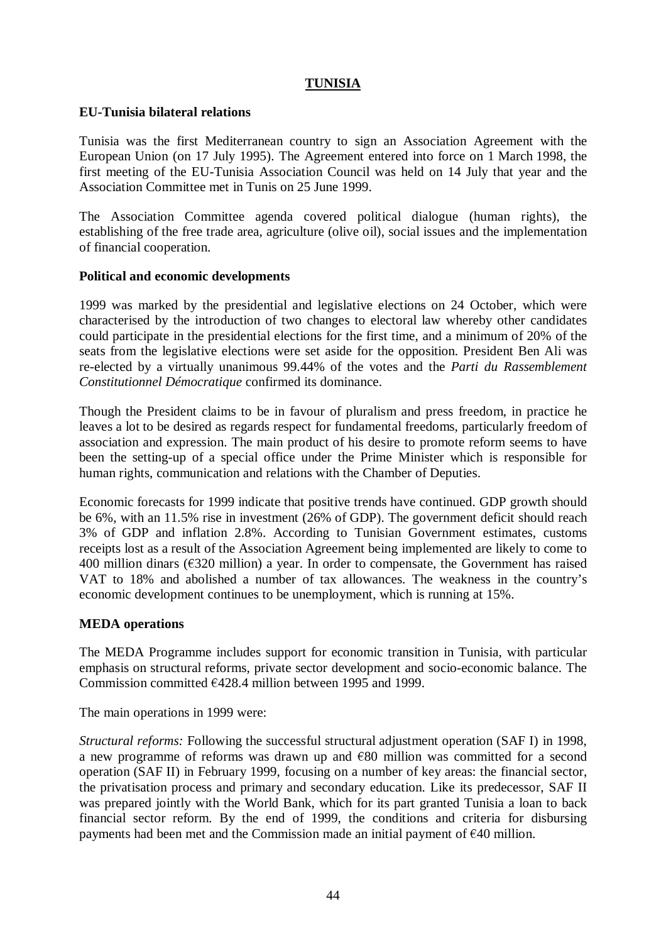## **TUNISIA**

### **EU-Tunisia bilateral relations**

Tunisia was the first Mediterranean country to sign an Association Agreement with the European Union (on 17 July 1995). The Agreement entered into force on 1 March 1998, the first meeting of the EU-Tunisia Association Council was held on 14 July that year and the Association Committee met in Tunis on 25 June 1999.

The Association Committee agenda covered political dialogue (human rights), the establishing of the free trade area, agriculture (olive oil), social issues and the implementation of financial cooperation.

### **Political and economic developments**

1999 was marked by the presidential and legislative elections on 24 October, which were characterised by the introduction of two changes to electoral law whereby other candidates could participate in the presidential elections for the first time, and a minimum of 20% of the seats from the legislative elections were set aside for the opposition. President Ben Ali was re-elected by a virtually unanimous 99.44% of the votes and the *Parti du Rassemblement Constitutionnel Démocratique* confirmed its dominance.

Though the President claims to be in favour of pluralism and press freedom, in practice he leaves a lot to be desired as regards respect for fundamental freedoms, particularly freedom of association and expression. The main product of his desire to promote reform seems to have been the setting-up of a special office under the Prime Minister which is responsible for human rights, communication and relations with the Chamber of Deputies.

Economic forecasts for 1999 indicate that positive trends have continued. GDP growth should be 6%, with an 11.5% rise in investment (26% of GDP). The government deficit should reach 3% of GDP and inflation 2.8%. According to Tunisian Government estimates, customs receipts lost as a result of the Association Agreement being implemented are likely to come to 400 million dinars ( $\epsilon$ 320 million) a year. In order to compensate, the Government has raised VAT to 18% and abolished a number of tax allowances. The weakness in the country's economic development continues to be unemployment, which is running at 15%.

### **MEDA operations**

The MEDA Programme includes support for economic transition in Tunisia, with particular emphasis on structural reforms, private sector development and socio-economic balance. The Commission committed  $\epsilon$ 428.4 million between 1995 and 1999.

The main operations in 1999 were:

*Structural reforms:* Following the successful structural adjustment operation (SAF I) in 1998, a new programme of reforms was drawn up and  $\epsilon$ 80 million was committed for a second operation (SAF II) in February 1999, focusing on a number of key areas: the financial sector, the privatisation process and primary and secondary education. Like its predecessor, SAF II was prepared jointly with the World Bank, which for its part granted Tunisia a loan to back financial sector reform. By the end of 1999, the conditions and criteria for disbursing payments had been met and the Commission made an initial payment of  $\epsilon$ 40 million.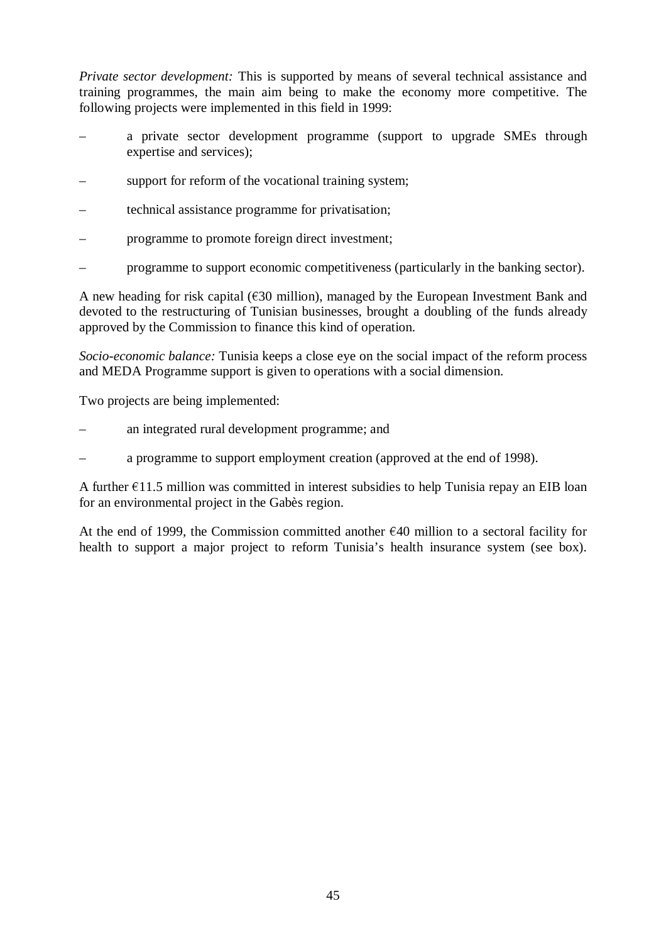*Private sector development:* This is supported by means of several technical assistance and training programmes, the main aim being to make the economy more competitive. The following projects were implemented in this field in 1999:

- a private sector development programme (support to upgrade SMEs through expertise and services);
- support for reform of the vocational training system;
- technical assistance programme for privatisation;
- programme to promote foreign direct investment;
- programme to support economic competitiveness (particularly in the banking sector).

A new heading for risk capital ( $\epsilon$ 30 million), managed by the European Investment Bank and devoted to the restructuring of Tunisian businesses, brought a doubling of the funds already approved by the Commission to finance this kind of operation.

*Socio-economic balance:* Tunisia keeps a close eye on the social impact of the reform process and MEDA Programme support is given to operations with a social dimension.

Two projects are being implemented:

- an integrated rural development programme; and
- a programme to support employment creation (approved at the end of 1998).

A further  $\epsilon$ 11.5 million was committed in interest subsidies to help Tunisia repay an EIB loan for an environmental project in the Gabès region.

At the end of 1999, the Commission committed another  $\epsilon$ 40 million to a sectoral facility for health to support a major project to reform Tunisia's health insurance system (see box).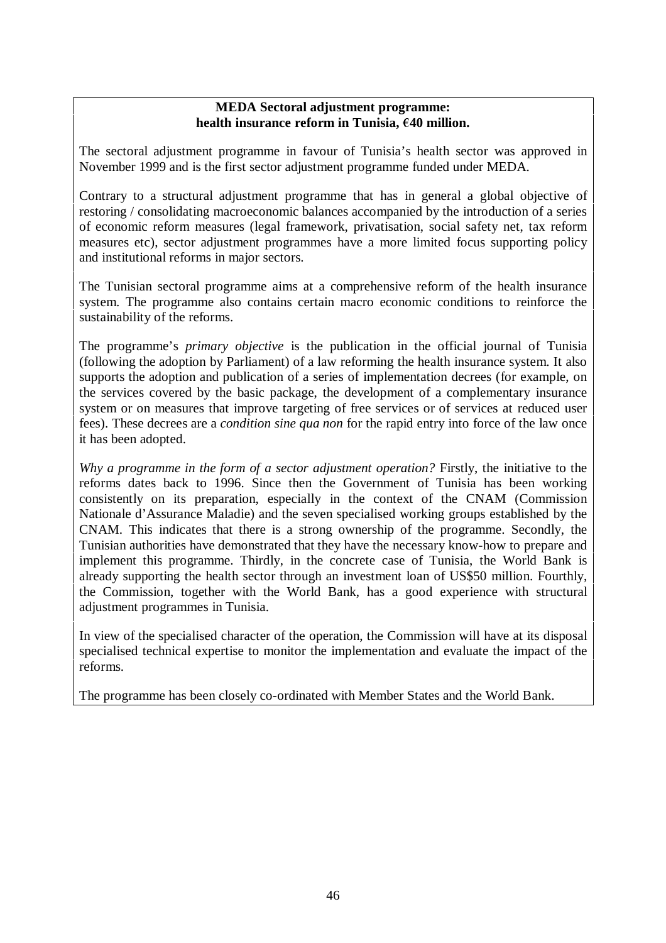### **MEDA Sectoral adjustment programme:** health insurance reform in Tunisia, €40 million.

The sectoral adjustment programme in favour of Tunisia's health sector was approved in November 1999 and is the first sector adjustment programme funded under MEDA.

Contrary to a structural adjustment programme that has in general a global objective of restoring / consolidating macroeconomic balances accompanied by the introduction of a series of economic reform measures (legal framework, privatisation, social safety net, tax reform measures etc), sector adjustment programmes have a more limited focus supporting policy and institutional reforms in major sectors.

The Tunisian sectoral programme aims at a comprehensive reform of the health insurance system. The programme also contains certain macro economic conditions to reinforce the sustainability of the reforms.

The programme's *primary objective* is the publication in the official journal of Tunisia (following the adoption by Parliament) of a law reforming the health insurance system. It also supports the adoption and publication of a series of implementation decrees (for example, on the services covered by the basic package, the development of a complementary insurance system or on measures that improve targeting of free services or of services at reduced user fees). These decrees are a *condition sine qua non* for the rapid entry into force of the law once it has been adopted.

*Why a programme in the form of a sector adjustment operation?* Firstly, the initiative to the reforms dates back to 1996. Since then the Government of Tunisia has been working consistently on its preparation, especially in the context of the CNAM (Commission Nationale d'Assurance Maladie) and the seven specialised working groups established by the CNAM. This indicates that there is a strong ownership of the programme. Secondly, the Tunisian authorities have demonstrated that they have the necessary know-how to prepare and implement this programme. Thirdly, in the concrete case of Tunisia, the World Bank is already supporting the health sector through an investment loan of US\$50 million. Fourthly, the Commission, together with the World Bank, has a good experience with structural adjustment programmes in Tunisia.

In view of the specialised character of the operation, the Commission will have at its disposal specialised technical expertise to monitor the implementation and evaluate the impact of the reforms.

The programme has been closely co-ordinated with Member States and the World Bank.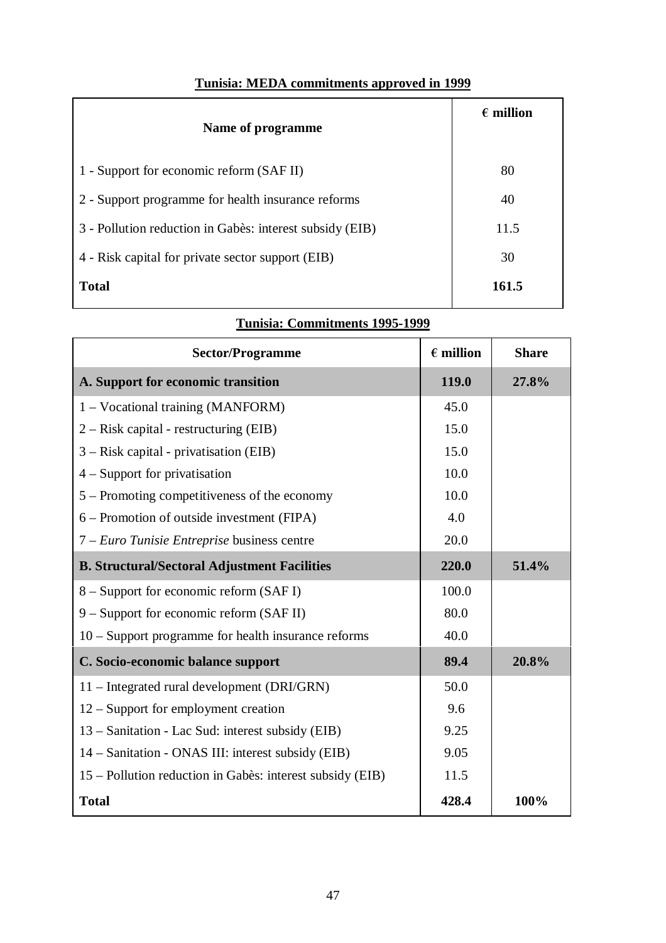| Name of programme                                        | $\epsilon$ million |
|----------------------------------------------------------|--------------------|
| 1 - Support for economic reform (SAF II)                 | 80                 |
| 2 - Support programme for health insurance reforms       | 40                 |
| 3 - Pollution reduction in Gabès: interest subsidy (EIB) | 11.5               |
| 4 - Risk capital for private sector support (EIB)        | 30                 |
| <b>Total</b>                                             | 161.5              |

**Tunisia: Commitments 1995-1999**

# **Tunisia: MEDA commitments approved in 1999**

| <b>Sector/Programme</b>                                   | $\epsilon$ million | <b>Share</b> |
|-----------------------------------------------------------|--------------------|--------------|
| A. Support for economic transition                        | 119.0              | 27.8%        |
| 1 – Vocational training (MANFORM)                         | 45.0               |              |
| $2 - Risk capital - restructure (EIB)$                    | 15.0               |              |
| $3 - Risk capital - privatisation (EIB)$                  | 15.0               |              |
| $4 -$ Support for privatisation                           | 10.0               |              |
| 5 – Promoting competitiveness of the economy              | 10.0               |              |
| 6 – Promotion of outside investment (FIPA)                | 4.0                |              |
| 7 – Euro Tunisie Entreprise business centre               | 20.0               |              |
| <b>B. Structural/Sectoral Adjustment Facilities</b>       | 220.0              | 51.4%        |
| 8 – Support for economic reform (SAF I)                   | 100.0              |              |
| $9 -$ Support for economic reform (SAF II)                | 80.0               |              |
| 10 – Support programme for health insurance reforms       | 40.0               |              |
| C. Socio-economic balance support                         | 89.4               | 20.8%        |
| 11 – Integrated rural development (DRI/GRN)               | 50.0               |              |
| $12$ – Support for employment creation                    | 9.6                |              |
| 13 – Sanitation - Lac Sud: interest subsidy (EIB)         | 9.25               |              |
| 14 – Sanitation - ONAS III: interest subsidy (EIB)        | 9.05               |              |
| 15 – Pollution reduction in Gabès: interest subsidy (EIB) | 11.5               |              |
| <b>Total</b>                                              | 428.4              | 100%         |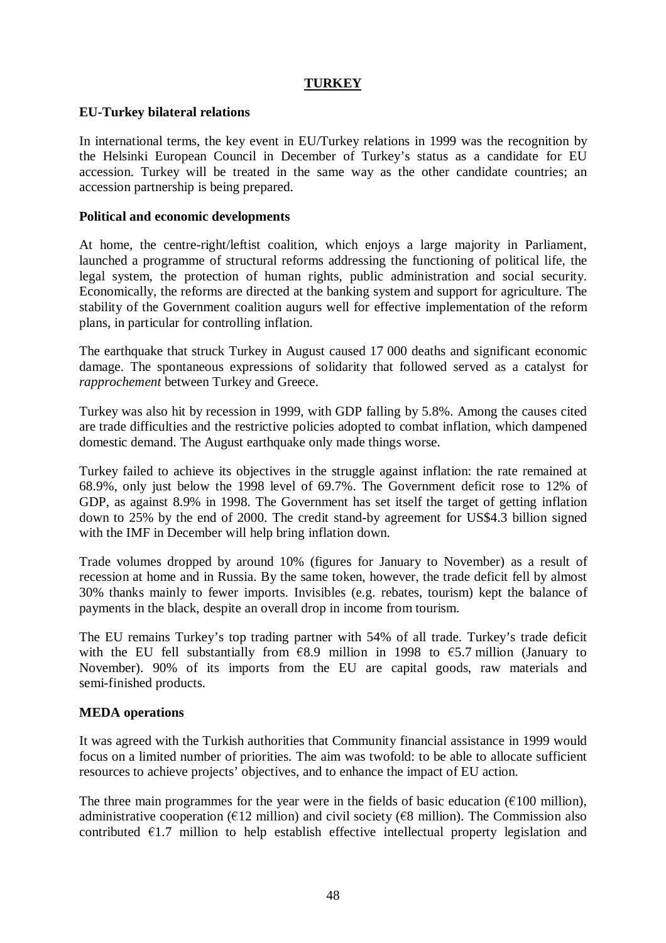### **TURKEY**

### **EU-Turkey bilateral relations**

In international terms, the key event in EU/Turkey relations in 1999 was the recognition by the Helsinki European Council in December of Turkey's status as a candidate for EU accession. Turkey will be treated in the same way as the other candidate countries; an accession partnership is being prepared.

### **Political and economic developments**

At home, the centre-right/leftist coalition, which enjoys a large majority in Parliament, launched a programme of structural reforms addressing the functioning of political life, the legal system, the protection of human rights, public administration and social security. Economically, the reforms are directed at the banking system and support for agriculture. The stability of the Government coalition augurs well for effective implementation of the reform plans, in particular for controlling inflation.

The earthquake that struck Turkey in August caused 17 000 deaths and significant economic damage. The spontaneous expressions of solidarity that followed served as a catalyst for *rapprochement* between Turkey and Greece.

Turkey was also hit by recession in 1999, with GDP falling by 5.8%. Among the causes cited are trade difficulties and the restrictive policies adopted to combat inflation, which dampened domestic demand. The August earthquake only made things worse.

Turkey failed to achieve its objectives in the struggle against inflation: the rate remained at 68.9%, only just below the 1998 level of 69.7%. The Government deficit rose to 12% of GDP, as against 8.9% in 1998. The Government has set itself the target of getting inflation down to 25% by the end of 2000. The credit stand-by agreement for US\$4.3 billion signed with the IMF in December will help bring inflation down.

Trade volumes dropped by around 10% (figures for January to November) as a result of recession at home and in Russia. By the same token, however, the trade deficit fell by almost 30% thanks mainly to fewer imports. Invisibles (e.g. rebates, tourism) kept the balance of payments in the black, despite an overall drop in income from tourism.

The EU remains Turkey's top trading partner with 54% of all trade. Turkey's trade deficit with the EU fell substantially from  $\epsilon$ 8.9 million in 1998 to  $\epsilon$ 5.7 million (January to November). 90% of its imports from the EU are capital goods, raw materials and semi-finished products.

### **MEDA operations**

It was agreed with the Turkish authorities that Community financial assistance in 1999 would focus on a limited number of priorities. The aim was twofold: to be able to allocate sufficient resources to achieve projects' objectives, and to enhance the impact of EU action.

The three main programmes for the year were in the fields of basic education ( $\epsilon$ 100 million), administrative cooperation ( $\epsilon$ 12 million) and civil society ( $\epsilon$ 8 million). The Commission also contributed  $\epsilon$ 1.7 million to help establish effective intellectual property legislation and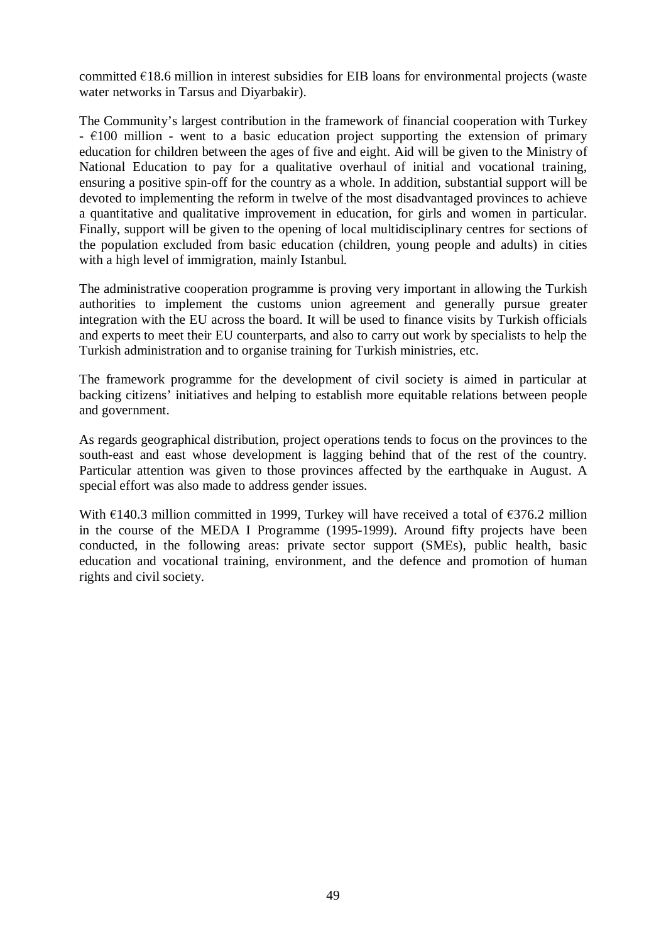committed  $E$ 18.6 million in interest subsidies for EIB loans for environmental projects (waste water networks in Tarsus and Diyarbakir).

The Community's largest contribution in the framework of financial cooperation with Turkey  $\div 100$  million - went to a basic education project supporting the extension of primary education for children between the ages of five and eight. Aid will be given to the Ministry of National Education to pay for a qualitative overhaul of initial and vocational training, ensuring a positive spin-off for the country as a whole. In addition, substantial support will be devoted to implementing the reform in twelve of the most disadvantaged provinces to achieve a quantitative and qualitative improvement in education, for girls and women in particular. Finally, support will be given to the opening of local multidisciplinary centres for sections of the population excluded from basic education (children, young people and adults) in cities with a high level of immigration, mainly Istanbul.

The administrative cooperation programme is proving very important in allowing the Turkish authorities to implement the customs union agreement and generally pursue greater integration with the EU across the board. It will be used to finance visits by Turkish officials and experts to meet their EU counterparts, and also to carry out work by specialists to help the Turkish administration and to organise training for Turkish ministries, etc.

The framework programme for the development of civil society is aimed in particular at backing citizens' initiatives and helping to establish more equitable relations between people and government.

As regards geographical distribution, project operations tends to focus on the provinces to the south-east and east whose development is lagging behind that of the rest of the country. Particular attention was given to those provinces affected by the earthquake in August. A special effort was also made to address gender issues.

With  $\epsilon$ 140.3 million committed in 1999, Turkey will have received a total of  $\epsilon$ 376.2 million in the course of the MEDA I Programme (1995-1999). Around fifty projects have been conducted, in the following areas: private sector support (SMEs), public health, basic education and vocational training, environment, and the defence and promotion of human rights and civil society.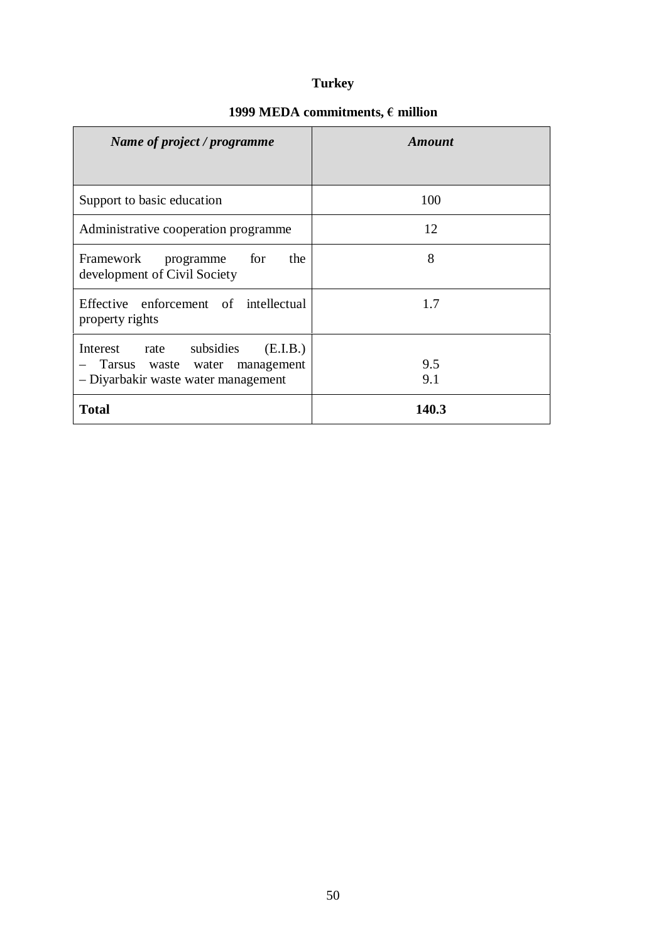# **Turkey**

| Name of project / programme                                                                                    | <b>Amount</b> |
|----------------------------------------------------------------------------------------------------------------|---------------|
|                                                                                                                |               |
| Support to basic education                                                                                     | 100           |
| Administrative cooperation programme                                                                           | 12            |
| for<br>Framework<br>the<br>programme<br>development of Civil Society                                           | 8             |
| Effective enforcement of intellectual<br>property rights                                                       | 1.7           |
| Interest rate subsidies<br>(E.I.B.)<br>Tarsus waste water<br>management<br>- Diyarbakir waste water management | 9.5<br>9.1    |
| <b>Total</b>                                                                                                   | 140.3         |

# 1999 MEDA commitments,  $\boldsymbol{\epsilon}$  million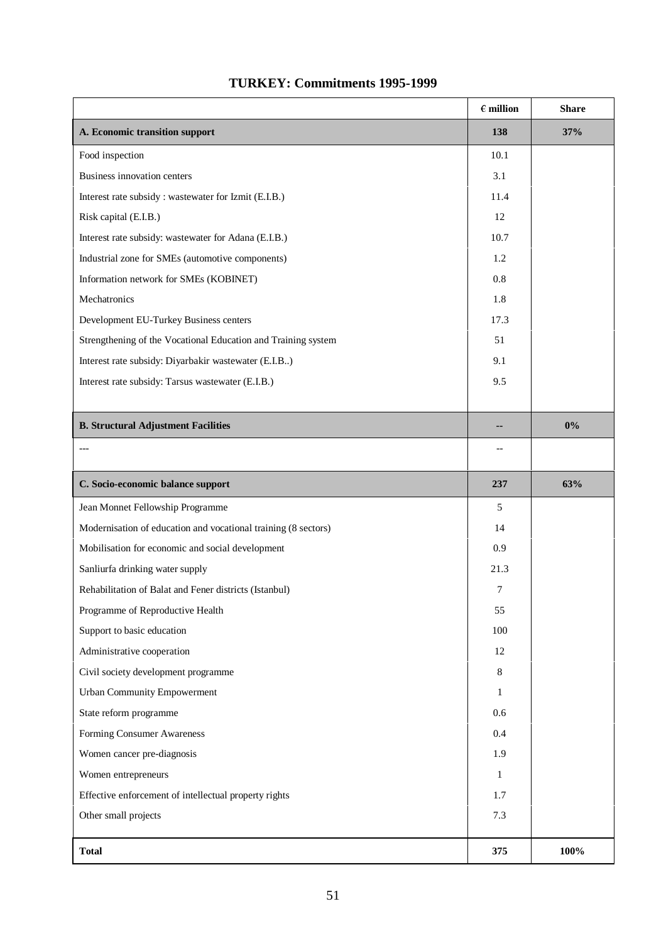|                                                                | $\in$ million | <b>Share</b> |
|----------------------------------------------------------------|---------------|--------------|
| A. Economic transition support                                 | 138           | 37%          |
| Food inspection                                                | 10.1          |              |
| Business innovation centers                                    | 3.1           |              |
| Interest rate subsidy : wastewater for Izmit (E.I.B.)          | 11.4          |              |
| Risk capital (E.I.B.)                                          | 12            |              |
| Interest rate subsidy: wastewater for Adana (E.I.B.)           | 10.7          |              |
| Industrial zone for SMEs (automotive components)               | 1.2           |              |
| Information network for SMEs (KOBINET)                         | 0.8           |              |
| Mechatronics                                                   | 1.8           |              |
| Development EU-Turkey Business centers                         | 17.3          |              |
| Strengthening of the Vocational Education and Training system  | 51            |              |
| Interest rate subsidy: Diyarbakir wastewater (E.I.B)           | 9.1           |              |
| Interest rate subsidy: Tarsus wastewater (E.I.B.)              | 9.5           |              |
|                                                                |               |              |
| <b>B. Structural Adjustment Facilities</b>                     |               | $0\%$        |
|                                                                |               |              |
| C. Socio-economic balance support                              | 237           | 63%          |
| Jean Monnet Fellowship Programme                               | 5             |              |
| Modernisation of education and vocational training (8 sectors) | 14            |              |
| Mobilisation for economic and social development               | 0.9           |              |
| Sanliurfa drinking water supply                                | 21.3          |              |
| Rehabilitation of Balat and Fener districts (Istanbul)         | 7             |              |
| Programme of Reproductive Health                               | 55            |              |
| Support to basic education                                     | 100           |              |
| Administrative cooperation                                     | 12            |              |
| Civil society development programme                            | 8             |              |
| <b>Urban Community Empowerment</b>                             | 1             |              |
| State reform programme                                         | 0.6           |              |
| Forming Consumer Awareness                                     | 0.4           |              |
| Women cancer pre-diagnosis                                     | 1.9           |              |
| Women entrepreneurs                                            | $\mathbf{1}$  |              |
| Effective enforcement of intellectual property rights          | 1.7           |              |
| Other small projects                                           | 7.3           |              |
| <b>Total</b>                                                   | 375           | 100%         |

## **TURKEY: Commitments 1995-1999**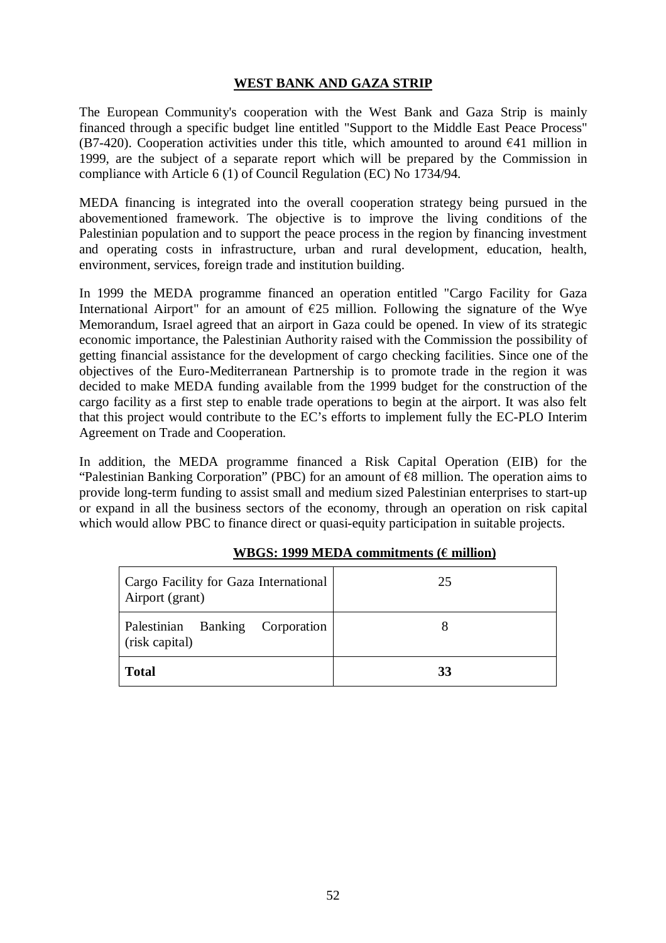## **WEST BANK AND GAZA STRIP**

The European Community's cooperation with the West Bank and Gaza Strip is mainly financed through a specific budget line entitled "Support to the Middle East Peace Process" (B7-420). Cooperation activities under this title, which amounted to around  $\epsilon$ 41 million in 1999, are the subject of a separate report which will be prepared by the Commission in compliance with Article 6 (1) of Council Regulation (EC) No 1734/94.

MEDA financing is integrated into the overall cooperation strategy being pursued in the abovementioned framework. The objective is to improve the living conditions of the Palestinian population and to support the peace process in the region by financing investment and operating costs in infrastructure, urban and rural development, education, health, environment, services, foreign trade and institution building.

In 1999 the MEDA programme financed an operation entitled "Cargo Facility for Gaza International Airport" for an amount of  $\epsilon$ 25 million. Following the signature of the Wye Memorandum, Israel agreed that an airport in Gaza could be opened. In view of its strategic economic importance, the Palestinian Authority raised with the Commission the possibility of getting financial assistance for the development of cargo checking facilities. Since one of the objectives of the Euro-Mediterranean Partnership is to promote trade in the region it was decided to make MEDA funding available from the 1999 budget for the construction of the cargo facility as a first step to enable trade operations to begin at the airport. It was also felt that this project would contribute to the EC's efforts to implement fully the EC-PLO Interim Agreement on Trade and Cooperation.

In addition, the MEDA programme financed a Risk Capital Operation (EIB) for the "Palestinian Banking Corporation" (PBC) for an amount of  $\epsilon$ 8 million. The operation aims to provide long-term funding to assist small and medium sized Palestinian enterprises to start-up or expand in all the business sectors of the economy, through an operation on risk capital which would allow PBC to finance direct or quasi-equity participation in suitable projects.

| Cargo Facility for Gaza International<br>Airport (grant) | 25 |
|----------------------------------------------------------|----|
| Palestinian Banking Corporation<br>(risk capital)        |    |
| <b>Total</b>                                             | 33 |

### **WBGS: 1999 MEDA commitments (** $\epsilon$  **million)**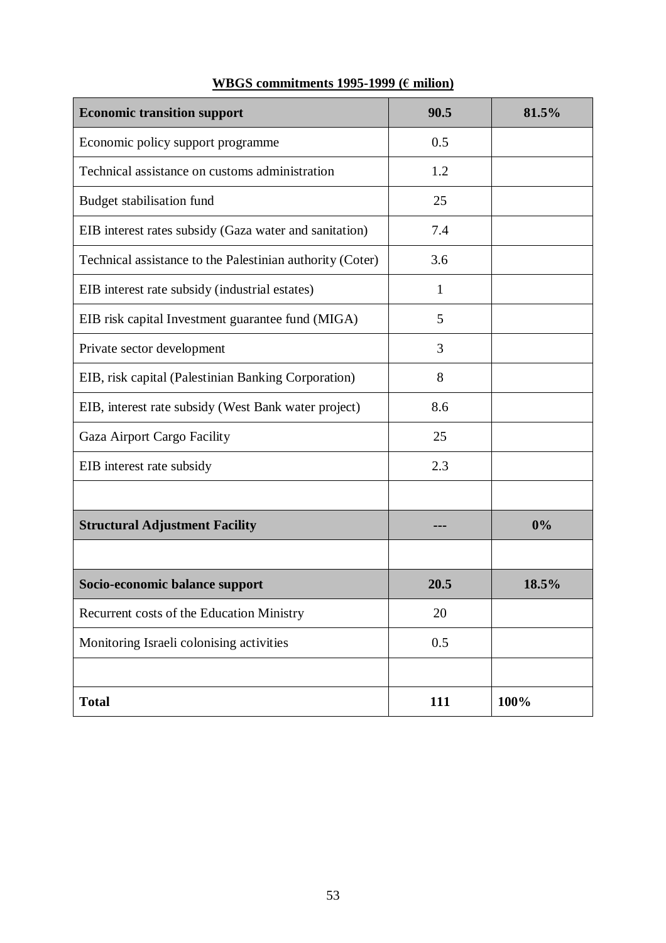| <b>Economic transition support</b>                        | 90.5 | 81.5% |
|-----------------------------------------------------------|------|-------|
| Economic policy support programme                         | 0.5  |       |
| Technical assistance on customs administration            | 1.2  |       |
| Budget stabilisation fund                                 | 25   |       |
| EIB interest rates subsidy (Gaza water and sanitation)    | 7.4  |       |
| Technical assistance to the Palestinian authority (Coter) | 3.6  |       |
| EIB interest rate subsidy (industrial estates)            | 1    |       |
| EIB risk capital Investment guarantee fund (MIGA)         | 5    |       |
| Private sector development                                | 3    |       |
| EIB, risk capital (Palestinian Banking Corporation)       | 8    |       |
| EIB, interest rate subsidy (West Bank water project)      | 8.6  |       |
| Gaza Airport Cargo Facility                               | 25   |       |
| EIB interest rate subsidy                                 | 2.3  |       |
|                                                           |      |       |
| <b>Structural Adjustment Facility</b>                     |      | 0%    |
|                                                           |      |       |
| Socio-economic balance support                            | 20.5 | 18.5% |
| Recurrent costs of the Education Ministry                 | 20   |       |
| Monitoring Israeli colonising activities                  | 0.5  |       |
|                                                           |      |       |
| <b>Total</b>                                              | 111  | 100%  |

# **WBGS commitments 1995-1999 (€ milion)**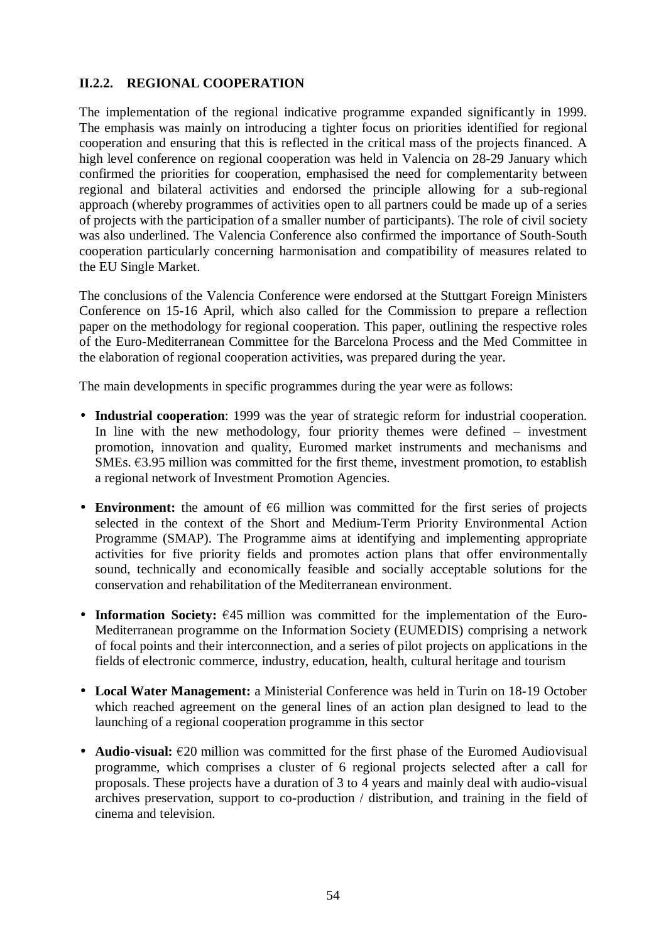## **II.2.2. REGIONAL COOPERATION**

The implementation of the regional indicative programme expanded significantly in 1999. The emphasis was mainly on introducing a tighter focus on priorities identified for regional cooperation and ensuring that this is reflected in the critical mass of the projects financed. A high level conference on regional cooperation was held in Valencia on 28-29 January which confirmed the priorities for cooperation, emphasised the need for complementarity between regional and bilateral activities and endorsed the principle allowing for a sub-regional approach (whereby programmes of activities open to all partners could be made up of a series of projects with the participation of a smaller number of participants). The role of civil society was also underlined. The Valencia Conference also confirmed the importance of South-South cooperation particularly concerning harmonisation and compatibility of measures related to the EU Single Market.

The conclusions of the Valencia Conference were endorsed at the Stuttgart Foreign Ministers Conference on 15-16 April, which also called for the Commission to prepare a reflection paper on the methodology for regional cooperation. This paper, outlining the respective roles of the Euro-Mediterranean Committee for the Barcelona Process and the Med Committee in the elaboration of regional cooperation activities, was prepared during the year.

The main developments in specific programmes during the year were as follows:

- **Industrial cooperation**: 1999 was the year of strategic reform for industrial cooperation. In line with the new methodology, four priority themes were defined – investment promotion, innovation and quality, Euromed market instruments and mechanisms and SMEs.  $63.95$  million was committed for the first theme, investment promotion, to establish a regional network of Investment Promotion Agencies.
- **Environment:** the amount of  $\epsilon$ 6 million was committed for the first series of projects selected in the context of the Short and Medium-Term Priority Environmental Action Programme (SMAP). The Programme aims at identifying and implementing appropriate activities for five priority fields and promotes action plans that offer environmentally sound, technically and economically feasible and socially acceptable solutions for the conservation and rehabilitation of the Mediterranean environment.
- **Information Society:**  $\epsilon$ 45 million was committed for the implementation of the Euro-Mediterranean programme on the Information Society (EUMEDIS) comprising a network of focal points and their interconnection, and a series of pilot projects on applications in the fields of electronic commerce, industry, education, health, cultural heritage and tourism
- **Local Water Management:** a Ministerial Conference was held in Turin on 18-19 October which reached agreement on the general lines of an action plan designed to lead to the launching of a regional cooperation programme in this sector
- **Audio-visual:**  $\epsilon$ 20 million was committed for the first phase of the Euromed Audiovisual programme, which comprises a cluster of 6 regional projects selected after a call for proposals. These projects have a duration of 3 to 4 years and mainly deal with audio-visual archives preservation, support to co-production / distribution, and training in the field of cinema and television.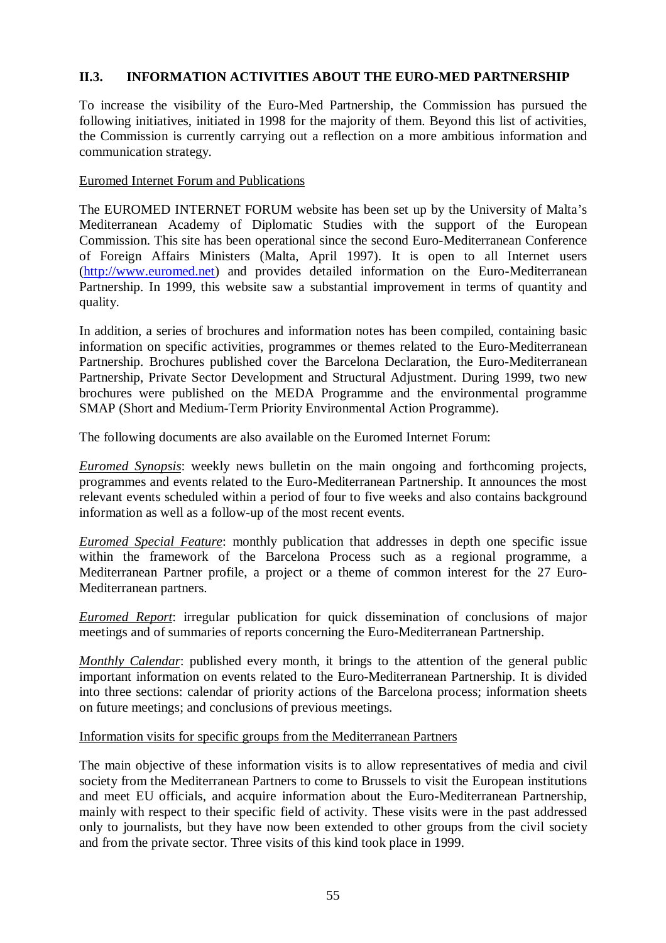### **II.3. INFORMATION ACTIVITIES ABOUT THE EURO-MED PARTNERSHIP**

To increase the visibility of the Euro-Med Partnership, the Commission has pursued the following initiatives, initiated in 1998 for the majority of them. Beyond this list of activities, the Commission is currently carrying out a reflection on a more ambitious information and communication strategy.

### Euromed Internet Forum and Publications

The EUROMED INTERNET FORUM website has been set up by the University of Malta's Mediterranean Academy of Diplomatic Studies with the support of the European Commission. This site has been operational since the second Euro-Mediterranean Conference of Foreign Affairs Ministers (Malta, April 1997). It is open to all Internet users (http://www.euromed.net) and provides detailed information on the Euro-Mediterranean Partnership. In 1999, this website saw a substantial improvement in terms of quantity and quality.

In addition, a series of brochures and information notes has been compiled, containing basic information on specific activities, programmes or themes related to the Euro-Mediterranean Partnership. Brochures published cover the Barcelona Declaration, the Euro-Mediterranean Partnership, Private Sector Development and Structural Adjustment. During 1999, two new brochures were published on the MEDA Programme and the environmental programme SMAP (Short and Medium-Term Priority Environmental Action Programme).

The following documents are also available on the Euromed Internet Forum:

*Euromed Synopsis*: weekly news bulletin on the main ongoing and forthcoming projects, programmes and events related to the Euro-Mediterranean Partnership. It announces the most relevant events scheduled within a period of four to five weeks and also contains background information as well as a follow-up of the most recent events.

*Euromed Special Feature*: monthly publication that addresses in depth one specific issue within the framework of the Barcelona Process such as a regional programme, a Mediterranean Partner profile, a project or a theme of common interest for the 27 Euro-Mediterranean partners.

*Euromed Report*: irregular publication for quick dissemination of conclusions of major meetings and of summaries of reports concerning the Euro-Mediterranean Partnership.

*Monthly Calendar*: published every month, it brings to the attention of the general public important information on events related to the Euro-Mediterranean Partnership. It is divided into three sections: calendar of priority actions of the Barcelona process; information sheets on future meetings; and conclusions of previous meetings.

### Information visits for specific groups from the Mediterranean Partners

The main objective of these information visits is to allow representatives of media and civil society from the Mediterranean Partners to come to Brussels to visit the European institutions and meet EU officials, and acquire information about the Euro-Mediterranean Partnership, mainly with respect to their specific field of activity. These visits were in the past addressed only to journalists, but they have now been extended to other groups from the civil society and from the private sector. Three visits of this kind took place in 1999.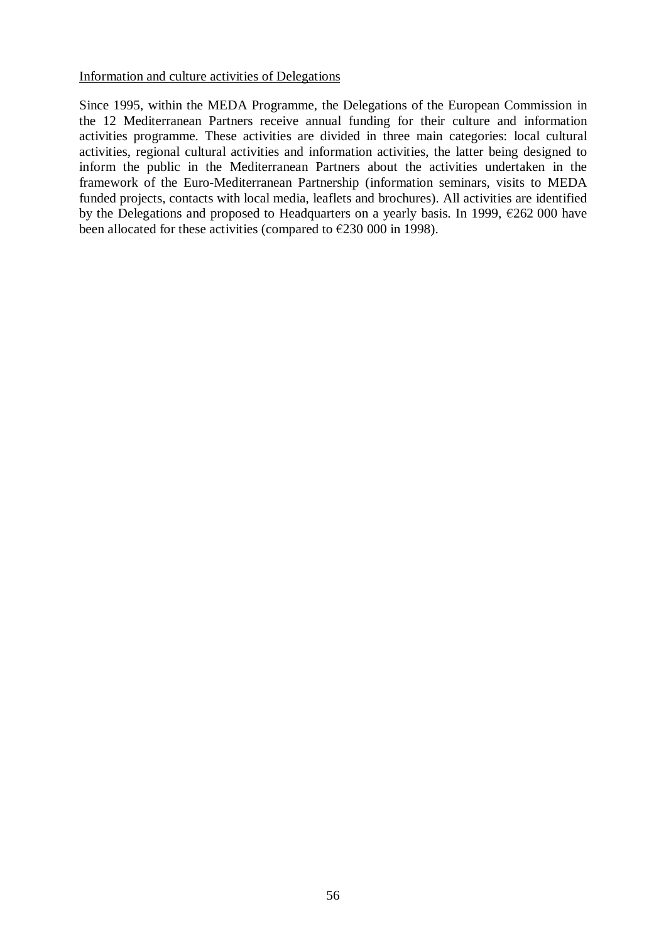Information and culture activities of Delegations

Since 1995, within the MEDA Programme, the Delegations of the European Commission in the 12 Mediterranean Partners receive annual funding for their culture and information activities programme. These activities are divided in three main categories: local cultural activities, regional cultural activities and information activities, the latter being designed to inform the public in the Mediterranean Partners about the activities undertaken in the framework of the Euro-Mediterranean Partnership (information seminars, visits to MEDA funded projects, contacts with local media, leaflets and brochures). All activities are identified by the Delegations and proposed to Headquarters on a yearly basis. In 1999,  $\epsilon$ 262 000 have been allocated for these activities (compared to  $\epsilon$ 230 000 in 1998).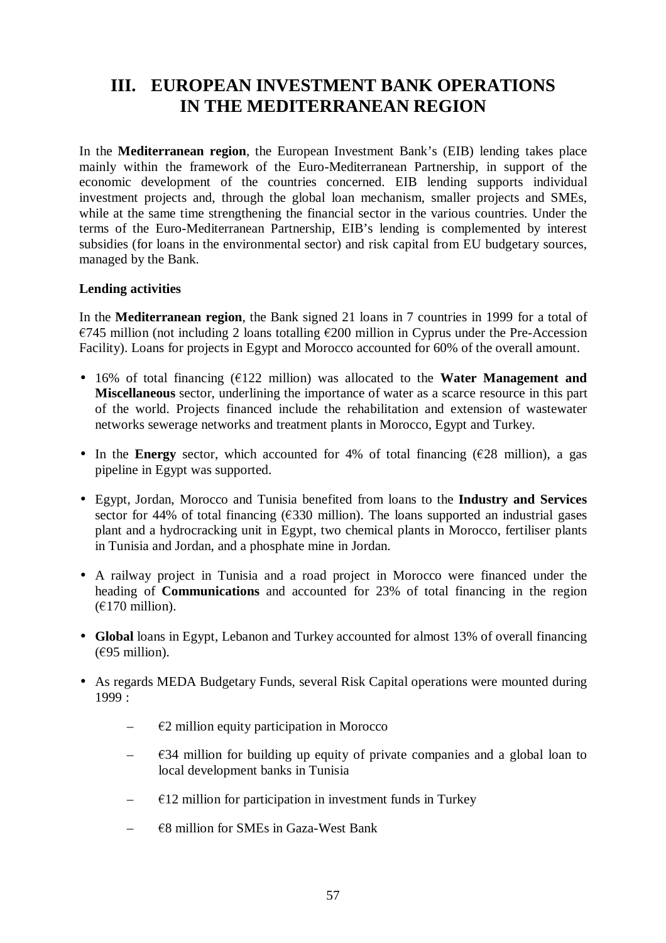# **III. EUROPEAN INVESTMENT BANK OPERATIONS IN THE MEDITERRANEAN REGION**

In the **Mediterranean region**, the European Investment Bank's (EIB) lending takes place mainly within the framework of the Euro-Mediterranean Partnership, in support of the economic development of the countries concerned. EIB lending supports individual investment projects and, through the global loan mechanism, smaller projects and SMEs, while at the same time strengthening the financial sector in the various countries. Under the terms of the Euro-Mediterranean Partnership, EIB's lending is complemented by interest subsidies (for loans in the environmental sector) and risk capital from EU budgetary sources, managed by the Bank.

### **Lending activities**

In the **Mediterranean region**, the Bank signed 21 loans in 7 countries in 1999 for a total of  $\epsilon$ 745 million (not including 2 loans totalling  $\epsilon$ 200 million in Cyprus under the Pre-Accession Facility). Loans for projects in Egypt and Morocco accounted for 60% of the overall amount.

- 16% of total financing  $(122 \text{ million})$  was allocated to the **Water Management and Miscellaneous** sector, underlining the importance of water as a scarce resource in this part of the world. Projects financed include the rehabilitation and extension of wastewater networks sewerage networks and treatment plants in Morocco, Egypt and Turkey.
- In the **Energy** sector, which accounted for 4% of total financing  $(\epsilon 28$  million), a gas pipeline in Egypt was supported.
- Egypt, Jordan, Morocco and Tunisia benefited from loans to the **Industry and Services** sector for 44% of total financing  $(\epsilon$ 330 million). The loans supported an industrial gases plant and a hydrocracking unit in Egypt, two chemical plants in Morocco, fertiliser plants in Tunisia and Jordan, and a phosphate mine in Jordan.
- A railway project in Tunisia and a road project in Morocco were financed under the heading of **Communications** and accounted for 23% of total financing in the region  $(£170 million).$
- **Global** loans in Egypt, Lebanon and Turkey accounted for almost 13% of overall financing  $(695$  million).
- As regards MEDA Budgetary Funds, several Risk Capital operations were mounted during  $1999:$ 
	- $E$ 2 million equity participation in Morocco
	- $\epsilon$ 34 million for building up equity of private companies and a global loan to local development banks in Tunisia
	- $\epsilon$  =  $\epsilon$ 12 million for participation in investment funds in Turkey
	- $E$ 8 million for SMEs in Gaza-West Bank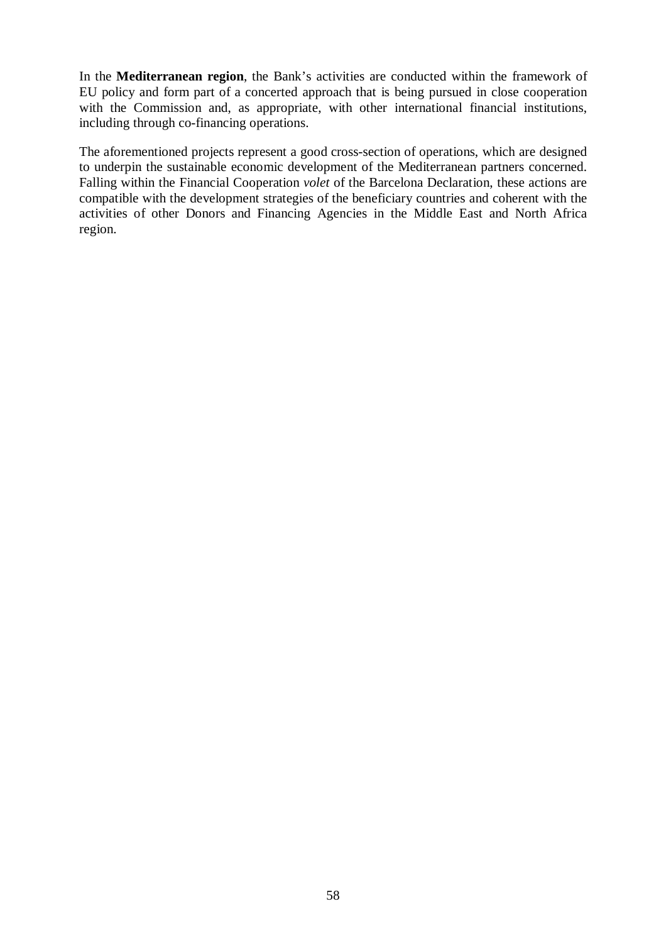In the **Mediterranean region**, the Bank's activities are conducted within the framework of EU policy and form part of a concerted approach that is being pursued in close cooperation with the Commission and, as appropriate, with other international financial institutions, including through co-financing operations.

The aforementioned projects represent a good cross-section of operations, which are designed to underpin the sustainable economic development of the Mediterranean partners concerned. Falling within the Financial Cooperation *volet* of the Barcelona Declaration, these actions are compatible with the development strategies of the beneficiary countries and coherent with the activities of other Donors and Financing Agencies in the Middle East and North Africa region.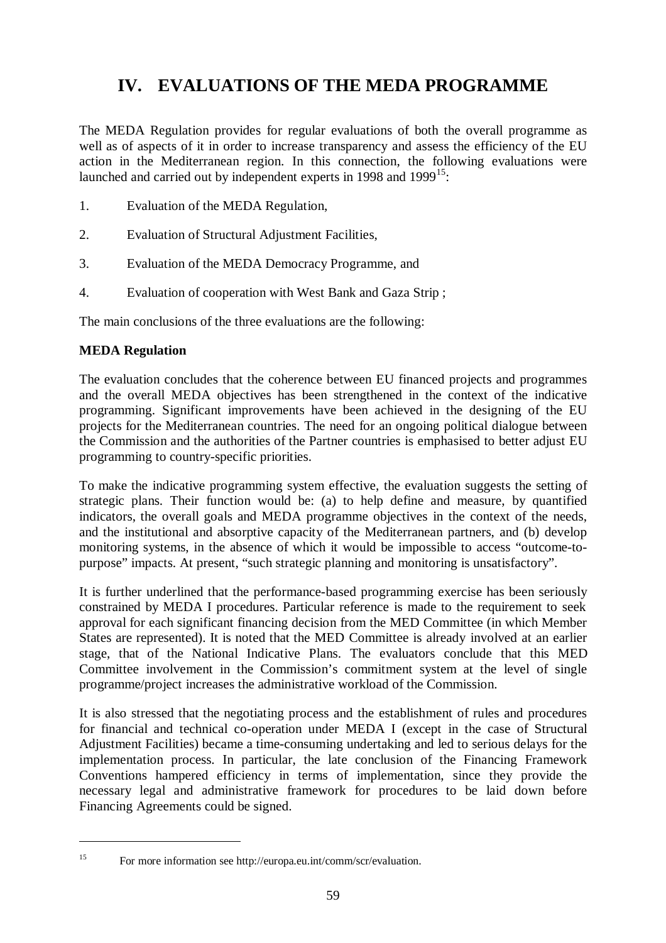# **IV. EVALUATIONS OF THE MEDA PROGRAMME**

The MEDA Regulation provides for regular evaluations of both the overall programme as well as of aspects of it in order to increase transparency and assess the efficiency of the EU action in the Mediterranean region. In this connection, the following evaluations were launched and carried out by independent experts in 1998 and 1999<sup>15</sup>:

- 1. Evaluation of the MEDA Regulation,
- 2. Evaluation of Structural Adjustment Facilities,
- 3. Evaluation of the MEDA Democracy Programme, and
- 4. Evaluation of cooperation with West Bank and Gaza Strip ;

The main conclusions of the three evaluations are the following:

### **MEDA Regulation**

The evaluation concludes that the coherence between EU financed projects and programmes and the overall MEDA objectives has been strengthened in the context of the indicative programming. Significant improvements have been achieved in the designing of the EU projects for the Mediterranean countries. The need for an ongoing political dialogue between the Commission and the authorities of the Partner countries is emphasised to better adjust EU programming to country-specific priorities.

To make the indicative programming system effective, the evaluation suggests the setting of strategic plans. Their function would be: (a) to help define and measure, by quantified indicators, the overall goals and MEDA programme objectives in the context of the needs, and the institutional and absorptive capacity of the Mediterranean partners, and (b) develop monitoring systems, in the absence of which it would be impossible to access "outcome-topurpose" impacts. At present, "such strategic planning and monitoring is unsatisfactory".

It is further underlined that the performance-based programming exercise has been seriously constrained by MEDA I procedures. Particular reference is made to the requirement to seek approval for each significant financing decision from the MED Committee (in which Member States are represented). It is noted that the MED Committee is already involved at an earlier stage, that of the National Indicative Plans. The evaluators conclude that this MED Committee involvement in the Commission's commitment system at the level of single programme/project increases the administrative workload of the Commission.

It is also stressed that the negotiating process and the establishment of rules and procedures for financial and technical co-operation under MEDA I (except in the case of Structural Adjustment Facilities) became a time-consuming undertaking and led to serious delays for the implementation process. In particular, the late conclusion of the Financing Framework Conventions hampered efficiency in terms of implementation, since they provide the necessary legal and administrative framework for procedures to be laid down before Financing Agreements could be signed.

<sup>15</sup> For more information see http://europa.eu.int/comm/scr/evaluation.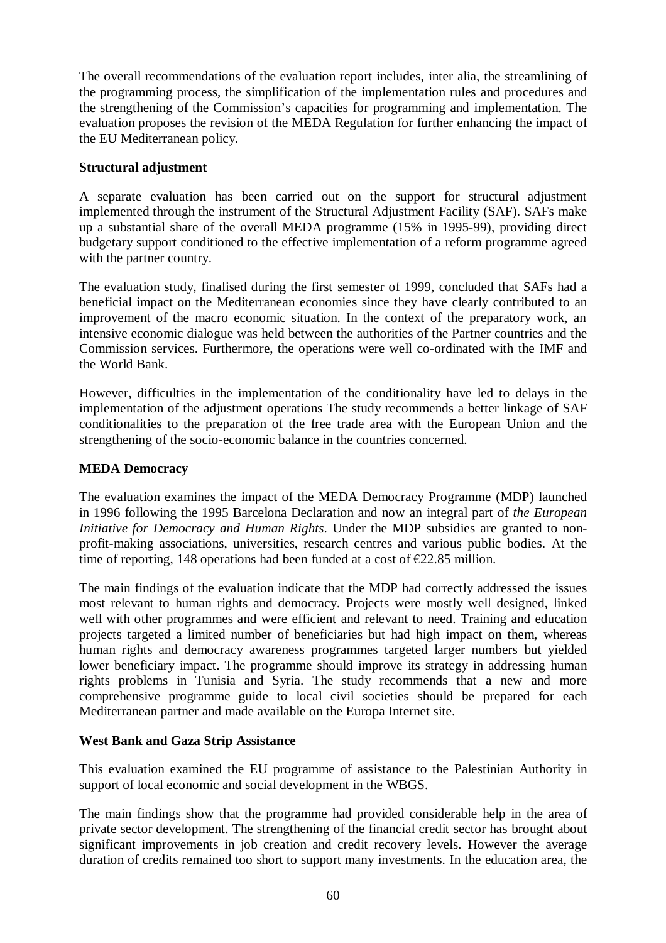The overall recommendations of the evaluation report includes, inter alia, the streamlining of the programming process, the simplification of the implementation rules and procedures and the strengthening of the Commission's capacities for programming and implementation. The evaluation proposes the revision of the MEDA Regulation for further enhancing the impact of the EU Mediterranean policy.

### **Structural adjustment**

A separate evaluation has been carried out on the support for structural adjustment implemented through the instrument of the Structural Adjustment Facility (SAF). SAFs make up a substantial share of the overall MEDA programme (15% in 1995-99), providing direct budgetary support conditioned to the effective implementation of a reform programme agreed with the partner country.

The evaluation study, finalised during the first semester of 1999, concluded that SAFs had a beneficial impact on the Mediterranean economies since they have clearly contributed to an improvement of the macro economic situation. In the context of the preparatory work, an intensive economic dialogue was held between the authorities of the Partner countries and the Commission services. Furthermore, the operations were well co-ordinated with the IMF and the World Bank.

However, difficulties in the implementation of the conditionality have led to delays in the implementation of the adjustment operations The study recommends a better linkage of SAF conditionalities to the preparation of the free trade area with the European Union and the strengthening of the socio-economic balance in the countries concerned.

### **MEDA Democracy**

The evaluation examines the impact of the MEDA Democracy Programme (MDP) launched in 1996 following the 1995 Barcelona Declaration and now an integral part of *the European Initiative for Democracy and Human Rights*. Under the MDP subsidies are granted to nonprofit-making associations, universities, research centres and various public bodies. At the time of reporting, 148 operations had been funded at a cost of  $\epsilon$ 22.85 million.

The main findings of the evaluation indicate that the MDP had correctly addressed the issues most relevant to human rights and democracy. Projects were mostly well designed, linked well with other programmes and were efficient and relevant to need. Training and education projects targeted a limited number of beneficiaries but had high impact on them, whereas human rights and democracy awareness programmes targeted larger numbers but yielded lower beneficiary impact. The programme should improve its strategy in addressing human rights problems in Tunisia and Syria. The study recommends that a new and more comprehensive programme guide to local civil societies should be prepared for each Mediterranean partner and made available on the Europa Internet site.

### **West Bank and Gaza Strip Assistance**

This evaluation examined the EU programme of assistance to the Palestinian Authority in support of local economic and social development in the WBGS.

The main findings show that the programme had provided considerable help in the area of private sector development. The strengthening of the financial credit sector has brought about significant improvements in job creation and credit recovery levels. However the average duration of credits remained too short to support many investments. In the education area, the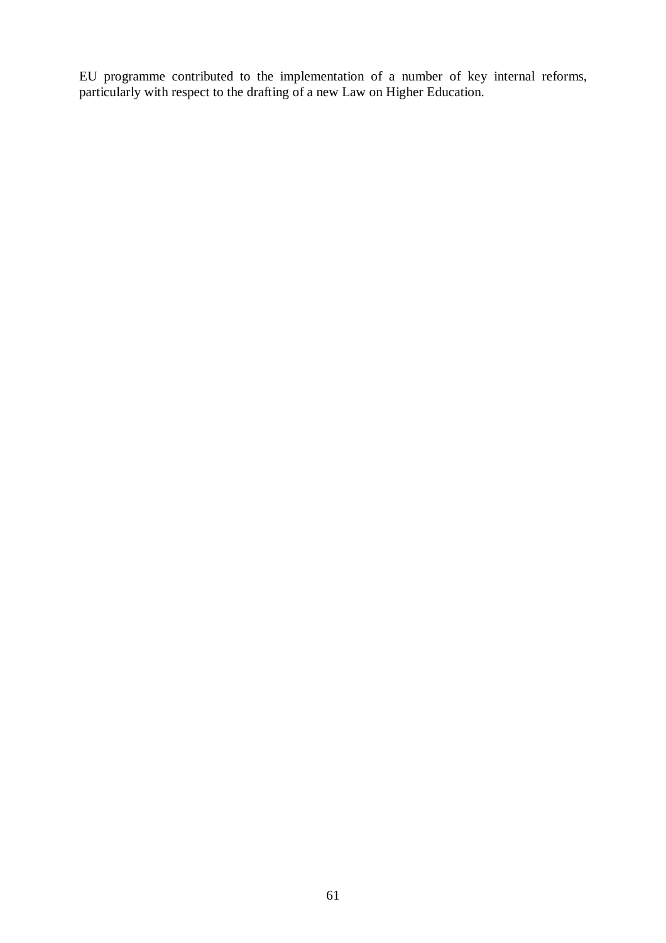EU programme contributed to the implementation of a number of key internal reforms, particularly with respect to the drafting of a new Law on Higher Education.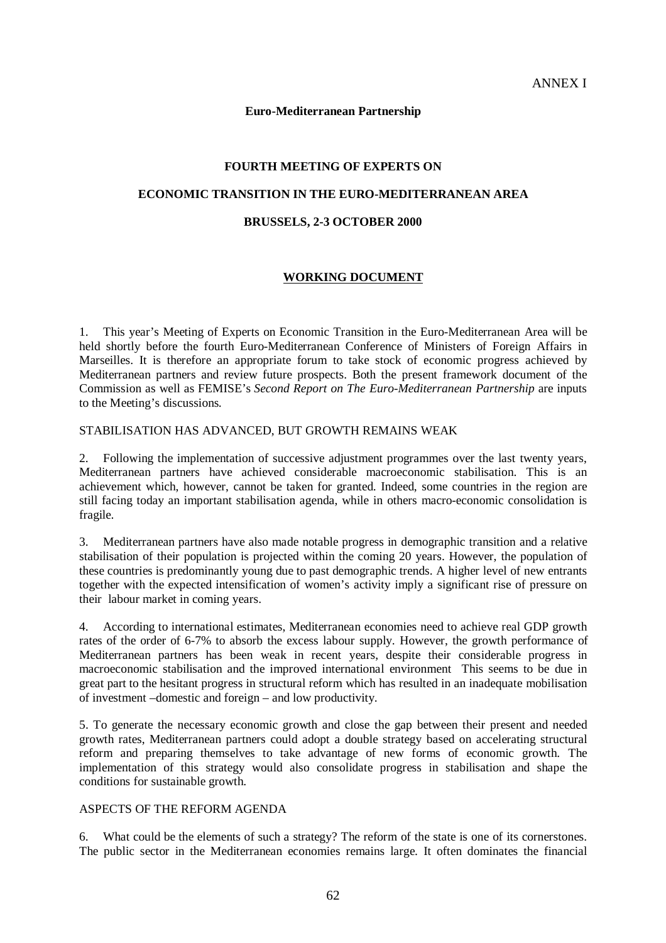#### **Euro-Mediterranean Partnership**

### **FOURTH MEETING OF EXPERTS ON**

#### **ECONOMIC TRANSITION IN THE EURO-MEDITERRANEAN AREA**

#### **BRUSSELS, 2-3 OCTOBER 2000**

### **WORKING DOCUMENT**

1. This year's Meeting of Experts on Economic Transition in the Euro-Mediterranean Area will be held shortly before the fourth Euro-Mediterranean Conference of Ministers of Foreign Affairs in Marseilles. It is therefore an appropriate forum to take stock of economic progress achieved by Mediterranean partners and review future prospects. Both the present framework document of the Commission as well as FEMISE's *Second Report on The Euro-Mediterranean Partnership* are inputs to the Meeting's discussions*.*

#### STABILISATION HAS ADVANCED, BUT GROWTH REMAINS WEAK

2. Following the implementation of successive adjustment programmes over the last twenty years, Mediterranean partners have achieved considerable macroeconomic stabilisation. This is an achievement which, however, cannot be taken for granted. Indeed, some countries in the region are still facing today an important stabilisation agenda, while in others macro-economic consolidation is fragile.

3. Mediterranean partners have also made notable progress in demographic transition and a relative stabilisation of their population is projected within the coming 20 years. However, the population of these countries is predominantly young due to past demographic trends. A higher level of new entrants together with the expected intensification of women's activity imply a significant rise of pressure on their labour market in coming years.

4. According to international estimates, Mediterranean economies need to achieve real GDP growth rates of the order of 6-7% to absorb the excess labour supply. However, the growth performance of Mediterranean partners has been weak in recent years, despite their considerable progress in macroeconomic stabilisation and the improved international environment This seems to be due in great part to the hesitant progress in structural reform which has resulted in an inadequate mobilisation of investment –domestic and foreign – and low productivity.

5. To generate the necessary economic growth and close the gap between their present and needed growth rates, Mediterranean partners could adopt a double strategy based on accelerating structural reform and preparing themselves to take advantage of new forms of economic growth. The implementation of this strategy would also consolidate progress in stabilisation and shape the conditions for sustainable growth.

#### ASPECTS OF THE REFORM AGENDA

6. What could be the elements of such a strategy? The reform of the state is one of its cornerstones. The public sector in the Mediterranean economies remains large. It often dominates the financial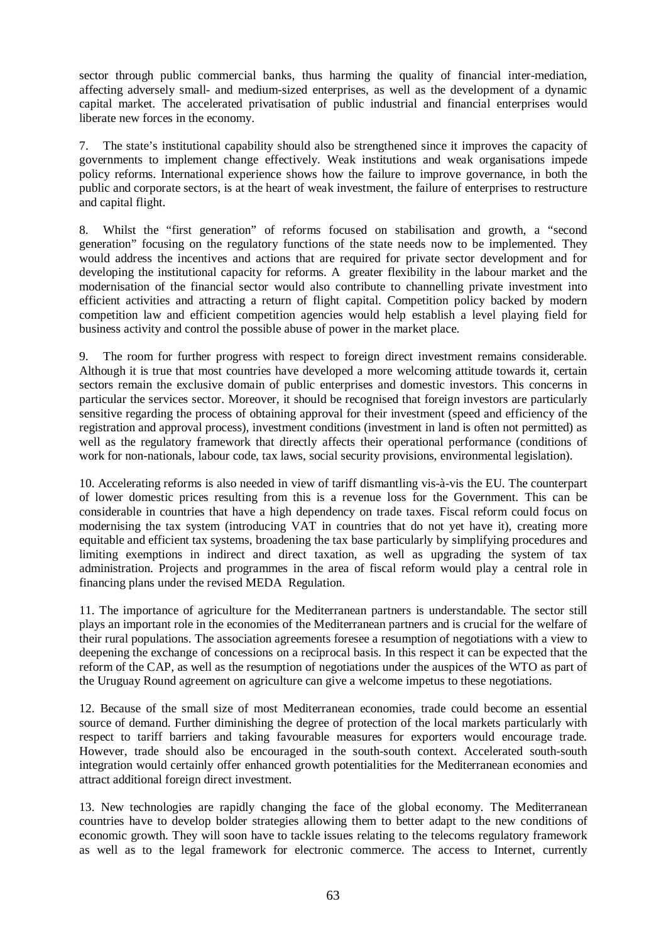sector through public commercial banks, thus harming the quality of financial inter-mediation, affecting adversely small- and medium-sized enterprises, as well as the development of a dynamic capital market. The accelerated privatisation of public industrial and financial enterprises would liberate new forces in the economy.

7. The state's institutional capability should also be strengthened since it improves the capacity of governments to implement change effectively. Weak institutions and weak organisations impede policy reforms. International experience shows how the failure to improve governance, in both the public and corporate sectors, is at the heart of weak investment, the failure of enterprises to restructure and capital flight.

8. Whilst the "first generation" of reforms focused on stabilisation and growth, a "second generation" focusing on the regulatory functions of the state needs now to be implemented. They would address the incentives and actions that are required for private sector development and for developing the institutional capacity for reforms. A greater flexibility in the labour market and the modernisation of the financial sector would also contribute to channelling private investment into efficient activities and attracting a return of flight capital. Competition policy backed by modern competition law and efficient competition agencies would help establish a level playing field for business activity and control the possible abuse of power in the market place.

9. The room for further progress with respect to foreign direct investment remains considerable. Although it is true that most countries have developed a more welcoming attitude towards it, certain sectors remain the exclusive domain of public enterprises and domestic investors. This concerns in particular the services sector. Moreover, it should be recognised that foreign investors are particularly sensitive regarding the process of obtaining approval for their investment (speed and efficiency of the registration and approval process), investment conditions (investment in land is often not permitted) as well as the regulatory framework that directly affects their operational performance (conditions of work for non-nationals, labour code, tax laws, social security provisions, environmental legislation).

10. Accelerating reforms is also needed in view of tariff dismantling vis-à-vis the EU. The counterpart of lower domestic prices resulting from this is a revenue loss for the Government. This can be considerable in countries that have a high dependency on trade taxes. Fiscal reform could focus on modernising the tax system (introducing VAT in countries that do not yet have it), creating more equitable and efficient tax systems, broadening the tax base particularly by simplifying procedures and limiting exemptions in indirect and direct taxation, as well as upgrading the system of tax administration. Projects and programmes in the area of fiscal reform would play a central role in financing plans under the revised MEDA Regulation.

11. The importance of agriculture for the Mediterranean partners is understandable. The sector still plays an important role in the economies of the Mediterranean partners and is crucial for the welfare of their rural populations. The association agreements foresee a resumption of negotiations with a view to deepening the exchange of concessions on a reciprocal basis. In this respect it can be expected that the reform of the CAP, as well as the resumption of negotiations under the auspices of the WTO as part of the Uruguay Round agreement on agriculture can give a welcome impetus to these negotiations.

12. Because of the small size of most Mediterranean economies, trade could become an essential source of demand. Further diminishing the degree of protection of the local markets particularly with respect to tariff barriers and taking favourable measures for exporters would encourage trade. However, trade should also be encouraged in the south-south context. Accelerated south-south integration would certainly offer enhanced growth potentialities for the Mediterranean economies and attract additional foreign direct investment.

13. New technologies are rapidly changing the face of the global economy. The Mediterranean countries have to develop bolder strategies allowing them to better adapt to the new conditions of economic growth. They will soon have to tackle issues relating to the telecoms regulatory framework as well as to the legal framework for electronic commerce. The access to Internet, currently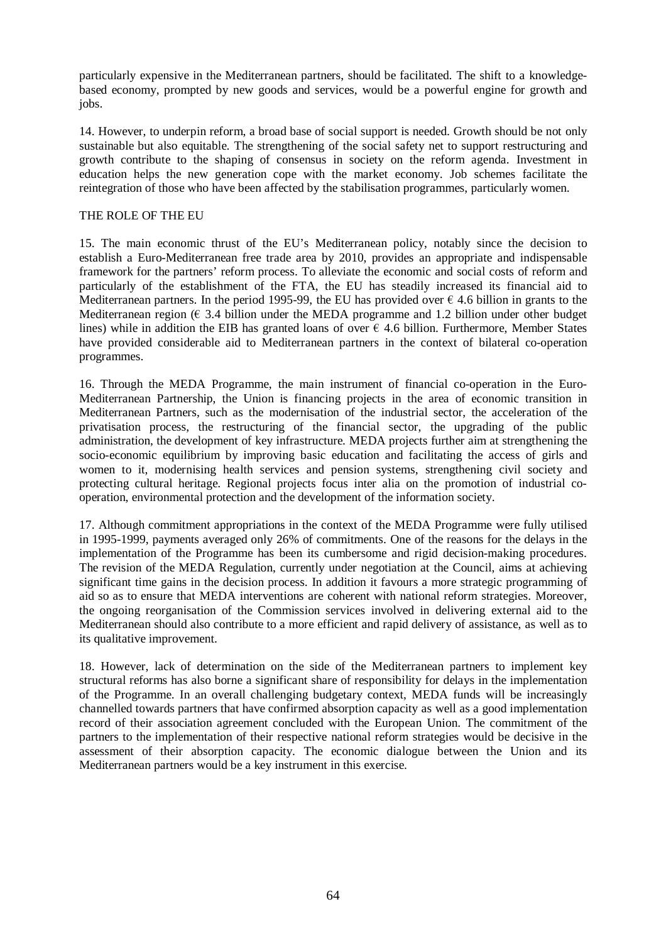particularly expensive in the Mediterranean partners, should be facilitated. The shift to a knowledgebased economy, prompted by new goods and services, would be a powerful engine for growth and jobs.

14. However, to underpin reform, a broad base of social support is needed. Growth should be not only sustainable but also equitable. The strengthening of the social safety net to support restructuring and growth contribute to the shaping of consensus in society on the reform agenda. Investment in education helps the new generation cope with the market economy. Job schemes facilitate the reintegration of those who have been affected by the stabilisation programmes, particularly women.

#### THE ROLE OF THE EU

15. The main economic thrust of the EU's Mediterranean policy, notably since the decision to establish a Euro-Mediterranean free trade area by 2010, provides an appropriate and indispensable framework for the partners' reform process. To alleviate the economic and social costs of reform and particularly of the establishment of the FTA, the EU has steadily increased its financial aid to Mediterranean partners. In the period 1995-99, the EU has provided over  $\epsilon$  4.6 billion in grants to the Mediterranean region ( $\epsilon$  3.4 billion under the MEDA programme and 1.2 billion under other budget lines) while in addition the EIB has granted loans of over  $\epsilon$  4.6 billion. Furthermore, Member States have provided considerable aid to Mediterranean partners in the context of bilateral co-operation programmes.

16. Through the MEDA Programme, the main instrument of financial co-operation in the Euro-Mediterranean Partnership, the Union is financing projects in the area of economic transition in Mediterranean Partners, such as the modernisation of the industrial sector, the acceleration of the privatisation process, the restructuring of the financial sector, the upgrading of the public administration, the development of key infrastructure. MEDA projects further aim at strengthening the socio-economic equilibrium by improving basic education and facilitating the access of girls and women to it, modernising health services and pension systems, strengthening civil society and protecting cultural heritage. Regional projects focus inter alia on the promotion of industrial cooperation, environmental protection and the development of the information society.

17. Although commitment appropriations in the context of the MEDA Programme were fully utilised in 1995-1999, payments averaged only 26% of commitments. One of the reasons for the delays in the implementation of the Programme has been its cumbersome and rigid decision-making procedures. The revision of the MEDA Regulation, currently under negotiation at the Council, aims at achieving significant time gains in the decision process. In addition it favours a more strategic programming of aid so as to ensure that MEDA interventions are coherent with national reform strategies. Moreover, the ongoing reorganisation of the Commission services involved in delivering external aid to the Mediterranean should also contribute to a more efficient and rapid delivery of assistance, as well as to its qualitative improvement.

18. However, lack of determination on the side of the Mediterranean partners to implement key structural reforms has also borne a significant share of responsibility for delays in the implementation of the Programme. In an overall challenging budgetary context, MEDA funds will be increasingly channelled towards partners that have confirmed absorption capacity as well as a good implementation record of their association agreement concluded with the European Union. The commitment of the partners to the implementation of their respective national reform strategies would be decisive in the assessment of their absorption capacity. The economic dialogue between the Union and its Mediterranean partners would be a key instrument in this exercise.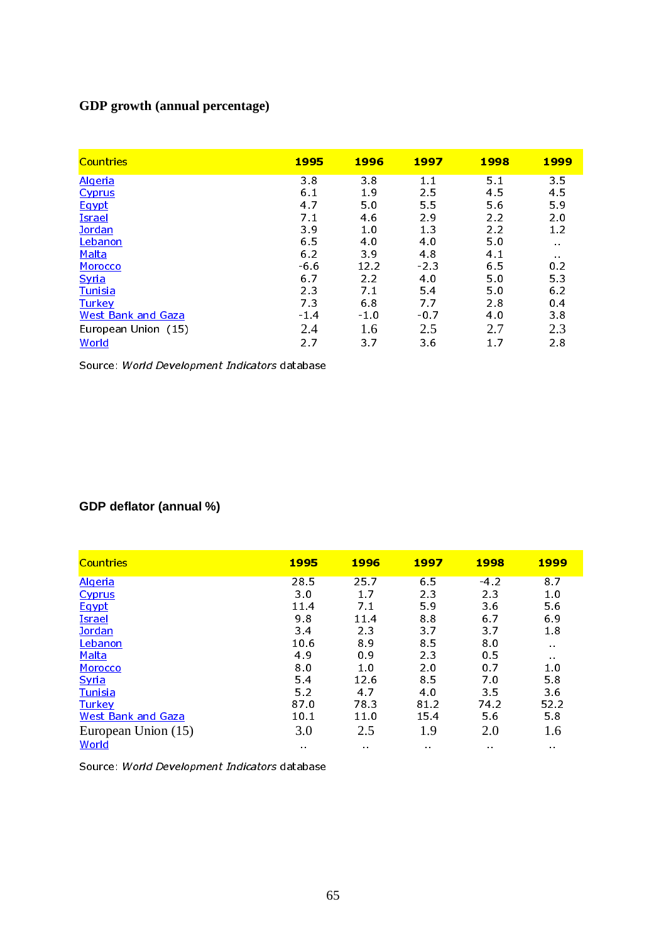## **GDP growth (annual percentage)**

| <b>Countries</b>          | 1995           | 1996           | 1997    | 1998 | 1999           |
|---------------------------|----------------|----------------|---------|------|----------------|
| <b>Algeria</b>            | 38             | 38             | $1.1\,$ | 5.1  | 35             |
| <b>Cyprus</b>             | 6 <sub>1</sub> | 19             | 25      | 45   | 4.5            |
| Egypt                     | 47             | 5.0            | 55      | 56   | 59             |
| <b>Israel</b>             | 7.1            | 46             | 29      | 2.2  | 2.0            |
| Jordan                    | 39             | 1 <sub>0</sub> | 13      | 2.2  | 1.2            |
| Lebanon                   | 65             | 4.0            | 40      | 5.0  | $\sim$ $\sim$  |
| Malta                     | 6 2            | 39             | 48      | 41   | $\sim 1$       |
| Morocco                   | $-66$          | 12.2           | $-23$   | 65   | 0 <sub>2</sub> |
| <b>Syria</b>              | 67             | 2.2            | 4.0     | 5.0  | 53             |
| Tunisia                   | 2 <sub>3</sub> | 7.1            | 54      | 5.0  | 6.2            |
| <b>Turkey</b>             | 73             | 68             | 77      | 28   | 0.4            |
| <b>West Bank and Gaza</b> | $-1.4$         | $-1.0$         | $-0.7$  | 40   | 3.8            |
| European Union (15)       | 2.4            | 1.6            | 2.5     | 2.7  | 2.3            |
| World                     | 27             | 3.7            | 36      | 17   | 28             |

Source: *World Development Indicators* database

### **GDP deflator (annual %)**

| <b>Countries</b>          | 1995           | 1996          | 1997           | 1998                          | 1999          |
|---------------------------|----------------|---------------|----------------|-------------------------------|---------------|
| <b>Algeria</b>            | 28.5           | 25.7          | 65             | $-42$                         | 87            |
| <b>Cyprus</b>             | 3 <sub>0</sub> | 17            | 23             | 23                            | $1.0\,$       |
| Egypt                     | 114            | 71            | 59             | 36                            | 5.6           |
| <b>Israel</b>             | 98             | 11.4          | 88             | 67                            | 69            |
| Jordan                    | 3.4            | 23            | 3 <sub>7</sub> | 3.7                           | 1.8           |
| Lebanon                   | 10.6           | 89            | 85             | 80                            | $\sim 10$     |
| Malta                     | 49             | 0.9           | 23             | 0 <sub>5</sub>                | $\sim$ $\sim$ |
| Morocco                   | 80             | 1.0           | 20             | 0 <sub>7</sub>                | 10            |
| Syria                     | 5.4            | 126           | 85             | 70                            | 58            |
| Tunisia                   | 5.2            | 47            | 40             | 3.5                           | 36            |
| <b>Turkey</b>             | 870            | 78 3          | 81 2           | 74 2                          | 52.2          |
| <b>West Bank and Gaza</b> | 10.1           | 11.0          | 15.4           | 56                            | 58            |
| European Union (15)       | 3.0            | 2.5           | 1.9            | 2.0                           | 1.6           |
| <b>World</b>              | $\sim$ $\sim$  | $\sim$ $\sim$ | $\sim$ $\sim$  | $\mathbf{a}$ . $\mathbf{a}$ . | $\sim$ $\sim$ |

Source: *World Development Indicators* database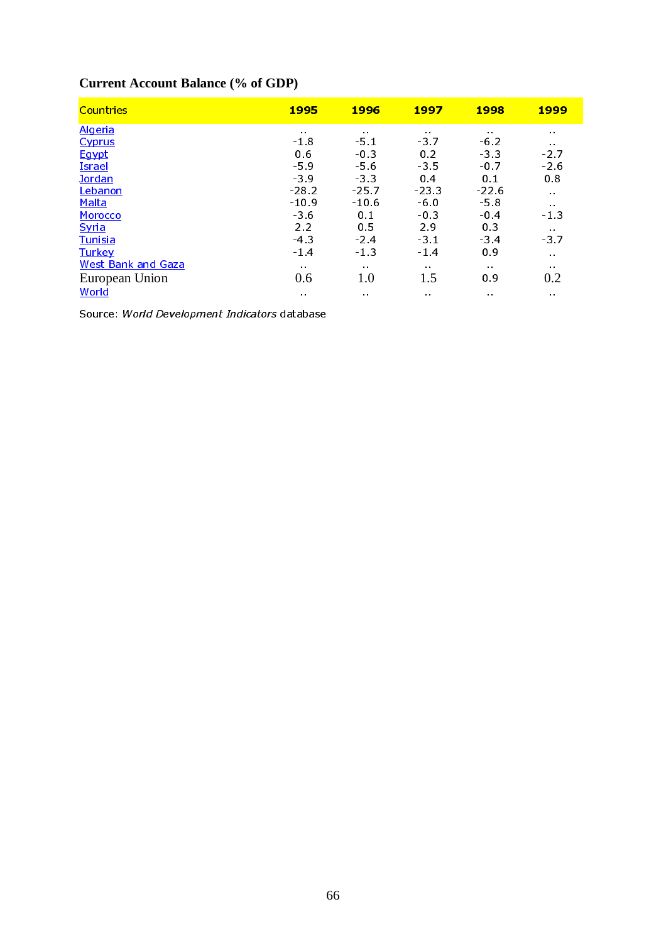# **Current Account Balance (% of GDP)**

| <b>Countries</b>          | <b>1995</b>                   | 1996            | 1997                          | <b>1998</b>                   | <u> 1999</u>                  |
|---------------------------|-------------------------------|-----------------|-------------------------------|-------------------------------|-------------------------------|
| <u>Algeria</u>            | $\sim 10$                     | $\sim$ 10 $\pm$ | $\sim$ 10 $\pm$               | $\sim 10$                     | $\mathbf{0}$ , $\mathbf{0}$ , |
| <b>Cyprus</b>             | $-1.8$                        | -51             | -37                           | $-6.2$                        | $\sim 10$                     |
| Egypt                     | 06                            | $-0.3$          | 0.2                           | -33                           | $-2.7$                        |
| <b>Israel</b>             | $-5.9$                        | $-5.6$          | -35                           | $-0.7$                        | $-2.6$                        |
| Jordan                    | $-3.9$                        | $-3.3$          | 0 <sub>4</sub>                | 0.1                           | 08                            |
| Lebanon                   | $-28.2$                       | $-25.7$         | $-23.3$                       | $-226$                        | $\sim 10$                     |
| Malta                     | $-10.9$                       | $-10.6$         | $-6.0$                        | $-5.8$                        | $\mathbf{u} \in \mathbf{R}$ . |
| Morocco                   | $-3.6$                        | 0 <sub>1</sub>  | $-0.3$                        | $-0.4$                        | $-1.3$                        |
| Syria                     | 2.2                           | 0.5             | 29                            | 0 <sup>3</sup>                | $\sim 10$                     |
| Tunisia                   | $-43$                         | $-2.4$          | $-3.1$                        | $-3.4$                        | -3.7                          |
| <b>Turkey</b>             | $-1.4$                        | $-1.3$          | $-1.4$                        | 0.9                           | $\alpha$ . $\alpha$           |
| <b>West Bank and Gaza</b> | $\mathbf{0}$ , $\mathbf{0}$ , | $\sim 10$       | $\mathbf{0}$ , $\mathbf{0}$ . | $\sim 1$                      | $\mathbf{u} \in \mathbf{R}$ . |
| European Union            | 0.6                           | 1.0             | 1.5                           | 09                            | 0.2                           |
| World                     | $\alpha$ . $\alpha$           | $\mathbf{a}$    | $\mathbf{a}$ . $\mathbf{a}$ . | $\mathbf{0}$ , $\mathbf{0}$ , | $\mathbf{0}$ , $\mathbf{0}$ , |

Source: *World Development Indicators* database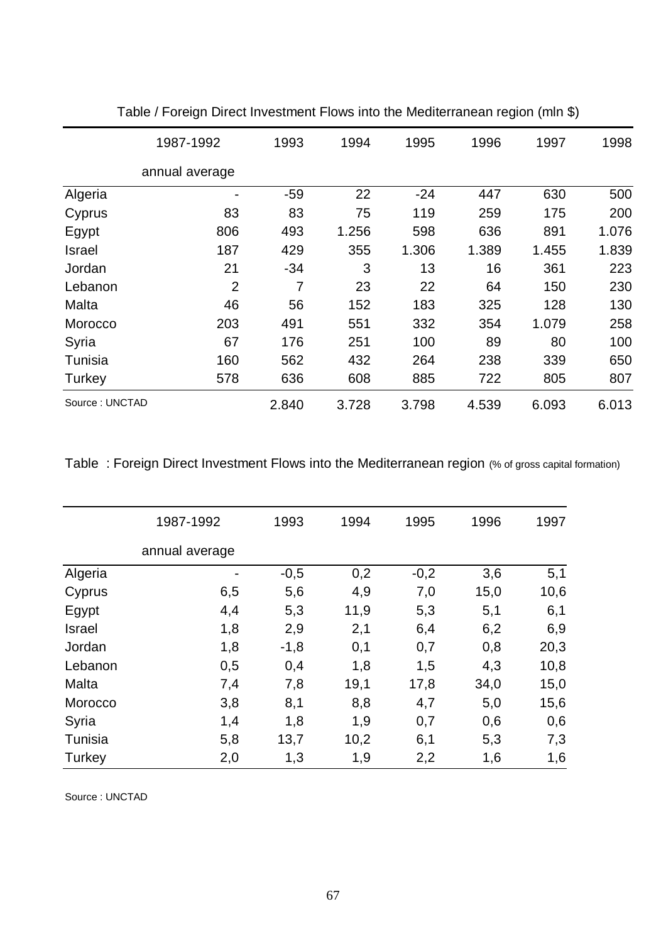|                | 1987-1992      | 1993  | 1994  | 1995  | 1996  | 1997  | 1998  |
|----------------|----------------|-------|-------|-------|-------|-------|-------|
|                | annual average |       |       |       |       |       |       |
| Algeria        |                | $-59$ | 22    | $-24$ | 447   | 630   | 500   |
| Cyprus         | 83             | 83    | 75    | 119   | 259   | 175   | 200   |
| Egypt          | 806            | 493   | 1.256 | 598   | 636   | 891   | 1.076 |
| Israel         | 187            | 429   | 355   | 1.306 | 1.389 | 1.455 | 1.839 |
| Jordan         | 21             | $-34$ | 3     | 13    | 16    | 361   | 223   |
| Lebanon        | $\overline{2}$ | 7     | 23    | 22    | 64    | 150   | 230   |
| Malta          | 46             | 56    | 152   | 183   | 325   | 128   | 130   |
| Morocco        | 203            | 491   | 551   | 332   | 354   | 1.079 | 258   |
| Syria          | 67             | 176   | 251   | 100   | 89    | 80    | 100   |
| Tunisia        | 160            | 562   | 432   | 264   | 238   | 339   | 650   |
| Turkey         | 578            | 636   | 608   | 885   | 722   | 805   | 807   |
| Source: UNCTAD |                | 2.840 | 3.728 | 3.798 | 4.539 | 6.093 | 6.013 |

Table / Foreign Direct Investment Flows into the Mediterranean region (mln \$)

Table : Foreign Direct Investment Flows into the Mediterranean region (% of gross capital formation)

|         | 1987-1992      | 1993   | 1994 | 1995   | 1996 | 1997 |
|---------|----------------|--------|------|--------|------|------|
|         | annual average |        |      |        |      |      |
| Algeria |                | $-0,5$ | 0,2  | $-0,2$ | 3,6  | 5,1  |
| Cyprus  | 6,5            | 5,6    | 4,9  | 7,0    | 15,0 | 10,6 |
| Egypt   | 4,4            | 5,3    | 11,9 | 5,3    | 5,1  | 6,1  |
| Israel  | 1,8            | 2,9    | 2,1  | 6,4    | 6,2  | 6,9  |
| Jordan  | 1,8            | $-1,8$ | 0,1  | 0,7    | 0,8  | 20,3 |
| Lebanon | 0,5            | 0,4    | 1,8  | 1,5    | 4,3  | 10,8 |
| Malta   | 7,4            | 7,8    | 19,1 | 17,8   | 34,0 | 15,0 |
| Morocco | 3,8            | 8,1    | 8,8  | 4,7    | 5,0  | 15,6 |
| Syria   | 1,4            | 1,8    | 1,9  | 0,7    | 0,6  | 0,6  |
| Tunisia | 5,8            | 13,7   | 10,2 | 6,1    | 5,3  | 7,3  |
| Turkey  | 2,0            | 1,3    | 1,9  | 2,2    | 1,6  | 1,6  |
|         |                |        |      |        |      |      |

Source : UNCTAD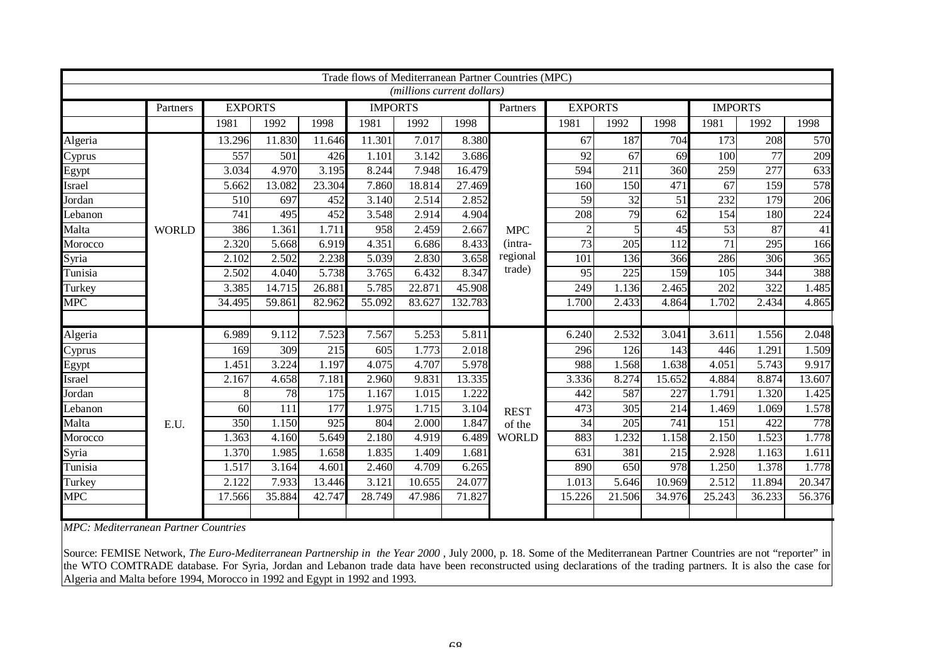| Trade flows of Mediterranean Partner Countries (MPC)<br>(millions current dollars) |              |                |        |        |                |        |         |              |                |                 |        |                |                 |                 |
|------------------------------------------------------------------------------------|--------------|----------------|--------|--------|----------------|--------|---------|--------------|----------------|-----------------|--------|----------------|-----------------|-----------------|
|                                                                                    |              |                |        |        |                |        |         |              |                |                 |        |                |                 |                 |
|                                                                                    | Partners     | <b>EXPORTS</b> |        |        | <b>IMPORTS</b> |        |         | Partners     | <b>EXPORTS</b> |                 |        | <b>IMPORTS</b> |                 |                 |
|                                                                                    |              | 1981           | 1992   | 1998   | 1981           | 1992   | 1998    |              | 1981           | 1992            | 1998   | 1981           | 1992            | 1998            |
| Algeria                                                                            |              | 13.296         | 11.830 | 11.646 | 11.301         | 7.017  | 8.380   |              | 67             | 187             | 704    | 173            | 208             | 570             |
| Cyprus                                                                             |              | 557            | 501    | 426    | 1.101          | 3.142  | 3.686   |              | 92             | $\overline{67}$ | 69     | 100            | $\overline{77}$ | 209             |
| Egypt                                                                              |              | 3.034          | 4.970  | 3.195  | 8.244          | 7.948  | 16.479  |              | 594            | 211             | 360    | 259            | 277             | 633             |
| Israel                                                                             |              | 5.662          | 13.082 | 23.304 | 7.860          | 18.814 | 27.469  |              | 160            | 150             | 471    | 67             | 159             | 578             |
| Jordan                                                                             |              | 510            | 697    | 452    | 3.140          | 2.514  | 2.852   |              | 59             | $\overline{32}$ | 51     | 232            | 179             | 206             |
| Lebanon                                                                            |              | 741            | 495    | 452    | 3.548          | 2.914  | 4.904   |              | 208            | 79              | 62     | 154            | 180             | 224             |
| Malta                                                                              | <b>WORLD</b> | 386            | 1.361  | 1.711  | 958            | 2.459  | 2.667   | <b>MPC</b>   | $\overline{c}$ | 5               | 45     | 53             | 87              | $\overline{41}$ |
| Morocco                                                                            |              | 2.320          | 5.668  | 6.919  | 4.351          | 6.686  | 8.433   | (intra-      | 73             | 205             | 112    | 71             | 295             | 166             |
| Syria                                                                              |              | 2.102          | 2.502  | 2.238  | 5.039          | 2.830  | 3.658   | regional     | 101            | 136             | 366    | 286            | 306             | 365             |
| Tunisia                                                                            |              | 2.502          | 4.040  | 5.738  | 3.765          | 6.432  | 8.347   | trade)       | 95             | 225             | 159    | 105            | 344             | 388             |
| Turkey                                                                             |              | 3.385          | 14.715 | 26.881 | 5.785          | 22.871 | 45.908  |              | 249            | 1.136           | 2.465  | 202            | 322             | 1.485           |
| <b>MPC</b>                                                                         |              | 34.495         | 59.861 | 82.962 | 55.092         | 83.627 | 132.783 |              | 1.700          | 2.433           | 4.864  | 1.702          | 2.434           | 4.865           |
|                                                                                    |              |                |        |        |                |        |         |              |                |                 |        |                |                 |                 |
| Algeria                                                                            |              | 6.989          | 9.112  | 7.523  | 7.567          | 5.253  | 5.811   |              | 6.240          | 2.532           | 3.041  | 3.611          | 1.556           | 2.048           |
| Cyprus                                                                             |              | 169            | 309    | 215    | 605            | 1.773  | 2.018   |              | 296            | 126             | 143    | 446            | 1.291           | 1.509           |
| Egypt                                                                              |              | 1.451          | 3.224  | 1.197  | 4.075          | 4.707  | 5.978   |              | 988            | 1.568           | 1.638  | 4.051          | 5.743           | 9.917           |
| Israel                                                                             |              | 2.167          | 4.658  | 7.181  | 2.960          | 9.831  | 13.335  |              | 3.336          | 8.274           | 15.652 | 4.884          | 8.874           | 13.607          |
| Jordan                                                                             |              | 8              | 78     | 175    | 1.167          | 1.015  | 1.222   |              | 442            | 587             | 227    | 1.791          | 1.320           | 1.425           |
| Lebanon                                                                            |              | 60             | 111    | 177    | 1.975          | 1.715  | 3.104   | <b>REST</b>  | 473            | 305             | 214    | 1.469          | 1.069           | 1.578           |
| Malta                                                                              | E.U.         | 350            | 1.150  | 925    | 804            | 2.000  | 1.847   | of the       | 34             | 205             | 741    | 151            | 422             | 778             |
| Morocco                                                                            |              | 1.363          | 4.160  | 5.649  | 2.180          | 4.919  | 6.489   | <b>WORLD</b> | 883            | 1.232           | 1.158  | 2.150          | 1.523           | 1.778           |
| Syria                                                                              |              | 1.370          | 1.985  | 1.658  | 1.835          | 1.409  | 1.681   |              | 631            | 381             | 215    | 2.928          | 1.163           | 1.611           |
| Tunisia                                                                            |              | 1.517          | 3.164  | 4.601  | 2.460          | 4.709  | 6.265   |              | 890            | 650             | 978    | 1.250          | 1.378           | 1.778           |
| Turkey                                                                             |              | 2.122          | 7.933  | 13.446 | 3.121          | 10.655 | 24.077  |              | 1.013          | 5.646           | 10.969 | 2.512          | 11.894          | 20.347          |
| <b>MPC</b>                                                                         |              | 17.566         | 35.884 | 42.747 | 28.749         | 47.986 | 71.827  |              | 15.226         | 21.506          | 34.976 | 25.243         | 36.233          | 56.376          |
|                                                                                    |              |                |        |        |                |        |         |              |                |                 |        |                |                 |                 |

*MPC: Mediterranean Partner Countries*

Source: FEMISE Network, The Euro-Mediterranean Partnership in the Year 2000, July 2000, p. 18. Some of the Mediterranean Partner Countries are not "reporter" in the WTO COMTRADE database. For Syria, Jordan and Lebanon trade data have been reconstructed using declarations of the trading partners. It is also the case for Algeria and Malta before 1994, Morocco in 1992 and Egypt in 1992 and 1993.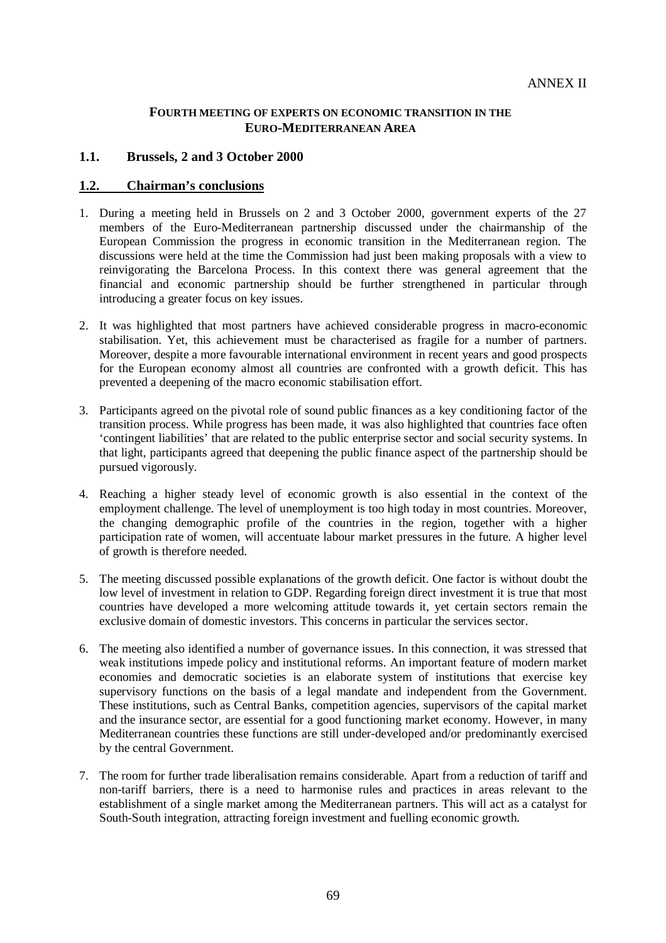### **FOURTH MEETING OF EXPERTS ON ECONOMIC TRANSITION IN THE EURO-MEDITERRANEAN AREA**

### **1.1. Brussels, 2 and 3 October 2000**

### **1.2. Chairman's conclusions**

- 1. During a meeting held in Brussels on 2 and 3 October 2000, government experts of the 27 members of the Euro-Mediterranean partnership discussed under the chairmanship of the European Commission the progress in economic transition in the Mediterranean region. The discussions were held at the time the Commission had just been making proposals with a view to reinvigorating the Barcelona Process. In this context there was general agreement that the financial and economic partnership should be further strengthened in particular through introducing a greater focus on key issues.
- 2. It was highlighted that most partners have achieved considerable progress in macro-economic stabilisation. Yet, this achievement must be characterised as fragile for a number of partners. Moreover, despite a more favourable international environment in recent years and good prospects for the European economy almost all countries are confronted with a growth deficit. This has prevented a deepening of the macro economic stabilisation effort.
- 3. Participants agreed on the pivotal role of sound public finances as a key conditioning factor of the transition process. While progress has been made, it was also highlighted that countries face often 'contingent liabilities' that are related to the public enterprise sector and social security systems. In that light, participants agreed that deepening the public finance aspect of the partnership should be pursued vigorously.
- 4. Reaching a higher steady level of economic growth is also essential in the context of the employment challenge. The level of unemployment is too high today in most countries. Moreover, the changing demographic profile of the countries in the region, together with a higher participation rate of women, will accentuate labour market pressures in the future. A higher level of growth is therefore needed.
- 5. The meeting discussed possible explanations of the growth deficit. One factor is without doubt the low level of investment in relation to GDP. Regarding foreign direct investment it is true that most countries have developed a more welcoming attitude towards it, yet certain sectors remain the exclusive domain of domestic investors. This concerns in particular the services sector.
- 6. The meeting also identified a number of governance issues. In this connection, it was stressed that weak institutions impede policy and institutional reforms. An important feature of modern market economies and democratic societies is an elaborate system of institutions that exercise key supervisory functions on the basis of a legal mandate and independent from the Government. These institutions, such as Central Banks, competition agencies, supervisors of the capital market and the insurance sector, are essential for a good functioning market economy. However, in many Mediterranean countries these functions are still under-developed and/or predominantly exercised by the central Government.
- 7. The room for further trade liberalisation remains considerable. Apart from a reduction of tariff and non-tariff barriers, there is a need to harmonise rules and practices in areas relevant to the establishment of a single market among the Mediterranean partners. This will act as a catalyst for South-South integration, attracting foreign investment and fuelling economic growth.